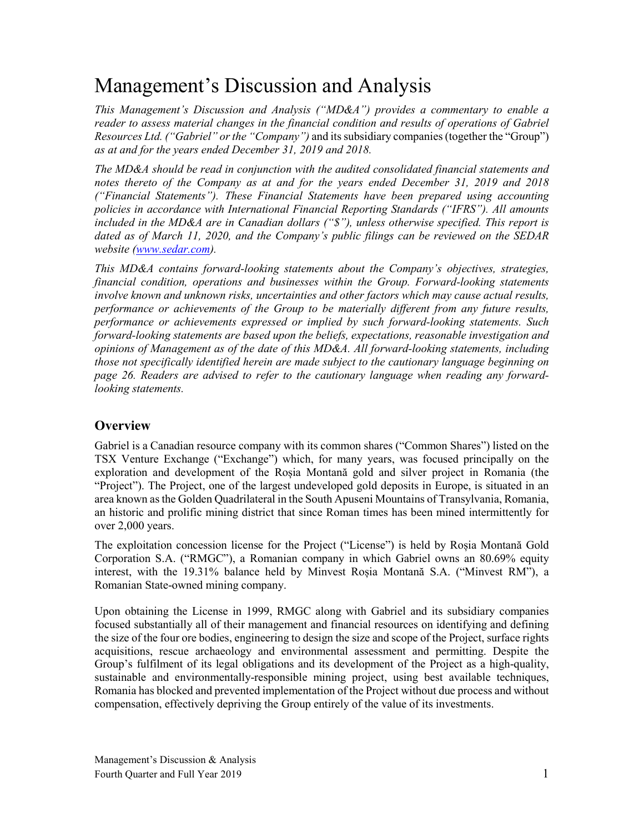# Management's Discussion and Analysis

*This Management's Discussion and Analysis ("MD&A") provides a commentary to enable a reader to assess material changes in the financial condition and results of operations of Gabriel Resources Ltd. ("Gabriel" or the "Company")* and its subsidiary companies (together the "Group") *as at and for the years ended December 31, 2019 and 2018.*

*The MD&A should be read in conjunction with the audited consolidated financial statements and notes thereto of the Company as at and for the years ended December 31, 2019 and 2018 ("Financial Statements"). These Financial Statements have been prepared using accounting policies in accordance with International Financial Reporting Standards ("IFRS"). All amounts included in the MD&A are in Canadian dollars ("\$"), unless otherwise specified. This report is dated as of March 11, 2020, and the Company's public filings can be reviewed on the SEDAR website [\(www.sedar.com\)](http://www.sedar.com/).*

*This MD&A contains forward-looking statements about the Company's objectives, strategies, financial condition, operations and businesses within the Group. Forward-looking statements involve known and unknown risks, uncertainties and other factors which may cause actual results, performance or achievements of the Group to be materially different from any future results, performance or achievements expressed or implied by such forward-looking statements. Such forward-looking statements are based upon the beliefs, expectations, reasonable investigation and opinions of Management as of the date of this MD&A. All forward-looking statements, including those not specifically identified herein are made subject to the cautionary language beginning on page 26. Readers are advised to refer to the cautionary language when reading any forwardlooking statements.*

# **Overview**

Gabriel is a Canadian resource company with its common shares ("Common Shares") listed on the TSX Venture Exchange ("Exchange") which, for many years, was focused principally on the exploration and development of the Roșia Montană gold and silver project in Romania (the "Project"). The Project, one of the largest undeveloped gold deposits in Europe, is situated in an area known as the Golden Quadrilateral in the South Apuseni Mountains of Transylvania, Romania, an historic and prolific mining district that since Roman times has been mined intermittently for over 2,000 years.

The exploitation concession license for the Project ("License") is held by Roșia Montană Gold Corporation S.A. ("RMGC"), a Romanian company in which Gabriel owns an 80.69% equity interest, with the 19.31% balance held by Minvest Roșia Montană S.A. ("Minvest RM"), a Romanian State-owned mining company.

Upon obtaining the License in 1999, RMGC along with Gabriel and its subsidiary companies focused substantially all of their management and financial resources on identifying and defining the size of the four ore bodies, engineering to design the size and scope of the Project, surface rights acquisitions, rescue archaeology and environmental assessment and permitting. Despite the Group's fulfilment of its legal obligations and its development of the Project as a high-quality, sustainable and environmentally-responsible mining project, using best available techniques, Romania has blocked and prevented implementation of the Project without due process and without compensation, effectively depriving the Group entirely of the value of its investments.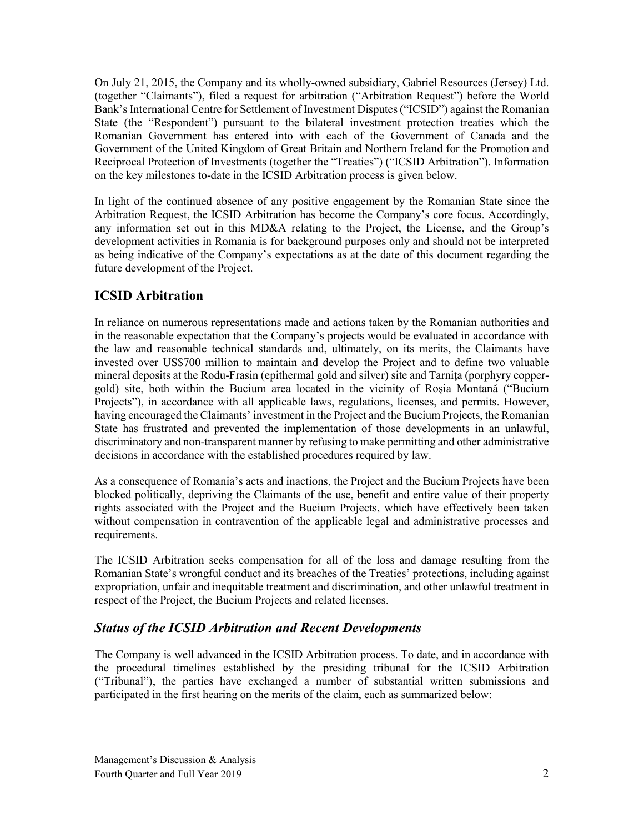On July 21, 2015, the Company and its wholly-owned subsidiary, Gabriel Resources (Jersey) Ltd. (together "Claimants"), filed a request for arbitration ("Arbitration Request") before the World Bank's International Centre for Settlement of Investment Disputes ("ICSID") against the Romanian State (the "Respondent") pursuant to the bilateral investment protection treaties which the Romanian Government has entered into with each of the Government of Canada and the Government of the United Kingdom of Great Britain and Northern Ireland for the Promotion and Reciprocal Protection of Investments (together the "Treaties") ("ICSID Arbitration"). Information on the key milestones to-date in the ICSID Arbitration process is given below.

In light of the continued absence of any positive engagement by the Romanian State since the Arbitration Request, the ICSID Arbitration has become the Company's core focus. Accordingly, any information set out in this MD&A relating to the Project, the License, and the Group's development activities in Romania is for background purposes only and should not be interpreted as being indicative of the Company's expectations as at the date of this document regarding the future development of the Project.

# **ICSID Arbitration**

In reliance on numerous representations made and actions taken by the Romanian authorities and in the reasonable expectation that the Company's projects would be evaluated in accordance with the law and reasonable technical standards and, ultimately, on its merits, the Claimants have invested over US\$700 million to maintain and develop the Project and to define two valuable mineral deposits at the Rodu-Frasin (epithermal gold and silver) site and Tarniţa (porphyry coppergold) site, both within the Bucium area located in the vicinity of Roşia Montană ("Bucium Projects"), in accordance with all applicable laws, regulations, licenses, and permits. However, having encouraged the Claimants' investment in the Project and the Bucium Projects, the Romanian State has frustrated and prevented the implementation of those developments in an unlawful, discriminatory and non-transparent manner by refusing to make permitting and other administrative decisions in accordance with the established procedures required by law.

As a consequence of Romania's acts and inactions, the Project and the Bucium Projects have been blocked politically, depriving the Claimants of the use, benefit and entire value of their property rights associated with the Project and the Bucium Projects, which have effectively been taken without compensation in contravention of the applicable legal and administrative processes and requirements.

The ICSID Arbitration seeks compensation for all of the loss and damage resulting from the Romanian State's wrongful conduct and its breaches of the Treaties' protections, including against expropriation, unfair and inequitable treatment and discrimination, and other unlawful treatment in respect of the Project, the Bucium Projects and related licenses.

## *Status of the ICSID Arbitration and Recent Developments*

The Company is well advanced in the ICSID Arbitration process. To date, and in accordance with the procedural timelines established by the presiding tribunal for the ICSID Arbitration ("Tribunal"), the parties have exchanged a number of substantial written submissions and participated in the first hearing on the merits of the claim, each as summarized below: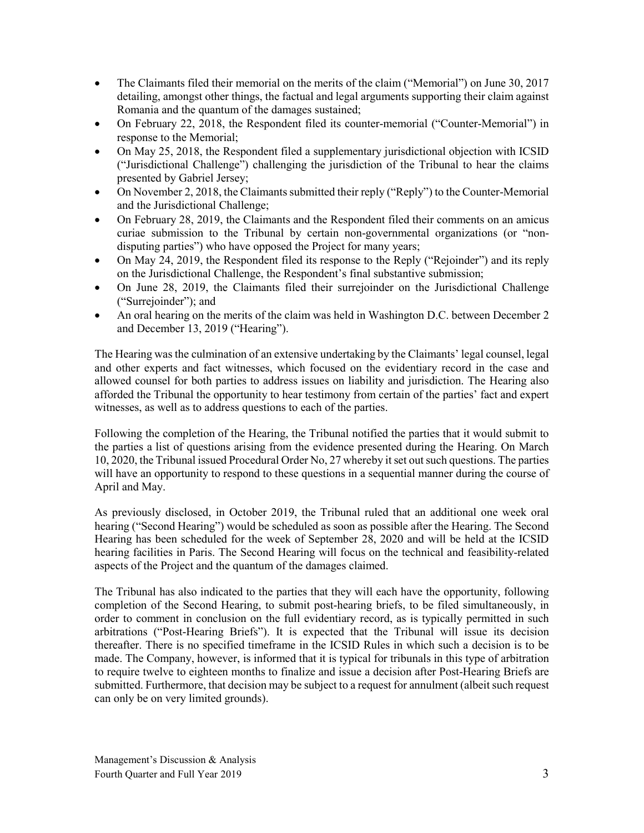- The Claimants filed their memorial on the merits of the claim ("Memorial") on June 30, 2017 detailing, amongst other things, the factual and legal arguments supporting their claim against Romania and the quantum of the damages sustained;
- On February 22, 2018, the Respondent filed its counter-memorial ("Counter-Memorial") in response to the Memorial;
- On May 25, 2018, the Respondent filed a supplementary jurisdictional objection with ICSID ("Jurisdictional Challenge") challenging the jurisdiction of the Tribunal to hear the claims presented by Gabriel Jersey;
- On November 2, 2018, the Claimants submitted their reply ("Reply") to the Counter-Memorial and the Jurisdictional Challenge;
- On February 28, 2019, the Claimants and the Respondent filed their comments on an amicus curiae submission to the Tribunal by certain non-governmental organizations (or "nondisputing parties") who have opposed the Project for many years;
- On May 24, 2019, the Respondent filed its response to the Reply ("Rejoinder") and its reply on the Jurisdictional Challenge, the Respondent's final substantive submission;
- On June 28, 2019, the Claimants filed their surrejoinder on the Jurisdictional Challenge ("Surrejoinder"); and
- An oral hearing on the merits of the claim was held in Washington D.C. between December 2 and December 13, 2019 ("Hearing").

The Hearing was the culmination of an extensive undertaking by the Claimants' legal counsel, legal and other experts and fact witnesses, which focused on the evidentiary record in the case and allowed counsel for both parties to address issues on liability and jurisdiction. The Hearing also afforded the Tribunal the opportunity to hear testimony from certain of the parties' fact and expert witnesses, as well as to address questions to each of the parties.

Following the completion of the Hearing, the Tribunal notified the parties that it would submit to the parties a list of questions arising from the evidence presented during the Hearing. On March 10, 2020, the Tribunal issued Procedural Order No, 27 whereby it set outsuch questions. The parties will have an opportunity to respond to these questions in a sequential manner during the course of April and May.

As previously disclosed, in October 2019, the Tribunal ruled that an additional one week oral hearing ("Second Hearing") would be scheduled as soon as possible after the Hearing. The Second Hearing has been scheduled for the week of September  $28$ , 2020 and will be held at the ICSID hearing facilities in Paris. The Second Hearing will focus on the technical and feasibility-related aspects of the Project and the quantum of the damages claimed.

The Tribunal has also indicated to the parties that they will each have the opportunity, following completion of the Second Hearing, to submit post-hearing briefs, to be filed simultaneously, in order to comment in conclusion on the full evidentiary record, as is typically permitted in such arbitrations ("Post-Hearing Briefs"). It is expected that the Tribunal will issue its decision thereafter. There is no specified timeframe in the ICSID Rules in which such a decision is to be made. The Company, however, is informed that it is typical for tribunals in this type of arbitration to require twelve to eighteen months to finalize and issue a decision after Post-Hearing Briefs are submitted. Furthermore, that decision may be subject to a request for annulment (albeit such request can only be on very limited grounds).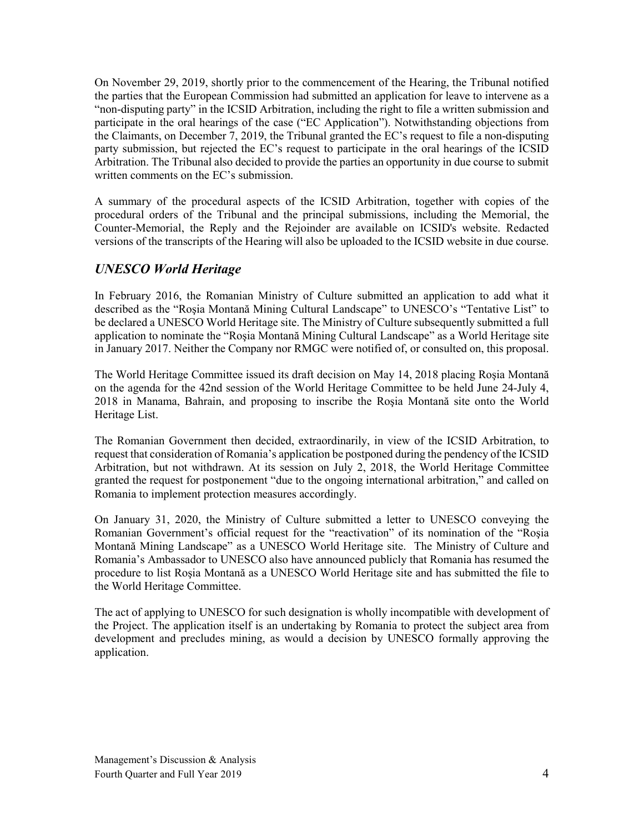On November 29, 2019, shortly prior to the commencement of the Hearing, the Tribunal notified the parties that the European Commission had submitted an application for leave to intervene as a "non-disputing party" in the ICSID Arbitration, including the right to file a written submission and participate in the oral hearings of the case ("EC Application"). Notwithstanding objections from the Claimants, on December 7, 2019, the Tribunal granted the EC's request to file a non-disputing party submission, but rejected the EC's request to participate in the oral hearings of the ICSID Arbitration. The Tribunal also decided to provide the parties an opportunity in due course to submit written comments on the EC's submission.

A summary of the procedural aspects of the ICSID Arbitration, together with copies of the procedural orders of the Tribunal and the principal submissions, including the Memorial, the Counter-Memorial, the Reply and the Rejoinder are available on ICSID's website. Redacted versions of the transcripts of the Hearing will also be uploaded to the ICSID website in due course.

## *UNESCO World Heritage*

In February 2016, the Romanian Ministry of Culture submitted an application to add what it described as the "Roşia Montană Mining Cultural Landscape" to UNESCO's "Tentative List" to be declared a UNESCO World Heritage site. The Ministry of Culture subsequently submitted a full application to nominate the "Roşia Montană Mining Cultural Landscape" as a World Heritage site in January 2017. Neither the Company nor RMGC were notified of, or consulted on, this proposal.

The World Heritage Committee issued its draft decision on May 14, 2018 placing Roşia Montană on the agenda for the 42nd session of the World Heritage Committee to be held June 24-July 4, 2018 in Manama, Bahrain, and proposing to inscribe the Roşia Montană site onto the World Heritage List.

The Romanian Government then decided, extraordinarily, in view of the ICSID Arbitration, to request that consideration of Romania's application be postponed during the pendency of the ICSID Arbitration, but not withdrawn. At its session on July 2, 2018, the World Heritage Committee granted the request for postponement "due to the ongoing international arbitration," and called on Romania to implement protection measures accordingly.

On January 31, 2020, the Ministry of Culture submitted a letter to UNESCO conveying the Romanian Government's official request for the "reactivation" of its nomination of the "Roşia Montană Mining Landscape" as a UNESCO World Heritage site. The Ministry of Culture and Romania's Ambassador to UNESCO also have announced publicly that Romania has resumed the procedure to list Roşia Montană as a UNESCO World Heritage site and has submitted the file to the World Heritage Committee.

The act of applying to UNESCO for such designation is wholly incompatible with development of the Project. The application itself is an undertaking by Romania to protect the subject area from development and precludes mining, as would a decision by UNESCO formally approving the application.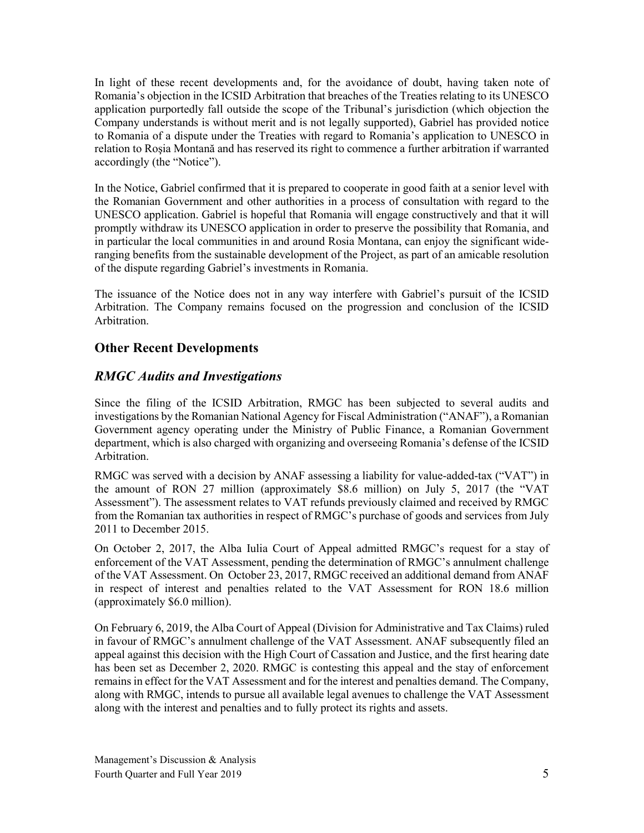In light of these recent developments and, for the avoidance of doubt, having taken note of Romania's objection in the ICSID Arbitration that breaches of the Treaties relating to its UNESCO application purportedly fall outside the scope of the Tribunal's jurisdiction (which objection the Company understands is without merit and is not legally supported), Gabriel has provided notice to Romania of a dispute under the Treaties with regard to Romania's application to UNESCO in relation to Roşia Montană and has reserved its right to commence a further arbitration if warranted accordingly (the "Notice").

In the Notice, Gabriel confirmed that it is prepared to cooperate in good faith at a senior level with the Romanian Government and other authorities in a process of consultation with regard to the UNESCO application. Gabriel is hopeful that Romania will engage constructively and that it will promptly withdraw its UNESCO application in order to preserve the possibility that Romania, and in particular the local communities in and around Rosia Montana, can enjoy the significant wideranging benefits from the sustainable development of the Project, as part of an amicable resolution of the dispute regarding Gabriel's investments in Romania.

The issuance of the Notice does not in any way interfere with Gabriel's pursuit of the ICSID Arbitration. The Company remains focused on the progression and conclusion of the ICSID Arbitration.

## **Other Recent Developments**

# *RMGC Audits and Investigations*

Since the filing of the ICSID Arbitration, RMGC has been subjected to several audits and investigations by the Romanian National Agency for Fiscal Administration ("ANAF"), a Romanian Government agency operating under the Ministry of Public Finance, a Romanian Government department, which is also charged with organizing and overseeing Romania's defense of the ICSID Arbitration.

RMGC was served with a decision by ANAF assessing a liability for value-added-tax ("VAT") in the amount of RON 27 million (approximately \$8.6 million) on July 5, 2017 (the "VAT Assessment"). The assessment relates to VAT refunds previously claimed and received by RMGC from the Romanian tax authorities in respect of RMGC's purchase of goods and services from July 2011 to December 2015.

On October 2, 2017, the Alba Iulia Court of Appeal admitted RMGC's request for a stay of enforcement of the VAT Assessment, pending the determination of RMGC's annulment challenge of the VAT Assessment. On October 23, 2017, RMGC received an additional demand from ANAF in respect of interest and penalties related to the VAT Assessment for RON 18.6 million (approximately \$6.0 million).

On February 6, 2019, the Alba Court of Appeal (Division for Administrative and Tax Claims) ruled in favour of RMGC's annulment challenge of the VAT Assessment. ANAF subsequently filed an appeal against this decision with the High Court of Cassation and Justice, and the first hearing date has been set as December 2, 2020. RMGC is contesting this appeal and the stay of enforcement remains in effect for the VAT Assessment and for the interest and penalties demand. The Company, along with RMGC, intends to pursue all available legal avenues to challenge the VAT Assessment along with the interest and penalties and to fully protect its rights and assets.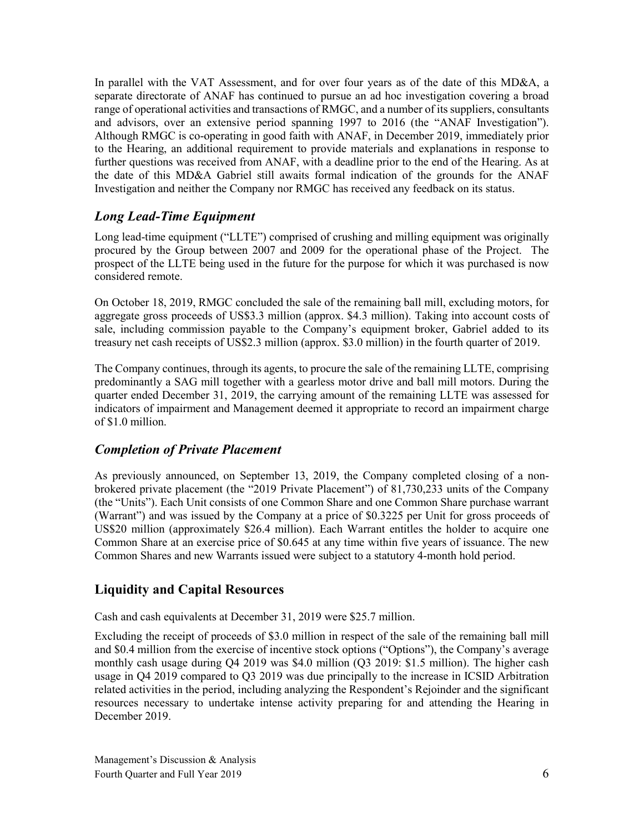In parallel with the VAT Assessment, and for over four years as of the date of this MD&A, a separate directorate of ANAF has continued to pursue an ad hoc investigation covering a broad range of operational activities and transactions of RMGC, and a number of its suppliers, consultants and advisors, over an extensive period spanning 1997 to 2016 (the "ANAF Investigation"). Although RMGC is co-operating in good faith with ANAF, in December 2019, immediately prior to the Hearing, an additional requirement to provide materials and explanations in response to further questions was received from ANAF, with a deadline prior to the end of the Hearing. As at the date of this MD&A Gabriel still awaits formal indication of the grounds for the ANAF Investigation and neither the Company nor RMGC has received any feedback on its status.

# *Long Lead-Time Equipment*

Long lead-time equipment ("LLTE") comprised of crushing and milling equipment was originally procured by the Group between 2007 and 2009 for the operational phase of the Project. The prospect of the LLTE being used in the future for the purpose for which it was purchased is now considered remote.

On October 18, 2019, RMGC concluded the sale of the remaining ball mill, excluding motors, for aggregate gross proceeds of US\$3.3 million (approx. \$4.3 million). Taking into account costs of sale, including commission payable to the Company's equipment broker, Gabriel added to its treasury net cash receipts of US\$2.3 million (approx. \$3.0 million) in the fourth quarter of 2019.

The Company continues, through its agents, to procure the sale of the remaining LLTE, comprising predominantly a SAG mill together with a gearless motor drive and ball mill motors. During the quarter ended December 31, 2019, the carrying amount of the remaining LLTE was assessed for indicators of impairment and Management deemed it appropriate to record an impairment charge of \$1.0 million.

## *Completion of Private Placement*

As previously announced, on September 13, 2019, the Company completed closing of a nonbrokered private placement (the "2019 Private Placement") of 81,730,233 units of the Company (the "Units"). Each Unit consists of one Common Share and one Common Share purchase warrant (Warrant") and was issued by the Company at a price of \$0.3225 per Unit for gross proceeds of US\$20 million (approximately \$26.4 million). Each Warrant entitles the holder to acquire one Common Share at an exercise price of \$0.645 at any time within five years of issuance. The new Common Shares and new Warrants issued were subject to a statutory 4-month hold period.

# **Liquidity and Capital Resources**

Cash and cash equivalents at December 31, 2019 were \$25.7 million.

Excluding the receipt of proceeds of \$3.0 million in respect of the sale of the remaining ball mill and \$0.4 million from the exercise of incentive stock options ("Options"), the Company's average monthly cash usage during Q4 2019 was \$4.0 million (Q3 2019: \$1.5 million). The higher cash usage in Q4 2019 compared to Q3 2019 was due principally to the increase in ICSID Arbitration related activities in the period, including analyzing the Respondent's Rejoinder and the significant resources necessary to undertake intense activity preparing for and attending the Hearing in December 2019.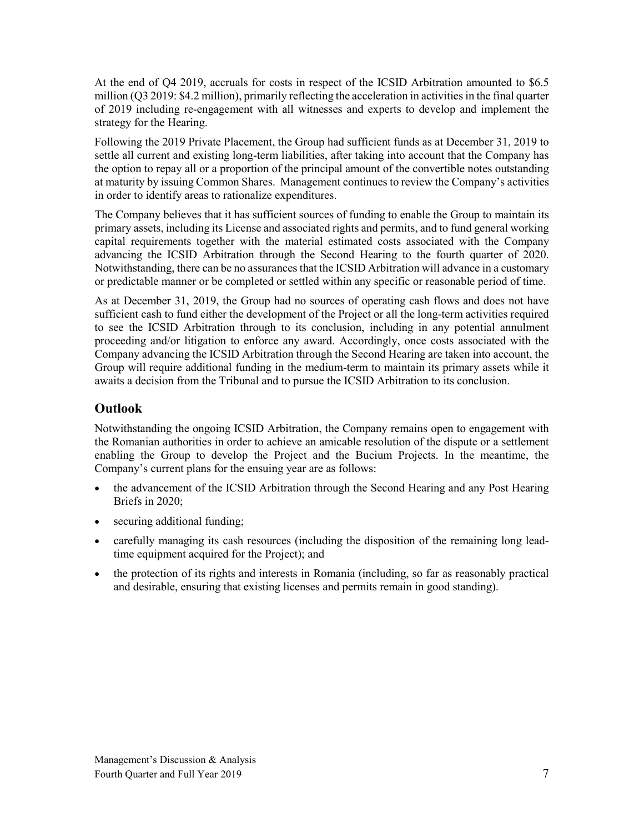At the end of Q4 2019, accruals for costs in respect of the ICSID Arbitration amounted to \$6.5 million (Q3 2019: \$4.2 million), primarily reflecting the acceleration in activities in the final quarter of 2019 including re-engagement with all witnesses and experts to develop and implement the strategy for the Hearing.

Following the 2019 Private Placement, the Group had sufficient funds as at December 31, 2019 to settle all current and existing long-term liabilities, after taking into account that the Company has the option to repay all or a proportion of the principal amount of the convertible notes outstanding at maturity by issuing Common Shares. Management continues to review the Company's activities in order to identify areas to rationalize expenditures.

The Company believes that it has sufficient sources of funding to enable the Group to maintain its primary assets, including its License and associated rights and permits, and to fund general working capital requirements together with the material estimated costs associated with the Company advancing the ICSID Arbitration through the Second Hearing to the fourth quarter of 2020. Notwithstanding, there can be no assurances that the ICSID Arbitration will advance in a customary or predictable manner or be completed or settled within any specific or reasonable period of time.

As at December 31, 2019, the Group had no sources of operating cash flows and does not have sufficient cash to fund either the development of the Project or all the long-term activities required to see the ICSID Arbitration through to its conclusion, including in any potential annulment proceeding and/or litigation to enforce any award. Accordingly, once costs associated with the Company advancing the ICSID Arbitration through the Second Hearing are taken into account, the Group will require additional funding in the medium-term to maintain its primary assets while it awaits a decision from the Tribunal and to pursue the ICSID Arbitration to its conclusion.

# **Outlook**

Notwithstanding the ongoing ICSID Arbitration, the Company remains open to engagement with the Romanian authorities in order to achieve an amicable resolution of the dispute or a settlement enabling the Group to develop the Project and the Bucium Projects. In the meantime, the Company's current plans for the ensuing year are as follows:

- the advancement of the ICSID Arbitration through the Second Hearing and any Post Hearing Briefs in 2020;
- securing additional funding;
- carefully managing its cash resources (including the disposition of the remaining long leadtime equipment acquired for the Project); and
- the protection of its rights and interests in Romania (including, so far as reasonably practical and desirable, ensuring that existing licenses and permits remain in good standing).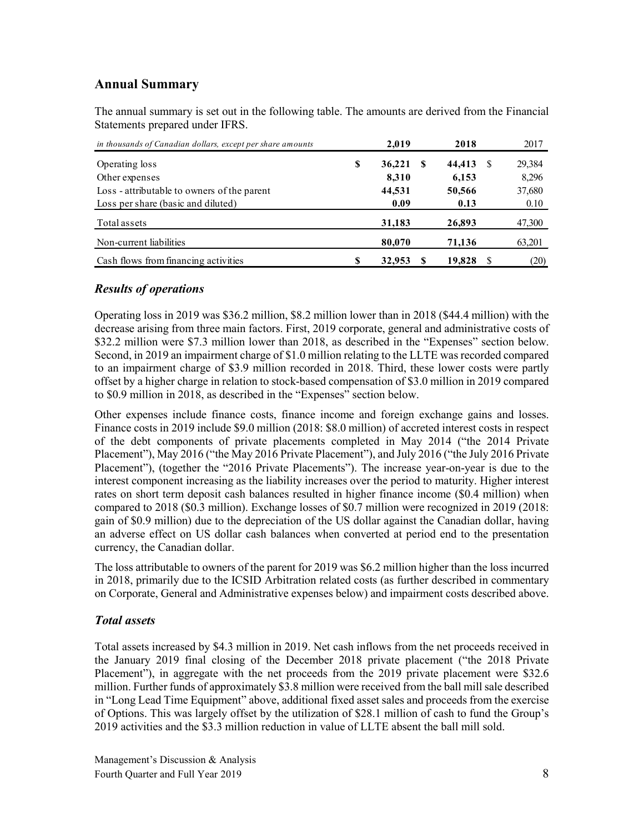## **Annual Summary**

The annual summary is set out in the following table. The amounts are derived from the Financial Statements prepared under IFRS.

| in thousands of Canadian dollars, except per share amounts |   | 2,019          | 2018   | 2017         |
|------------------------------------------------------------|---|----------------|--------|--------------|
| Operating loss                                             | S | 36,221<br>- \$ | 44,413 | 29,384<br>-S |
| Other expenses                                             |   | 8,310          | 6,153  | 8,296        |
| Loss - attributable to owners of the parent                |   | 44,531         | 50,566 | 37,680       |
| Loss per share (basic and diluted)                         |   | 0.09           | 0.13   | 0.10         |
| Total assets                                               |   | 31,183         | 26,893 | 47,300       |
| Non-current liabilities                                    |   | 80,070         | 71,136 | 63,201       |
| Cash flows from financing activities                       | S | 32,953<br>S    | 19,828 | (20)         |

### *Results of operations*

Operating loss in 2019 was \$36.2 million, \$8.2 million lower than in 2018 (\$44.4 million) with the decrease arising from three main factors. First, 2019 corporate, general and administrative costs of \$32.2 million were \$7.3 million lower than 2018, as described in the "Expenses" section below. Second, in 2019 an impairment charge of \$1.0 million relating to the LLTE was recorded compared to an impairment charge of \$3.9 million recorded in 2018. Third, these lower costs were partly offset by a higher charge in relation to stock-based compensation of \$3.0 million in 2019 compared to \$0.9 million in 2018, as described in the "Expenses" section below.

Other expenses include finance costs, finance income and foreign exchange gains and losses. Finance costs in 2019 include \$9.0 million (2018: \$8.0 million) of accreted interest costs in respect of the debt components of private placements completed in May 2014 ("the 2014 Private Placement"), May 2016 ("the May 2016 Private Placement"), and July 2016 ("the July 2016 Private Placement"), (together the "2016 Private Placements"). The increase year-on-year is due to the interest component increasing as the liability increases over the period to maturity. Higher interest rates on short term deposit cash balances resulted in higher finance income (\$0.4 million) when compared to 2018 (\$0.3 million). Exchange losses of \$0.7 million were recognized in 2019 (2018: gain of \$0.9 million) due to the depreciation of the US dollar against the Canadian dollar, having an adverse effect on US dollar cash balances when converted at period end to the presentation currency, the Canadian dollar.

The loss attributable to owners of the parent for 2019 was \$6.2 million higher than the loss incurred in 2018, primarily due to the ICSID Arbitration related costs (as further described in commentary on Corporate, General and Administrative expenses below) and impairment costs described above.

### *Total assets*

Total assets increased by \$4.3 million in 2019. Net cash inflows from the net proceeds received in the January 2019 final closing of the December 2018 private placement ("the 2018 Private Placement"), in aggregate with the net proceeds from the 2019 private placement were \$32.6 million. Further funds of approximately \$3.8 million were received from the ball mill sale described in "Long Lead Time Equipment" above, additional fixed asset sales and proceeds from the exercise of Options. This was largely offset by the utilization of \$28.1 million of cash to fund the Group's 2019 activities and the \$3.3 million reduction in value of LLTE absent the ball mill sold.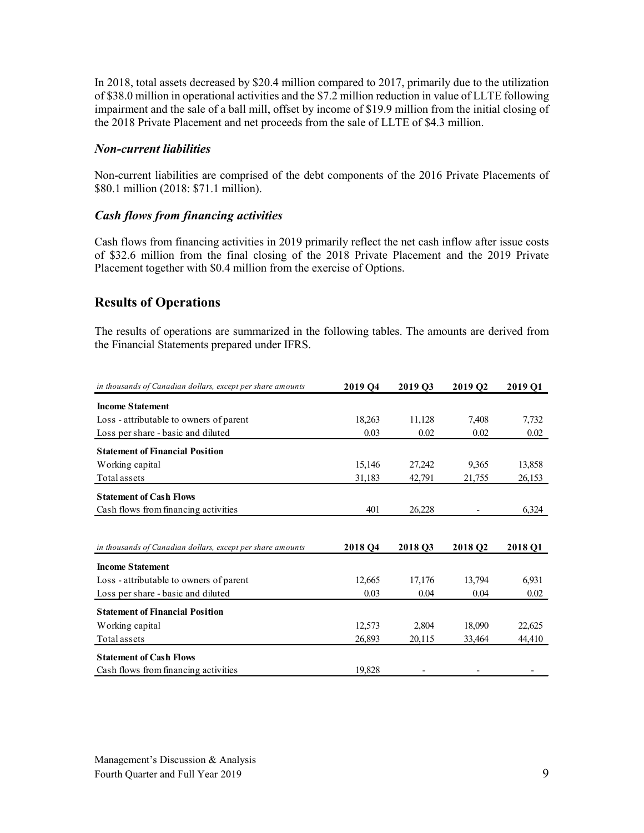In 2018, total assets decreased by \$20.4 million compared to 2017, primarily due to the utilization of \$38.0 million in operational activities and the \$7.2 million reduction in value of LLTE following impairment and the sale of a ball mill, offset by income of \$19.9 million from the initial closing of the 2018 Private Placement and net proceeds from the sale of LLTE of \$4.3 million.

#### *Non-current liabilities*

Non-current liabilities are comprised of the debt components of the 2016 Private Placements of \$80.1 million (2018: \$71.1 million).

### *Cash flows from financing activities*

Cash flows from financing activities in 2019 primarily reflect the net cash inflow after issue costs of \$32.6 million from the final closing of the 2018 Private Placement and the 2019 Private Placement together with \$0.4 million from the exercise of Options.

## **Results of Operations**

The results of operations are summarized in the following tables. The amounts are derived from the Financial Statements prepared under IFRS.

| in thousands of Canadian dollars, except per share amounts | 2019 Q4             | 2019 Q3 | 2019 Q2 | 2019 Q1 |
|------------------------------------------------------------|---------------------|---------|---------|---------|
| <b>Income Statement</b>                                    |                     |         |         |         |
| Loss - attributable to owners of parent                    | 18,263              | 11,128  | 7,408   | 7,732   |
| Loss per share - basic and diluted                         | 0.03                | 0.02    | 0.02    | 0.02    |
| <b>Statement of Financial Position</b>                     |                     |         |         |         |
| Working capital                                            | 15,146              | 27,242  | 9,365   | 13,858  |
| Total assets                                               | 31,183              | 42,791  | 21,755  | 26,153  |
| <b>Statement of Cash Flows</b>                             |                     |         |         |         |
| Cash flows from financing activities                       | 401                 | 26,228  |         | 6,324   |
|                                                            |                     |         |         |         |
| in thousands of Canadian dollars, except per share amounts | 2018 O <sub>4</sub> | 2018 O3 | 2018 Q2 | 2018 Q1 |
| <b>Income Statement</b>                                    |                     |         |         |         |
| Loss - attributable to owners of parent                    | 12,665              | 17,176  | 13,794  | 6,931   |
| Loss per share - basic and diluted                         | 0.03                | 0.04    | 0.04    | 0.02    |
| <b>Statement of Financial Position</b>                     |                     |         |         |         |
| Working capital                                            | 12,573              | 2,804   | 18,090  | 22,625  |
| Total assets                                               | 26,893              | 20,115  | 33,464  | 44,410  |
| <b>Statement of Cash Flows</b>                             |                     |         |         |         |
| Cash flows from financing activities                       | 19,828              |         |         |         |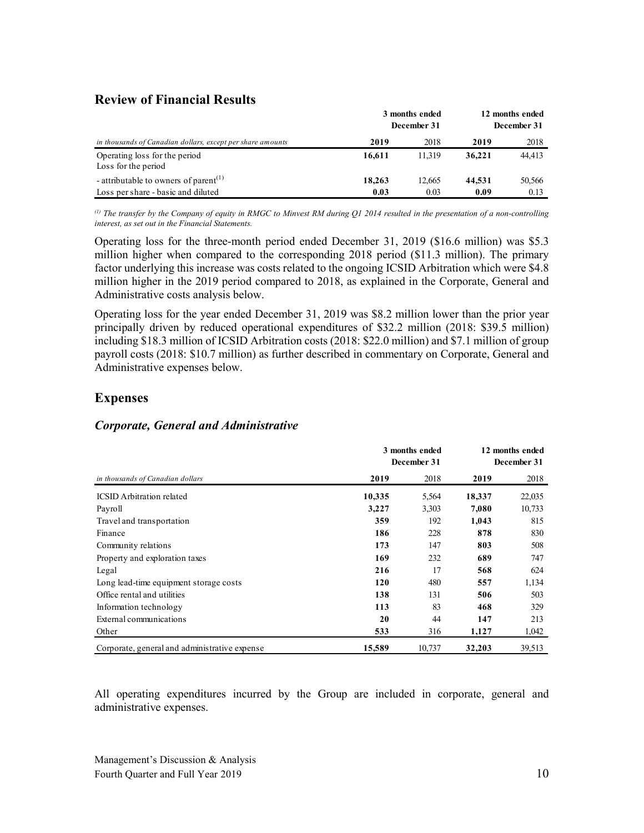## **Review of Financial Results**

|                                                            |        | 3 months ended<br>December 31 | 12 months ended<br>December 31 |        |  |
|------------------------------------------------------------|--------|-------------------------------|--------------------------------|--------|--|
| in thousands of Canadian dollars, except per share amounts | 2019   | 2018                          | 2019                           | 2018   |  |
| Operating loss for the period                              | 16,611 | 11.319                        | 36,221                         | 44,413 |  |
| Loss for the period                                        |        |                               |                                |        |  |
| - attributable to owners of parent <sup>(1)</sup>          | 18.263 | 12.665                        | 44.531                         | 50,566 |  |
| Loss per share - basic and diluted                         | 0.03   | 0.03                          | 0.09                           | 0.13   |  |

*(1) The transfer by the Company of equity in RMGC to Minvest RM during Q1 2014 resulted in the presentation of a non-controlling interest, as set out in the Financial Statements.*

Operating loss for the three-month period ended December 31, 2019 (\$16.6 million) was \$5.3 million higher when compared to the corresponding 2018 period (\$11.3 million). The primary factor underlying this increase was costs related to the ongoing ICSID Arbitration which were \$4.8 million higher in the 2019 period compared to 2018, as explained in the Corporate, General and Administrative costs analysis below.

Operating loss for the year ended December 31, 2019 was \$8.2 million lower than the prior year principally driven by reduced operational expenditures of \$32.2 million (2018: \$39.5 million) including \$18.3 million of ICSID Arbitration costs (2018: \$22.0 million) and \$7.1 million of group payroll costs (2018: \$10.7 million) as further described in commentary on Corporate, General and Administrative expenses below.

### **Expenses**

### *Corporate, General and Administrative*

|                                               | 3 months ended<br>December 31 | 12 months ended<br>December 31 |        |        |
|-----------------------------------------------|-------------------------------|--------------------------------|--------|--------|
| in thousands of Canadian dollars              | 2019                          | 2018                           | 2019   | 2018   |
| <b>ICSID</b> Arbitration related              | 10,335                        | 5,564                          | 18,337 | 22,035 |
| Payroll                                       | 3,227                         | 3,303                          | 7,080  | 10,733 |
| Travel and transportation                     | 359                           | 192                            | 1,043  | 815    |
| Finance                                       | 186                           | 228                            | 878    | 830    |
| Community relations                           | 173                           | 147                            | 803    | 508    |
| Property and exploration taxes                | 169                           | 232                            | 689    | 747    |
| Legal                                         | 216                           | 17                             | 568    | 624    |
| Long lead-time equipment storage costs        | 120                           | 480                            | 557    | 1,134  |
| Office rental and utilities                   | 138                           | 131                            | 506    | 503    |
| Information technology                        | 113                           | 83                             | 468    | 329    |
| External communications                       | 20                            | 44                             | 147    | 213    |
| Other                                         | 533                           | 316                            | 1,127  | 1,042  |
| Corporate, general and administrative expense | 15,589                        | 10,737                         | 32,203 | 39,513 |

All operating expenditures incurred by the Group are included in corporate, general and administrative expenses.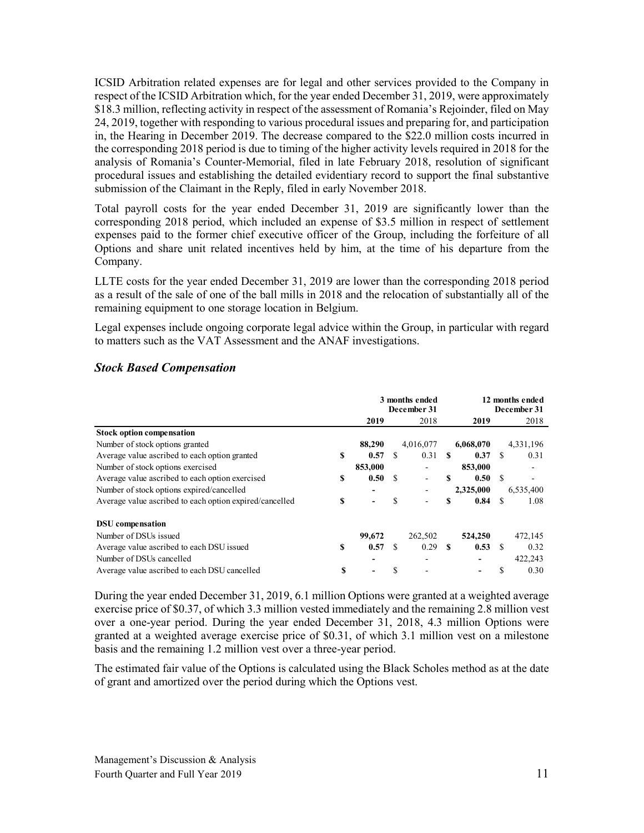ICSID Arbitration related expenses are for legal and other services provided to the Company in respect of the ICSID Arbitration which, for the year ended December 31, 2019, were approximately \$18.3 million, reflecting activity in respect of the assessment of Romania's Rejoinder, filed on May 24, 2019, together with responding to various procedural issues and preparing for, and participation in, the Hearing in December 2019. The decrease compared to the \$22.0 million costs incurred in the corresponding 2018 period is due to timing of the higher activity levels required in 2018 for the analysis of Romania's Counter-Memorial, filed in late February 2018, resolution of significant procedural issues and establishing the detailed evidentiary record to support the final substantive submission of the Claimant in the Reply, filed in early November 2018.

Total payroll costs for the year ended December 31, 2019 are significantly lower than the corresponding 2018 period, which included an expense of \$3.5 million in respect of settlement expenses paid to the former chief executive officer of the Group, including the forfeiture of all Options and share unit related incentives held by him, at the time of his departure from the Company.

LLTE costs for the year ended December 31, 2019 are lower than the corresponding 2018 period as a result of the sale of one of the ball mills in 2018 and the relocation of substantially all of the remaining equipment to one storage location in Belgium.

Legal expenses include ongoing corporate legal advice within the Group, in particular with regard to matters such as the VAT Assessment and the ANAF investigations.

|                                                         |   | 3 months ended           |    |             | 12 months ended |                          |               |             |
|---------------------------------------------------------|---|--------------------------|----|-------------|-----------------|--------------------------|---------------|-------------|
|                                                         |   |                          |    | December 31 |                 |                          |               | December 31 |
|                                                         |   | 2019                     |    | 2018        |                 | 2019                     |               | 2018        |
| <b>Stock option compensation</b>                        |   |                          |    |             |                 |                          |               |             |
| Number of stock options granted                         |   | 88,290                   |    | 4,016,077   |                 | 6,068,070                |               | 4,331,196   |
| Average value ascribed to each option granted           | S | 0.57                     | S  | 0.31        | S               | 0.37                     | S             | 0.31        |
| Number of stock options exercised                       |   | 853,000                  |    |             |                 | 853,000                  |               |             |
| Average value ascribed to each option exercised         | S | 0.50                     | -S |             | S               | 0.50                     | <sup>\$</sup> |             |
| Number of stock options expired/cancelled               |   | $\overline{\phantom{0}}$ |    |             |                 | 2,325,000                |               | 6,535,400   |
| Average value ascribed to each option expired/cancelled | S |                          | S  |             | S               | 0.84                     | \$.           | 1.08        |
| <b>DSU</b> compensation                                 |   |                          |    |             |                 |                          |               |             |
| Number of DSUs issued                                   |   | 99,672                   |    | 262,502     |                 | 524,250                  |               | 472,145     |
| Average value ascribed to each DSU issued               | S | 0.57                     | S  | 0.29        | -S              | 0.53                     | -S            | 0.32        |
| Number of DSUs cancelled                                |   | $\overline{\phantom{0}}$ |    |             |                 | $\overline{\phantom{a}}$ |               | 422,243     |
| Average value ascribed to each DSU cancelled            | S |                          | \$ |             |                 |                          | S             | 0.30        |

### *Stock Based Compensation*

During the year ended December 31, 2019, 6.1 million Options were granted at a weighted average exercise price of \$0.37, of which 3.3 million vested immediately and the remaining 2.8 million vest over a one-year period. During the year ended December 31, 2018, 4.3 million Options were granted at a weighted average exercise price of \$0.31, of which 3.1 million vest on a milestone basis and the remaining 1.2 million vest over a three-year period.

The estimated fair value of the Options is calculated using the Black Scholes method as at the date of grant and amortized over the period during which the Options vest.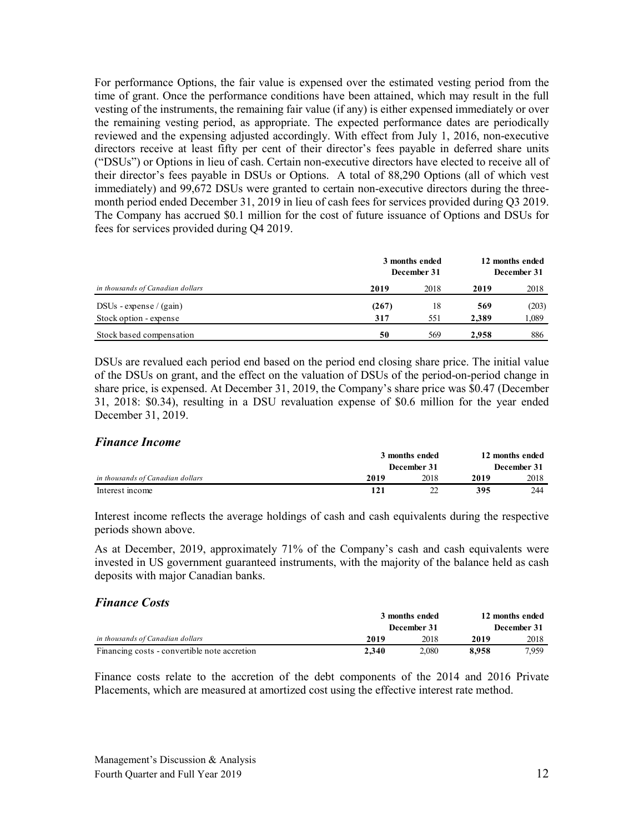For performance Options, the fair value is expensed over the estimated vesting period from the time of grant. Once the performance conditions have been attained, which may result in the full vesting of the instruments, the remaining fair value (if any) is either expensed immediately or over the remaining vesting period, as appropriate. The expected performance dates are periodically reviewed and the expensing adjusted accordingly. With effect from July 1, 2016, non-executive directors receive at least fifty per cent of their director's fees payable in deferred share units ("DSUs") or Options in lieu of cash. Certain non-executive directors have elected to receive all of their director's fees payable in DSUs or Options. A total of 88,290 Options (all of which vest immediately) and 99,672 DSUs were granted to certain non-executive directors during the threemonth period ended December 31, 2019 in lieu of cash fees for services provided during Q3 2019. The Company has accrued \$0.1 million for the cost of future issuance of Options and DSUs for fees for services provided during Q4 2019.

|                                  |       | 3 months ended<br>December 31 | 12 months ended<br>December 31 |       |  |
|----------------------------------|-------|-------------------------------|--------------------------------|-------|--|
| in thousands of Canadian dollars | 2019  | 2018                          | 2019                           | 2018  |  |
| $DSUs - expense / (gain)$        | (267) | 18                            | 569                            | (203) |  |
| Stock option - expense           | 317   | 551                           | 2.389                          | 1,089 |  |
| Stock based compensation         | 50    | 569                           | 2.958                          | 886   |  |

DSUs are revalued each period end based on the period end closing share price. The initial value of the DSUs on grant, and the effect on the valuation of DSUs of the period-on-period change in share price, is expensed. At December 31, 2019, the Company's share price was \$0.47 (December 31, 2018: \$0.34), resulting in a DSU revaluation expense of \$0.6 million for the year ended December 31, 2019.

#### *Finance Income*

|                                  | 3 months ended |      | 12 months ended |      |  |
|----------------------------------|----------------|------|-----------------|------|--|
|                                  | December 31    |      | December 31     |      |  |
| in thousands of Canadian dollars | 2019           | 2018 | 2019            | 2018 |  |
| Interest income                  | 121            |      | 395             | 244  |  |

Interest income reflects the average holdings of cash and cash equivalents during the respective periods shown above.

As at December, 2019, approximately 71% of the Company's cash and cash equivalents were invested in US government guaranteed instruments, with the majority of the balance held as cash deposits with major Canadian banks.

#### *Finance Costs*

|                                              | 3 months ended |       | 12 months ended |             |  |
|----------------------------------------------|----------------|-------|-----------------|-------------|--|
|                                              | December 31    |       |                 | December 31 |  |
| in thousands of Canadian dollars             | 2019           | 2018  | 2019            | 2018        |  |
| Financing costs - convertible note accretion | 2.340          | 2.080 | 8.958           | 7.959       |  |

Finance costs relate to the accretion of the debt components of the 2014 and 2016 Private Placements, which are measured at amortized cost using the effective interest rate method.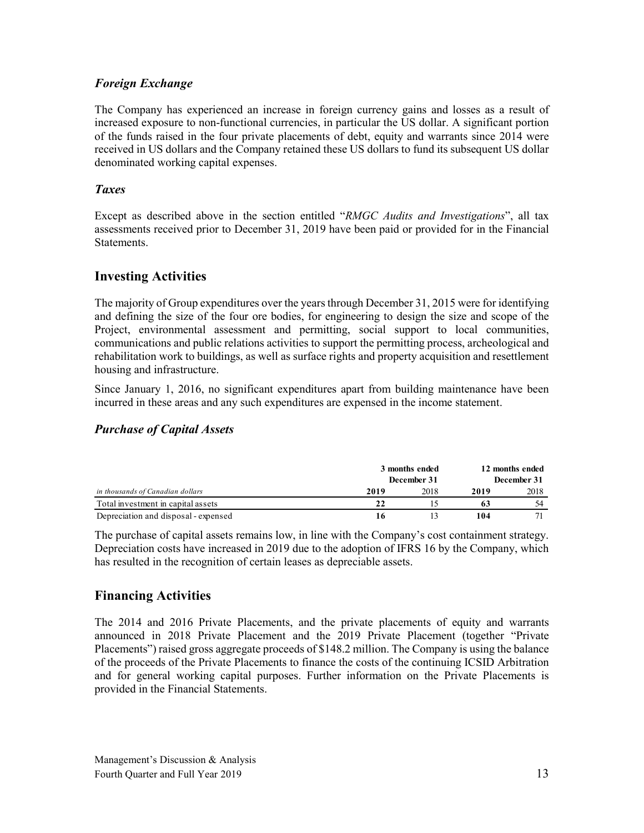### *Foreign Exchange*

The Company has experienced an increase in foreign currency gains and losses as a result of increased exposure to non-functional currencies, in particular the US dollar. A significant portion of the funds raised in the four private placements of debt, equity and warrants since 2014 were received in US dollars and the Company retained these US dollars to fund its subsequent US dollar denominated working capital expenses.

### *Taxes*

Except as described above in the section entitled "*RMGC Audits and Investigations*", all tax assessments received prior to December 31, 2019 have been paid or provided for in the Financial Statements.

# **Investing Activities**

The majority of Group expenditures over the years through December 31, 2015 were for identifying and defining the size of the four ore bodies, for engineering to design the size and scope of the Project, environmental assessment and permitting, social support to local communities, communications and public relations activities to support the permitting process, archeological and rehabilitation work to buildings, as well as surface rights and property acquisition and resettlement housing and infrastructure.

Since January 1, 2016, no significant expenditures apart from building maintenance have been incurred in these areas and any such expenditures are expensed in the income statement.

## *Purchase of Capital Assets*

|                                      |      | 3 months ended |      | 12 months ended |  |  |
|--------------------------------------|------|----------------|------|-----------------|--|--|
|                                      |      | December 31    |      | December 31     |  |  |
| in thousands of Canadian dollars     | 2019 | 2018           | 2019 | 2018            |  |  |
| Total investment in capital assets   | 22   |                |      | 54              |  |  |
| Depreciation and disposal - expensed |      |                | 104  |                 |  |  |

The purchase of capital assets remains low, in line with the Company's cost containment strategy. Depreciation costs have increased in 2019 due to the adoption of IFRS 16 by the Company, which has resulted in the recognition of certain leases as depreciable assets.

## **Financing Activities**

The 2014 and 2016 Private Placements, and the private placements of equity and warrants announced in 2018 Private Placement and the 2019 Private Placement (together "Private Placements") raised gross aggregate proceeds of \$148.2 million. The Company is using the balance of the proceeds of the Private Placements to finance the costs of the continuing ICSID Arbitration and for general working capital purposes. Further information on the Private Placements is provided in the Financial Statements.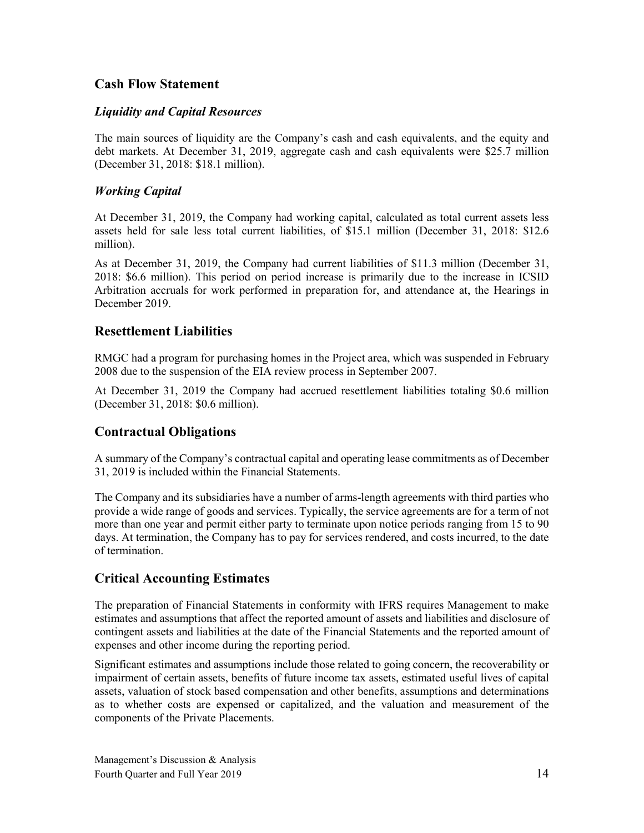# **Cash Flow Statement**

### *Liquidity and Capital Resources*

The main sources of liquidity are the Company's cash and cash equivalents, and the equity and debt markets. At December 31, 2019, aggregate cash and cash equivalents were \$25.7 million (December 31, 2018: \$18.1 million).

### *Working Capital*

At December 31, 2019, the Company had working capital, calculated as total current assets less assets held for sale less total current liabilities, of \$15.1 million (December 31, 2018: \$12.6 million).

As at December 31, 2019, the Company had current liabilities of \$11.3 million (December 31, 2018: \$6.6 million). This period on period increase is primarily due to the increase in ICSID Arbitration accruals for work performed in preparation for, and attendance at, the Hearings in December 2019.

# **Resettlement Liabilities**

RMGC had a program for purchasing homes in the Project area, which was suspended in February 2008 due to the suspension of the EIA review process in September 2007.

At December 31, 2019 the Company had accrued resettlement liabilities totaling \$0.6 million (December 31, 2018: \$0.6 million).

## **Contractual Obligations**

A summary of the Company's contractual capital and operating lease commitments as of December 31, 2019 is included within the Financial Statements.

The Company and its subsidiaries have a number of arms-length agreements with third parties who provide a wide range of goods and services. Typically, the service agreements are for a term of not more than one year and permit either party to terminate upon notice periods ranging from 15 to 90 days. At termination, the Company has to pay for services rendered, and costs incurred, to the date of termination.

# **Critical Accounting Estimates**

The preparation of Financial Statements in conformity with IFRS requires Management to make estimates and assumptions that affect the reported amount of assets and liabilities and disclosure of contingent assets and liabilities at the date of the Financial Statements and the reported amount of expenses and other income during the reporting period.

Significant estimates and assumptions include those related to going concern, the recoverability or impairment of certain assets, benefits of future income tax assets, estimated useful lives of capital assets, valuation of stock based compensation and other benefits, assumptions and determinations as to whether costs are expensed or capitalized, and the valuation and measurement of the components of the Private Placements.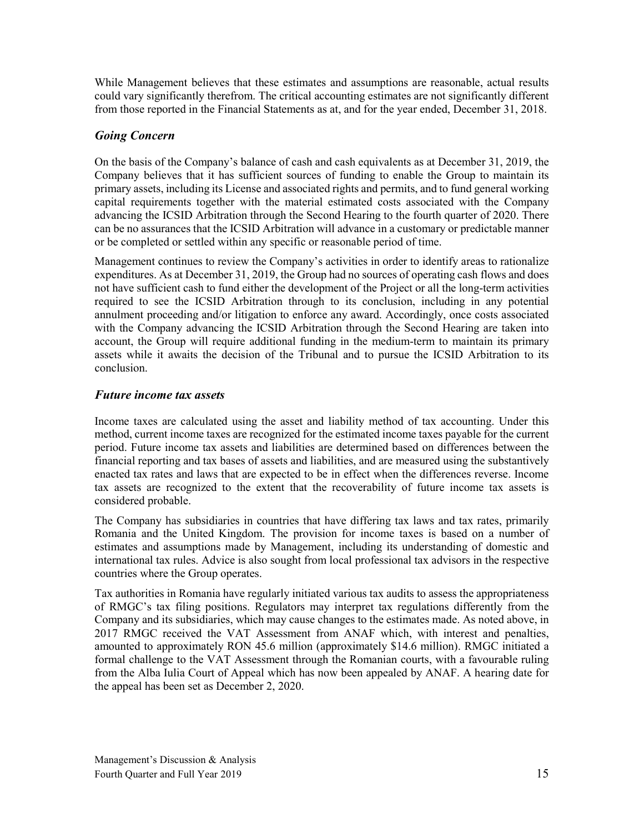While Management believes that these estimates and assumptions are reasonable, actual results could vary significantly therefrom. The critical accounting estimates are not significantly different from those reported in the Financial Statements as at, and for the year ended, December 31, 2018.

## *Going Concern*

On the basis of the Company's balance of cash and cash equivalents as at December 31, 2019, the Company believes that it has sufficient sources of funding to enable the Group to maintain its primary assets, including its License and associated rights and permits, and to fund general working capital requirements together with the material estimated costs associated with the Company advancing the ICSID Arbitration through the Second Hearing to the fourth quarter of 2020. There can be no assurances that the ICSID Arbitration will advance in a customary or predictable manner or be completed or settled within any specific or reasonable period of time.

Management continues to review the Company's activities in order to identify areas to rationalize expenditures. As at December 31, 2019, the Group had no sources of operating cash flows and does not have sufficient cash to fund either the development of the Project or all the long-term activities required to see the ICSID Arbitration through to its conclusion, including in any potential annulment proceeding and/or litigation to enforce any award. Accordingly, once costs associated with the Company advancing the ICSID Arbitration through the Second Hearing are taken into account, the Group will require additional funding in the medium-term to maintain its primary assets while it awaits the decision of the Tribunal and to pursue the ICSID Arbitration to its conclusion.

### *Future income tax assets*

Income taxes are calculated using the asset and liability method of tax accounting. Under this method, current income taxes are recognized for the estimated income taxes payable for the current period. Future income tax assets and liabilities are determined based on differences between the financial reporting and tax bases of assets and liabilities, and are measured using the substantively enacted tax rates and laws that are expected to be in effect when the differences reverse. Income tax assets are recognized to the extent that the recoverability of future income tax assets is considered probable.

The Company has subsidiaries in countries that have differing tax laws and tax rates, primarily Romania and the United Kingdom. The provision for income taxes is based on a number of estimates and assumptions made by Management, including its understanding of domestic and international tax rules. Advice is also sought from local professional tax advisors in the respective countries where the Group operates.

Tax authorities in Romania have regularly initiated various tax audits to assess the appropriateness of RMGC's tax filing positions. Regulators may interpret tax regulations differently from the Company and its subsidiaries, which may cause changes to the estimates made. As noted above, in 2017 RMGC received the VAT Assessment from ANAF which, with interest and penalties, amounted to approximately RON 45.6 million (approximately \$14.6 million). RMGC initiated a formal challenge to the VAT Assessment through the Romanian courts, with a favourable ruling from the Alba Iulia Court of Appeal which has now been appealed by ANAF. A hearing date for the appeal has been set as December 2, 2020.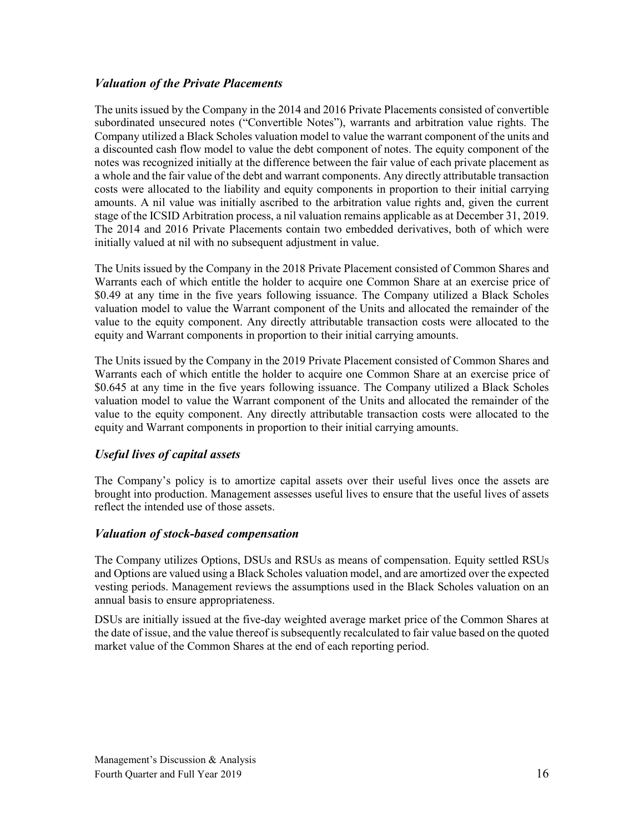### *Valuation of the Private Placements*

The units issued by the Company in the 2014 and 2016 Private Placements consisted of convertible subordinated unsecured notes ("Convertible Notes"), warrants and arbitration value rights. The Company utilized a Black Scholes valuation model to value the warrant component of the units and a discounted cash flow model to value the debt component of notes. The equity component of the notes was recognized initially at the difference between the fair value of each private placement as a whole and the fair value of the debt and warrant components. Any directly attributable transaction costs were allocated to the liability and equity components in proportion to their initial carrying amounts. A nil value was initially ascribed to the arbitration value rights and, given the current stage of the ICSID Arbitration process, a nil valuation remains applicable as at December 31, 2019. The 2014 and 2016 Private Placements contain two embedded derivatives, both of which were initially valued at nil with no subsequent adjustment in value.

The Units issued by the Company in the 2018 Private Placement consisted of Common Shares and Warrants each of which entitle the holder to acquire one Common Share at an exercise price of \$0.49 at any time in the five years following issuance. The Company utilized a Black Scholes valuation model to value the Warrant component of the Units and allocated the remainder of the value to the equity component. Any directly attributable transaction costs were allocated to the equity and Warrant components in proportion to their initial carrying amounts.

The Units issued by the Company in the 2019 Private Placement consisted of Common Shares and Warrants each of which entitle the holder to acquire one Common Share at an exercise price of \$0.645 at any time in the five years following issuance. The Company utilized a Black Scholes valuation model to value the Warrant component of the Units and allocated the remainder of the value to the equity component. Any directly attributable transaction costs were allocated to the equity and Warrant components in proportion to their initial carrying amounts.

## *Useful lives of capital assets*

The Company's policy is to amortize capital assets over their useful lives once the assets are brought into production. Management assesses useful lives to ensure that the useful lives of assets reflect the intended use of those assets.

### *Valuation of stock-based compensation*

The Company utilizes Options, DSUs and RSUs as means of compensation. Equity settled RSUs and Options are valued using a Black Scholes valuation model, and are amortized over the expected vesting periods. Management reviews the assumptions used in the Black Scholes valuation on an annual basis to ensure appropriateness.

DSUs are initially issued at the five-day weighted average market price of the Common Shares at the date of issue, and the value thereof is subsequently recalculated to fair value based on the quoted market value of the Common Shares at the end of each reporting period.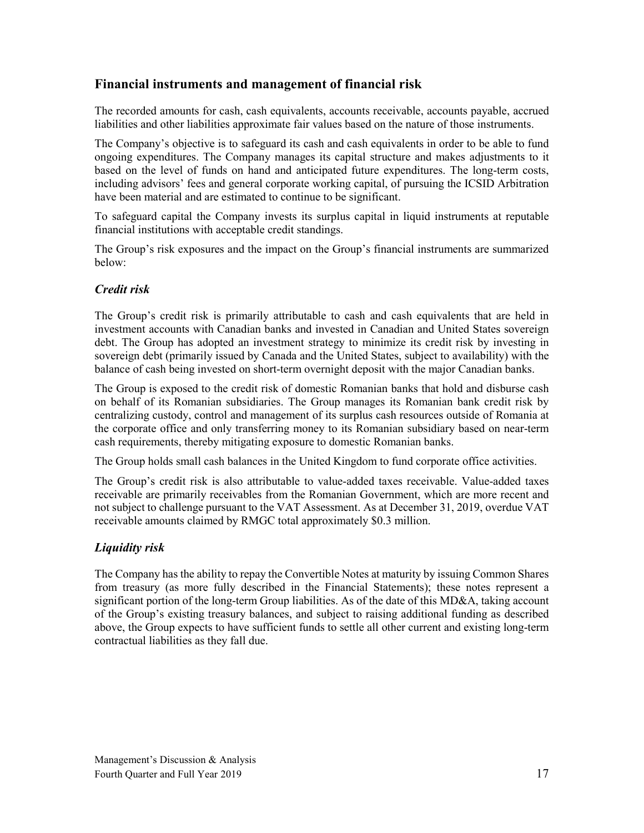## **Financial instruments and management of financial risk**

The recorded amounts for cash, cash equivalents, accounts receivable, accounts payable, accrued liabilities and other liabilities approximate fair values based on the nature of those instruments.

The Company's objective is to safeguard its cash and cash equivalents in order to be able to fund ongoing expenditures. The Company manages its capital structure and makes adjustments to it based on the level of funds on hand and anticipated future expenditures. The long-term costs, including advisors' fees and general corporate working capital, of pursuing the ICSID Arbitration have been material and are estimated to continue to be significant.

To safeguard capital the Company invests its surplus capital in liquid instruments at reputable financial institutions with acceptable credit standings.

The Group's risk exposures and the impact on the Group's financial instruments are summarized below:

## *Credit risk*

The Group's credit risk is primarily attributable to cash and cash equivalents that are held in investment accounts with Canadian banks and invested in Canadian and United States sovereign debt. The Group has adopted an investment strategy to minimize its credit risk by investing in sovereign debt (primarily issued by Canada and the United States, subject to availability) with the balance of cash being invested on short-term overnight deposit with the major Canadian banks.

The Group is exposed to the credit risk of domestic Romanian banks that hold and disburse cash on behalf of its Romanian subsidiaries. The Group manages its Romanian bank credit risk by centralizing custody, control and management of its surplus cash resources outside of Romania at the corporate office and only transferring money to its Romanian subsidiary based on near-term cash requirements, thereby mitigating exposure to domestic Romanian banks.

The Group holds small cash balances in the United Kingdom to fund corporate office activities.

The Group's credit risk is also attributable to value-added taxes receivable. Value-added taxes receivable are primarily receivables from the Romanian Government, which are more recent and not subject to challenge pursuant to the VAT Assessment. As at December 31, 2019, overdue VAT receivable amounts claimed by RMGC total approximately \$0.3 million.

## *Liquidity risk*

The Company has the ability to repay the Convertible Notes at maturity by issuing Common Shares from treasury (as more fully described in the Financial Statements); these notes represent a significant portion of the long-term Group liabilities. As of the date of this MD&A, taking account of the Group's existing treasury balances, and subject to raising additional funding as described above, the Group expects to have sufficient funds to settle all other current and existing long-term contractual liabilities as they fall due.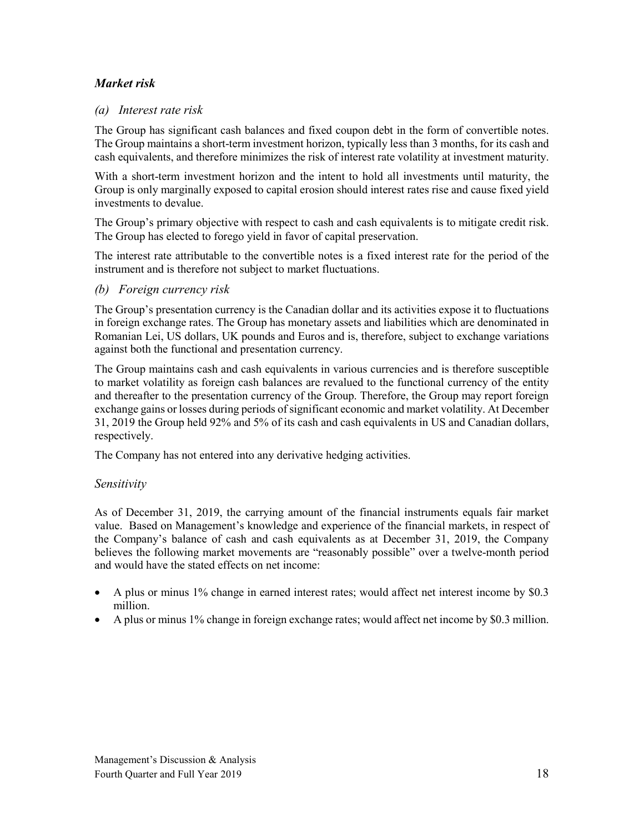### *Market risk*

#### *(a) Interest rate risk*

The Group has significant cash balances and fixed coupon debt in the form of convertible notes. The Group maintains a short-term investment horizon, typically less than 3 months, for its cash and cash equivalents, and therefore minimizes the risk of interest rate volatility at investment maturity.

With a short-term investment horizon and the intent to hold all investments until maturity, the Group is only marginally exposed to capital erosion should interest rates rise and cause fixed yield investments to devalue.

The Group's primary objective with respect to cash and cash equivalents is to mitigate credit risk. The Group has elected to forego yield in favor of capital preservation.

The interest rate attributable to the convertible notes is a fixed interest rate for the period of the instrument and is therefore not subject to market fluctuations.

*(b) Foreign currency risk*

The Group's presentation currency is the Canadian dollar and its activities expose it to fluctuations in foreign exchange rates. The Group has monetary assets and liabilities which are denominated in Romanian Lei, US dollars, UK pounds and Euros and is, therefore, subject to exchange variations against both the functional and presentation currency.

The Group maintains cash and cash equivalents in various currencies and is therefore susceptible to market volatility as foreign cash balances are revalued to the functional currency of the entity and thereafter to the presentation currency of the Group. Therefore, the Group may report foreign exchange gains or losses during periods of significant economic and market volatility. At December 31, 2019 the Group held 92% and 5% of its cash and cash equivalents in US and Canadian dollars, respectively.

The Company has not entered into any derivative hedging activities.

#### *Sensitivity*

As of December 31, 2019, the carrying amount of the financial instruments equals fair market value. Based on Management's knowledge and experience of the financial markets, in respect of the Company's balance of cash and cash equivalents as at December 31, 2019, the Company believes the following market movements are "reasonably possible" over a twelve-month period and would have the stated effects on net income:

- A plus or minus 1% change in earned interest rates; would affect net interest income by \$0.3 million.
- A plus or minus 1% change in foreign exchange rates; would affect net income by \$0.3 million.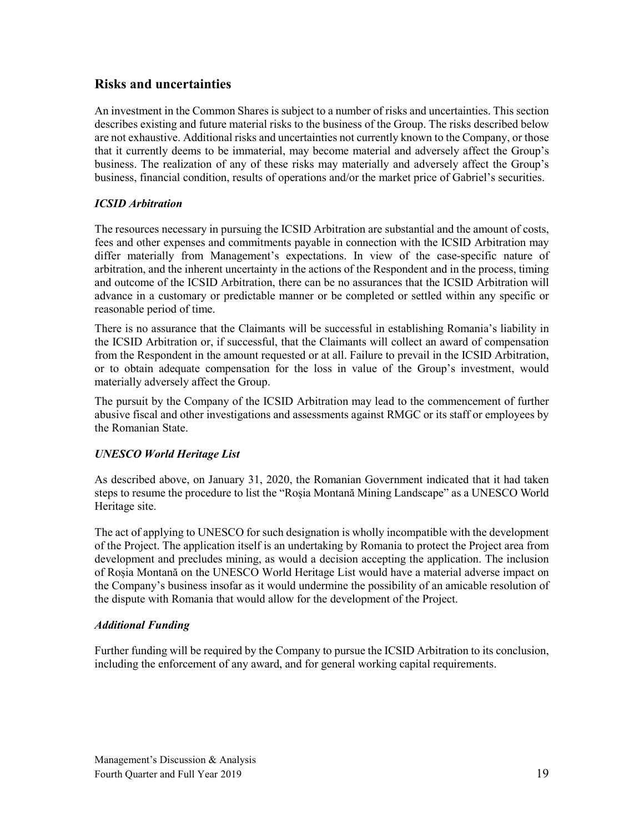## **Risks and uncertainties**

An investment in the Common Shares is subject to a number of risks and uncertainties. This section describes existing and future material risks to the business of the Group. The risks described below are not exhaustive. Additional risks and uncertainties not currently known to the Company, or those that it currently deems to be immaterial, may become material and adversely affect the Group's business. The realization of any of these risks may materially and adversely affect the Group's business, financial condition, results of operations and/or the market price of Gabriel's securities.

### *ICSID Arbitration*

The resources necessary in pursuing the ICSID Arbitration are substantial and the amount of costs, fees and other expenses and commitments payable in connection with the ICSID Arbitration may differ materially from Management's expectations. In view of the case-specific nature of arbitration, and the inherent uncertainty in the actions of the Respondent and in the process, timing and outcome of the ICSID Arbitration, there can be no assurances that the ICSID Arbitration will advance in a customary or predictable manner or be completed or settled within any specific or reasonable period of time.

There is no assurance that the Claimants will be successful in establishing Romania's liability in the ICSID Arbitration or, if successful, that the Claimants will collect an award of compensation from the Respondent in the amount requested or at all. Failure to prevail in the ICSID Arbitration, or to obtain adequate compensation for the loss in value of the Group's investment, would materially adversely affect the Group.

The pursuit by the Company of the ICSID Arbitration may lead to the commencement of further abusive fiscal and other investigations and assessments against RMGC or its staff or employees by the Romanian State.

### *UNESCO World Heritage List*

As described above, on January 31, 2020, the Romanian Government indicated that it had taken steps to resume the procedure to list the "Roşia Montană Mining Landscape" as a UNESCO World Heritage site.

The act of applying to UNESCO for such designation is wholly incompatible with the development of the Project. The application itself is an undertaking by Romania to protect the Project area from development and precludes mining, as would a decision accepting the application. The inclusion of Roșia Montană on the UNESCO World Heritage List would have a material adverse impact on the Company's business insofar as it would undermine the possibility of an amicable resolution of the dispute with Romania that would allow for the development of the Project.

### *Additional Funding*

Further funding will be required by the Company to pursue the ICSID Arbitration to its conclusion, including the enforcement of any award, and for general working capital requirements.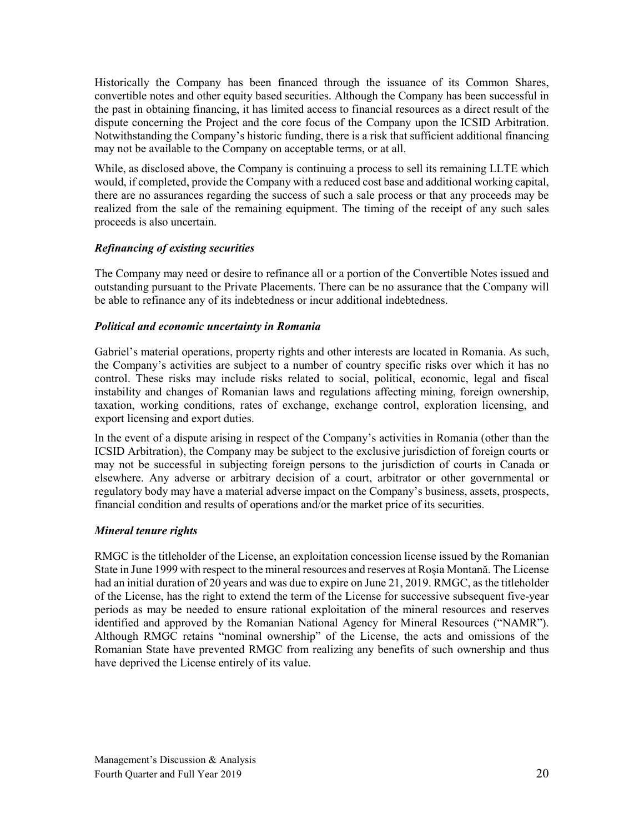Historically the Company has been financed through the issuance of its Common Shares, convertible notes and other equity based securities. Although the Company has been successful in the past in obtaining financing, it has limited access to financial resources as a direct result of the dispute concerning the Project and the core focus of the Company upon the ICSID Arbitration. Notwithstanding the Company's historic funding, there is a risk that sufficient additional financing may not be available to the Company on acceptable terms, or at all.

While, as disclosed above, the Company is continuing a process to sell its remaining LLTE which would, if completed, provide the Company with a reduced cost base and additional working capital, there are no assurances regarding the success of such a sale process or that any proceeds may be realized from the sale of the remaining equipment. The timing of the receipt of any such sales proceeds is also uncertain.

#### *Refinancing of existing securities*

The Company may need or desire to refinance all or a portion of the Convertible Notes issued and outstanding pursuant to the Private Placements. There can be no assurance that the Company will be able to refinance any of its indebtedness or incur additional indebtedness.

### *Political and economic uncertainty in Romania*

Gabriel's material operations, property rights and other interests are located in Romania. As such, the Company's activities are subject to a number of country specific risks over which it has no control. These risks may include risks related to social, political, economic, legal and fiscal instability and changes of Romanian laws and regulations affecting mining, foreign ownership, taxation, working conditions, rates of exchange, exchange control, exploration licensing, and export licensing and export duties.

In the event of a dispute arising in respect of the Company's activities in Romania (other than the ICSID Arbitration), the Company may be subject to the exclusive jurisdiction of foreign courts or may not be successful in subjecting foreign persons to the jurisdiction of courts in Canada or elsewhere. Any adverse or arbitrary decision of a court, arbitrator or other governmental or regulatory body may have a material adverse impact on the Company's business, assets, prospects, financial condition and results of operations and/or the market price of its securities.

#### *Mineral tenure rights*

RMGC is the titleholder of the License, an exploitation concession license issued by the Romanian State in June 1999 with respect to the mineral resources and reserves at Roşia Montană. The License had an initial duration of 20 years and was due to expire on June 21, 2019. RMGC, as the titleholder of the License, has the right to extend the term of the License for successive subsequent five-year periods as may be needed to ensure rational exploitation of the mineral resources and reserves identified and approved by the Romanian National Agency for Mineral Resources ("NAMR"). Although RMGC retains "nominal ownership" of the License, the acts and omissions of the Romanian State have prevented RMGC from realizing any benefits of such ownership and thus have deprived the License entirely of its value.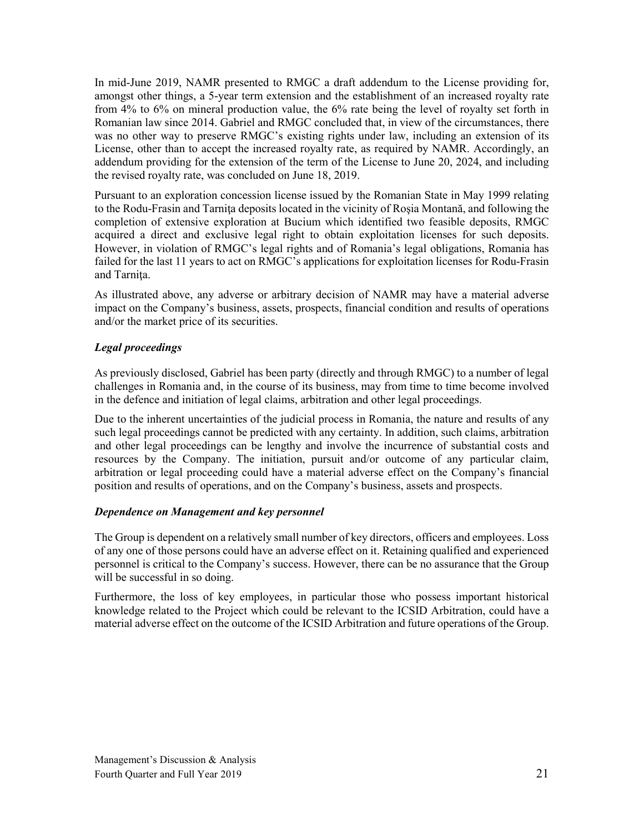In mid-June 2019, NAMR presented to RMGC a draft addendum to the License providing for, amongst other things, a 5-year term extension and the establishment of an increased royalty rate from 4% to 6% on mineral production value, the 6% rate being the level of royalty set forth in Romanian law since 2014. Gabriel and RMGC concluded that, in view of the circumstances, there was no other way to preserve RMGC's existing rights under law, including an extension of its License, other than to accept the increased royalty rate, as required by NAMR. Accordingly, an addendum providing for the extension of the term of the License to June 20, 2024, and including the revised royalty rate, was concluded on June 18, 2019.

Pursuant to an exploration concession license issued by the Romanian State in May 1999 relating to the Rodu-Frasin and Tarniţa deposits located in the vicinity of Roşia Montană, and following the completion of extensive exploration at Bucium which identified two feasible deposits, RMGC acquired a direct and exclusive legal right to obtain exploitation licenses for such deposits. However, in violation of RMGC's legal rights and of Romania's legal obligations, Romania has failed for the last 11 years to act on RMGC's applications for exploitation licenses for Rodu-Frasin and Tarnita.

As illustrated above, any adverse or arbitrary decision of NAMR may have a material adverse impact on the Company's business, assets, prospects, financial condition and results of operations and/or the market price of its securities.

### *Legal proceedings*

As previously disclosed, Gabriel has been party (directly and through RMGC) to a number of legal challenges in Romania and, in the course of its business, may from time to time become involved in the defence and initiation of legal claims, arbitration and other legal proceedings.

Due to the inherent uncertainties of the judicial process in Romania, the nature and results of any such legal proceedings cannot be predicted with any certainty. In addition, such claims, arbitration and other legal proceedings can be lengthy and involve the incurrence of substantial costs and resources by the Company. The initiation, pursuit and/or outcome of any particular claim, arbitration or legal proceeding could have a material adverse effect on the Company's financial position and results of operations, and on the Company's business, assets and prospects.

### *Dependence on Management and key personnel*

The Group is dependent on a relatively small number of key directors, officers and employees. Loss of any one of those persons could have an adverse effect on it. Retaining qualified and experienced personnel is critical to the Company's success. However, there can be no assurance that the Group will be successful in so doing.

Furthermore, the loss of key employees, in particular those who possess important historical knowledge related to the Project which could be relevant to the ICSID Arbitration, could have a material adverse effect on the outcome of the ICSID Arbitration and future operations of the Group.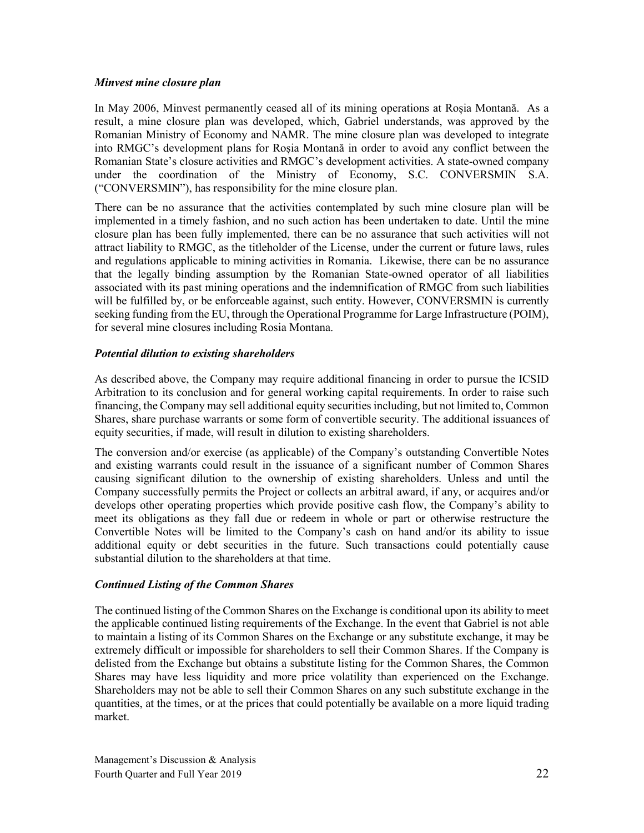#### *Minvest mine closure plan*

In May 2006, Minvest permanently ceased all of its mining operations at Roșia Montană. As a result, a mine closure plan was developed, which, Gabriel understands, was approved by the Romanian Ministry of Economy and NAMR. The mine closure plan was developed to integrate into RMGC's development plans for Roșia Montană in order to avoid any conflict between the Romanian State's closure activities and RMGC's development activities. A state-owned company under the coordination of the Ministry of Economy, S.C. CONVERSMIN S.A. ("CONVERSMIN"), has responsibility for the mine closure plan.

There can be no assurance that the activities contemplated by such mine closure plan will be implemented in a timely fashion, and no such action has been undertaken to date. Until the mine closure plan has been fully implemented, there can be no assurance that such activities will not attract liability to RMGC, as the titleholder of the License, under the current or future laws, rules and regulations applicable to mining activities in Romania. Likewise, there can be no assurance that the legally binding assumption by the Romanian State-owned operator of all liabilities associated with its past mining operations and the indemnification of RMGC from such liabilities will be fulfilled by, or be enforceable against, such entity. However, CONVERSMIN is currently seeking funding from the EU, through the Operational Programme for Large Infrastructure (POIM), for several mine closures including Rosia Montana.

#### *Potential dilution to existing shareholders*

As described above, the Company may require additional financing in order to pursue the ICSID Arbitration to its conclusion and for general working capital requirements. In order to raise such financing, the Company may sell additional equity securities including, but not limited to, Common Shares, share purchase warrants or some form of convertible security. The additional issuances of equity securities, if made, will result in dilution to existing shareholders.

The conversion and/or exercise (as applicable) of the Company's outstanding Convertible Notes and existing warrants could result in the issuance of a significant number of Common Shares causing significant dilution to the ownership of existing shareholders. Unless and until the Company successfully permits the Project or collects an arbitral award, if any, or acquires and/or develops other operating properties which provide positive cash flow, the Company's ability to meet its obligations as they fall due or redeem in whole or part or otherwise restructure the Convertible Notes will be limited to the Company's cash on hand and/or its ability to issue additional equity or debt securities in the future. Such transactions could potentially cause substantial dilution to the shareholders at that time.

#### *Continued Listing of the Common Shares*

The continued listing of the Common Shares on the Exchange is conditional upon its ability to meet the applicable continued listing requirements of the Exchange. In the event that Gabriel is not able to maintain a listing of its Common Shares on the Exchange or any substitute exchange, it may be extremely difficult or impossible for shareholders to sell their Common Shares. If the Company is delisted from the Exchange but obtains a substitute listing for the Common Shares, the Common Shares may have less liquidity and more price volatility than experienced on the Exchange. Shareholders may not be able to sell their Common Shares on any such substitute exchange in the quantities, at the times, or at the prices that could potentially be available on a more liquid trading market.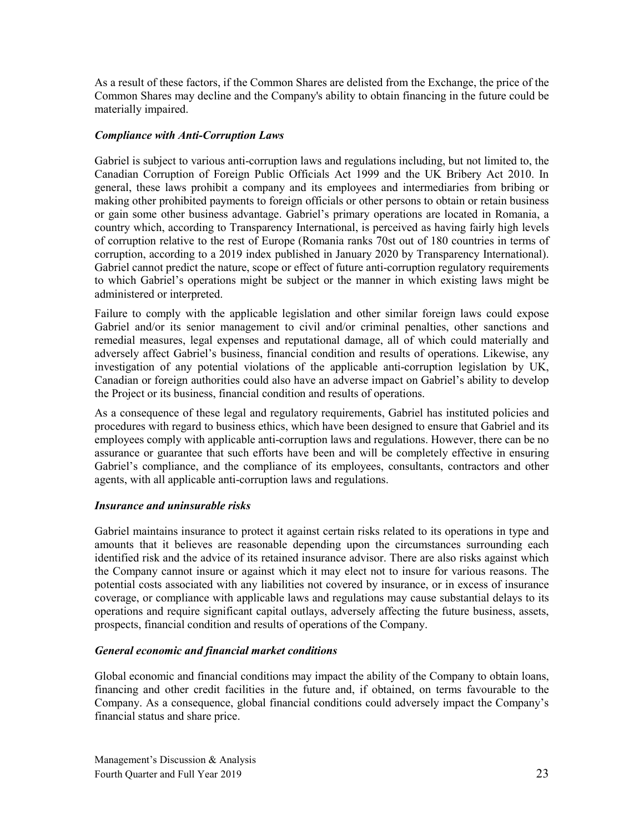As a result of these factors, if the Common Shares are delisted from the Exchange, the price of the Common Shares may decline and the Company's ability to obtain financing in the future could be materially impaired.

#### *Compliance with Anti-Corruption Laws*

Gabriel is subject to various anti-corruption laws and regulations including, but not limited to, the Canadian Corruption of Foreign Public Officials Act 1999 and the UK Bribery Act 2010. In general, these laws prohibit a company and its employees and intermediaries from bribing or making other prohibited payments to foreign officials or other persons to obtain or retain business or gain some other business advantage. Gabriel's primary operations are located in Romania, a country which, according to Transparency International, is perceived as having fairly high levels of corruption relative to the rest of Europe (Romania ranks 70st out of 180 countries in terms of corruption, according to a 2019 index published in January 2020 by Transparency International). Gabriel cannot predict the nature, scope or effect of future anti-corruption regulatory requirements to which Gabriel's operations might be subject or the manner in which existing laws might be administered or interpreted.

Failure to comply with the applicable legislation and other similar foreign laws could expose Gabriel and/or its senior management to civil and/or criminal penalties, other sanctions and remedial measures, legal expenses and reputational damage, all of which could materially and adversely affect Gabriel's business, financial condition and results of operations. Likewise, any investigation of any potential violations of the applicable anti-corruption legislation by UK, Canadian or foreign authorities could also have an adverse impact on Gabriel's ability to develop the Project or its business, financial condition and results of operations.

As a consequence of these legal and regulatory requirements, Gabriel has instituted policies and procedures with regard to business ethics, which have been designed to ensure that Gabriel and its employees comply with applicable anti-corruption laws and regulations. However, there can be no assurance or guarantee that such efforts have been and will be completely effective in ensuring Gabriel's compliance, and the compliance of its employees, consultants, contractors and other agents, with all applicable anti-corruption laws and regulations.

#### *Insurance and uninsurable risks*

Gabriel maintains insurance to protect it against certain risks related to its operations in type and amounts that it believes are reasonable depending upon the circumstances surrounding each identified risk and the advice of its retained insurance advisor. There are also risks against which the Company cannot insure or against which it may elect not to insure for various reasons. The potential costs associated with any liabilities not covered by insurance, or in excess of insurance coverage, or compliance with applicable laws and regulations may cause substantial delays to its operations and require significant capital outlays, adversely affecting the future business, assets, prospects, financial condition and results of operations of the Company.

#### *General economic and financial market conditions*

Global economic and financial conditions may impact the ability of the Company to obtain loans, financing and other credit facilities in the future and, if obtained, on terms favourable to the Company. As a consequence, global financial conditions could adversely impact the Company's financial status and share price.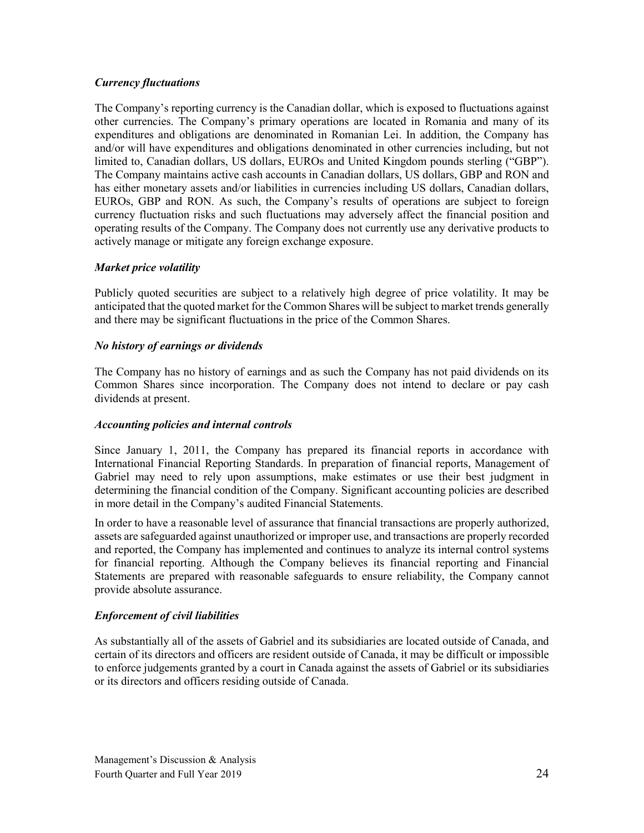#### *Currency fluctuations*

The Company's reporting currency is the Canadian dollar, which is exposed to fluctuations against other currencies. The Company's primary operations are located in Romania and many of its expenditures and obligations are denominated in Romanian Lei. In addition, the Company has and/or will have expenditures and obligations denominated in other currencies including, but not limited to, Canadian dollars, US dollars, EUROs and United Kingdom pounds sterling ("GBP"). The Company maintains active cash accounts in Canadian dollars, US dollars, GBP and RON and has either monetary assets and/or liabilities in currencies including US dollars, Canadian dollars, EUROs, GBP and RON. As such, the Company's results of operations are subject to foreign currency fluctuation risks and such fluctuations may adversely affect the financial position and operating results of the Company. The Company does not currently use any derivative products to actively manage or mitigate any foreign exchange exposure.

#### *Market price volatility*

Publicly quoted securities are subject to a relatively high degree of price volatility. It may be anticipated that the quoted market for the Common Shares will be subject to market trends generally and there may be significant fluctuations in the price of the Common Shares.

#### *No history of earnings or dividends*

The Company has no history of earnings and as such the Company has not paid dividends on its Common Shares since incorporation. The Company does not intend to declare or pay cash dividends at present.

#### *Accounting policies and internal controls*

Since January 1, 2011, the Company has prepared its financial reports in accordance with International Financial Reporting Standards. In preparation of financial reports, Management of Gabriel may need to rely upon assumptions, make estimates or use their best judgment in determining the financial condition of the Company. Significant accounting policies are described in more detail in the Company's audited Financial Statements.

In order to have a reasonable level of assurance that financial transactions are properly authorized, assets are safeguarded against unauthorized or improper use, and transactions are properly recorded and reported, the Company has implemented and continues to analyze its internal control systems for financial reporting. Although the Company believes its financial reporting and Financial Statements are prepared with reasonable safeguards to ensure reliability, the Company cannot provide absolute assurance.

### *Enforcement of civil liabilities*

As substantially all of the assets of Gabriel and its subsidiaries are located outside of Canada, and certain of its directors and officers are resident outside of Canada, it may be difficult or impossible to enforce judgements granted by a court in Canada against the assets of Gabriel or its subsidiaries or its directors and officers residing outside of Canada.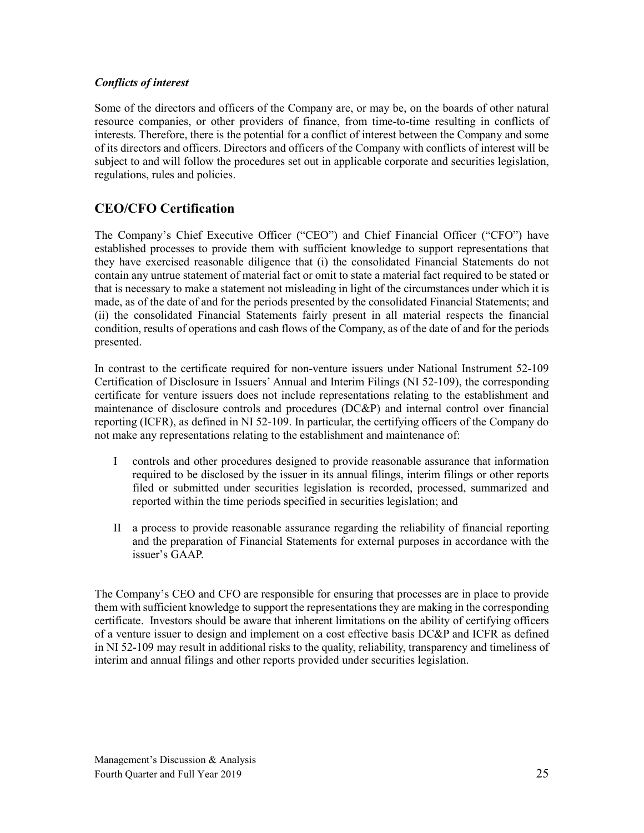#### *Conflicts of interest*

Some of the directors and officers of the Company are, or may be, on the boards of other natural resource companies, or other providers of finance, from time-to-time resulting in conflicts of interests. Therefore, there is the potential for a conflict of interest between the Company and some of its directors and officers. Directors and officers of the Company with conflicts of interest will be subject to and will follow the procedures set out in applicable corporate and securities legislation, regulations, rules and policies.

# **CEO/CFO Certification**

The Company's Chief Executive Officer ("CEO") and Chief Financial Officer ("CFO") have established processes to provide them with sufficient knowledge to support representations that they have exercised reasonable diligence that (i) the consolidated Financial Statements do not contain any untrue statement of material fact or omit to state a material fact required to be stated or that is necessary to make a statement not misleading in light of the circumstances under which it is made, as of the date of and for the periods presented by the consolidated Financial Statements; and (ii) the consolidated Financial Statements fairly present in all material respects the financial condition, results of operations and cash flows of the Company, as of the date of and for the periods presented.

In contrast to the certificate required for non-venture issuers under National Instrument 52-109 Certification of Disclosure in Issuers' Annual and Interim Filings (NI 52-109), the corresponding certificate for venture issuers does not include representations relating to the establishment and maintenance of disclosure controls and procedures (DC&P) and internal control over financial reporting (ICFR), as defined in NI 52-109. In particular, the certifying officers of the Company do not make any representations relating to the establishment and maintenance of:

- I controls and other procedures designed to provide reasonable assurance that information required to be disclosed by the issuer in its annual filings, interim filings or other reports filed or submitted under securities legislation is recorded, processed, summarized and reported within the time periods specified in securities legislation; and
- II a process to provide reasonable assurance regarding the reliability of financial reporting and the preparation of Financial Statements for external purposes in accordance with the issuer's GAAP.

The Company's CEO and CFO are responsible for ensuring that processes are in place to provide them with sufficient knowledge to support the representations they are making in the corresponding certificate. Investors should be aware that inherent limitations on the ability of certifying officers of a venture issuer to design and implement on a cost effective basis DC&P and ICFR as defined in NI 52-109 may result in additional risks to the quality, reliability, transparency and timeliness of interim and annual filings and other reports provided under securities legislation.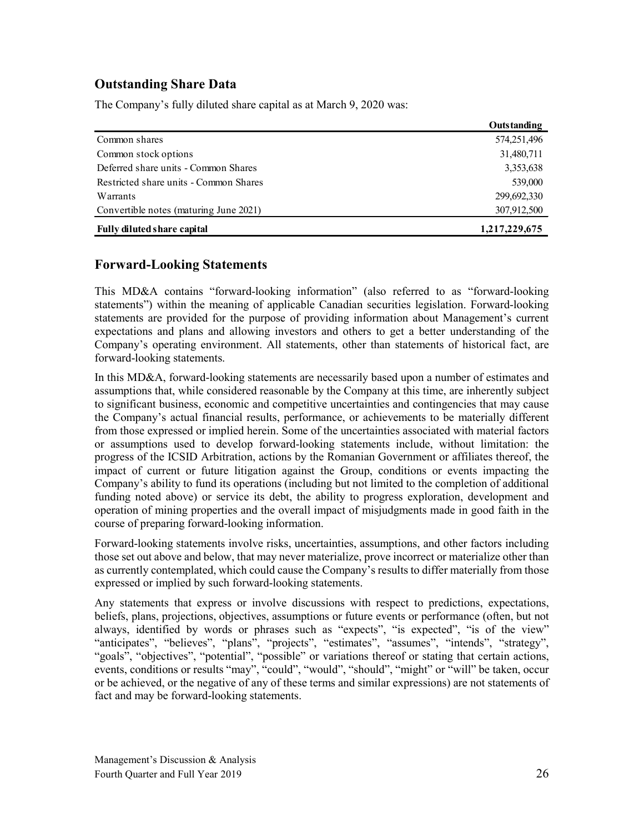# **Outstanding Share Data**

The Company's fully diluted share capital as at March 9, 2020 was:

|                                        | <b>Outstanding</b> |
|----------------------------------------|--------------------|
| Common shares                          | 574,251,496        |
| Common stock options                   | 31,480,711         |
| Deferred share units - Common Shares   | 3,353,638          |
| Restricted share units - Common Shares | 539,000            |
| Warrants                               | 299,692,330        |
| Convertible notes (maturing June 2021) | 307,912,500        |
| Fully diluted share capital            | 1,217,229,675      |

# **Forward-Looking Statements**

This MD&A contains "forward-looking information" (also referred to as "forward-looking statements") within the meaning of applicable Canadian securities legislation. Forward-looking statements are provided for the purpose of providing information about Management's current expectations and plans and allowing investors and others to get a better understanding of the Company's operating environment. All statements, other than statements of historical fact, are forward-looking statements.

In this MD&A, forward-looking statements are necessarily based upon a number of estimates and assumptions that, while considered reasonable by the Company at this time, are inherently subject to significant business, economic and competitive uncertainties and contingencies that may cause the Company's actual financial results, performance, or achievements to be materially different from those expressed or implied herein. Some of the uncertainties associated with material factors or assumptions used to develop forward-looking statements include, without limitation: the progress of the ICSID Arbitration, actions by the Romanian Government or affiliates thereof, the impact of current or future litigation against the Group, conditions or events impacting the Company's ability to fund its operations (including but not limited to the completion of additional funding noted above) or service its debt, the ability to progress exploration, development and operation of mining properties and the overall impact of misjudgments made in good faith in the course of preparing forward-looking information.

Forward-looking statements involve risks, uncertainties, assumptions, and other factors including those set out above and below, that may never materialize, prove incorrect or materialize other than as currently contemplated, which could cause the Company's results to differ materially from those expressed or implied by such forward-looking statements.

Any statements that express or involve discussions with respect to predictions, expectations, beliefs, plans, projections, objectives, assumptions or future events or performance (often, but not always, identified by words or phrases such as "expects", "is expected", "is of the view" "anticipates", "believes", "plans", "projects", "estimates", "assumes", "intends", "strategy", "goals", "objectives", "potential", "possible" or variations thereof or stating that certain actions, events, conditions or results "may", "could", "would", "should", "might" or "will" be taken, occur or be achieved, or the negative of any of these terms and similar expressions) are not statements of fact and may be forward-looking statements.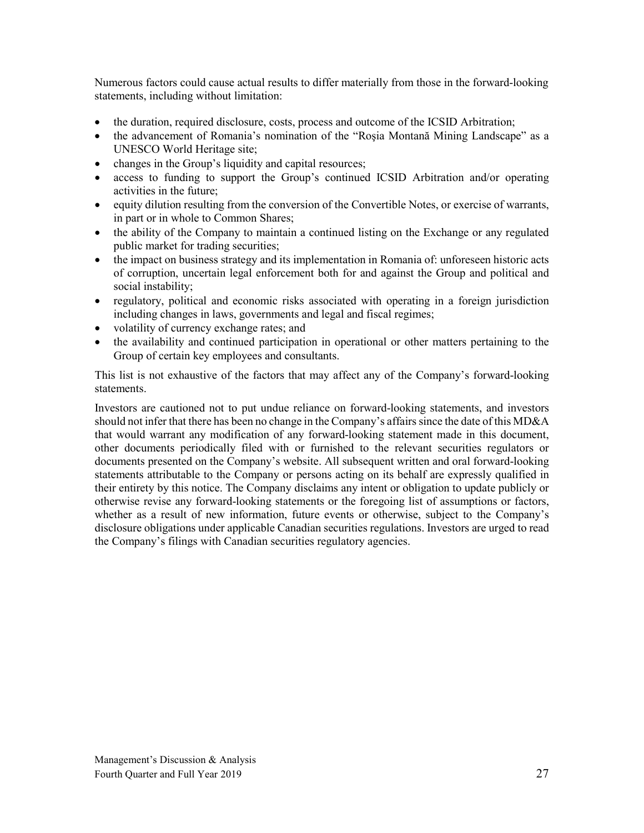Numerous factors could cause actual results to differ materially from those in the forward-looking statements, including without limitation:

- the duration, required disclosure, costs, process and outcome of the ICSID Arbitration;
- the advancement of Romania's nomination of the "Rosia Montană Mining Landscape" as a UNESCO World Heritage site;
- changes in the Group's liquidity and capital resources;
- access to funding to support the Group's continued ICSID Arbitration and/or operating activities in the future;
- equity dilution resulting from the conversion of the Convertible Notes, or exercise of warrants, in part or in whole to Common Shares;
- the ability of the Company to maintain a continued listing on the Exchange or any regulated public market for trading securities;
- the impact on business strategy and its implementation in Romania of: unforeseen historic acts of corruption, uncertain legal enforcement both for and against the Group and political and social instability;
- regulatory, political and economic risks associated with operating in a foreign jurisdiction including changes in laws, governments and legal and fiscal regimes;
- volatility of currency exchange rates; and
- the availability and continued participation in operational or other matters pertaining to the Group of certain key employees and consultants.

This list is not exhaustive of the factors that may affect any of the Company's forward-looking statements.

Investors are cautioned not to put undue reliance on forward-looking statements, and investors should not infer that there has been no change in the Company's affairs since the date of this MD&A that would warrant any modification of any forward-looking statement made in this document, other documents periodically filed with or furnished to the relevant securities regulators or documents presented on the Company's website. All subsequent written and oral forward-looking statements attributable to the Company or persons acting on its behalf are expressly qualified in their entirety by this notice. The Company disclaims any intent or obligation to update publicly or otherwise revise any forward-looking statements or the foregoing list of assumptions or factors, whether as a result of new information, future events or otherwise, subject to the Company's disclosure obligations under applicable Canadian securities regulations. Investors are urged to read the Company's filings with Canadian securities regulatory agencies.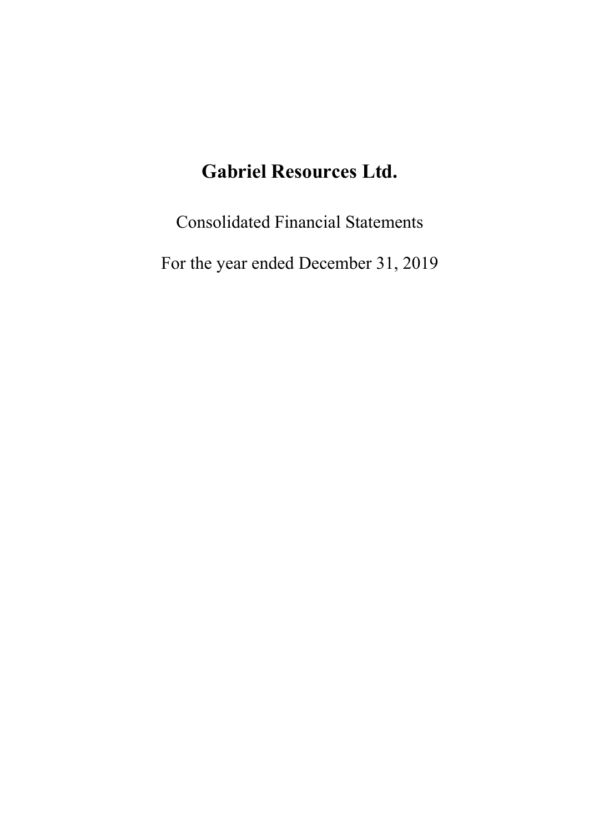# **Gabriel Resources Ltd.**

Consolidated Financial Statements

For the year ended December 31, 2019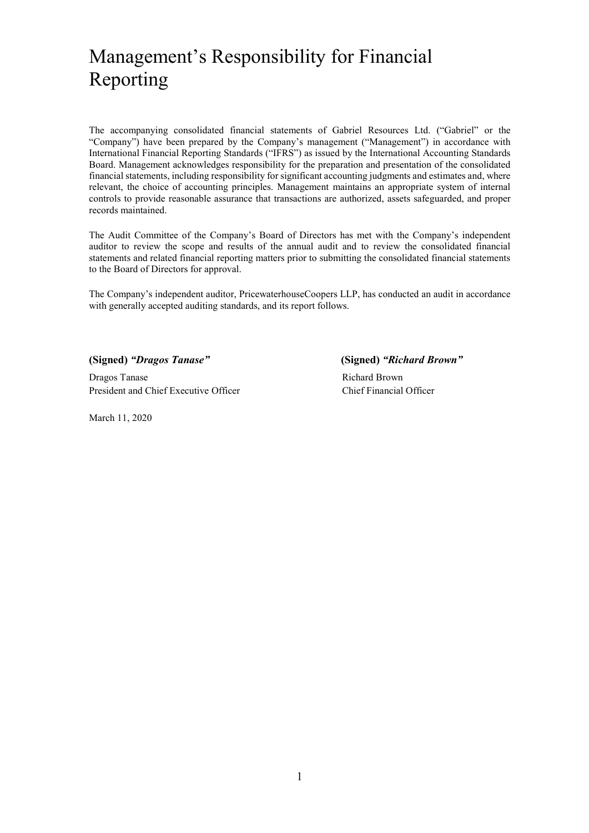# Management's Responsibility for Financial Reporting

The accompanying consolidated financial statements of Gabriel Resources Ltd. ("Gabriel" or the "Company") have been prepared by the Company's management ("Management") in accordance with International Financial Reporting Standards ("IFRS") as issued by the International Accounting Standards Board. Management acknowledges responsibility for the preparation and presentation of the consolidated financial statements, including responsibility for significant accounting judgments and estimates and, where relevant, the choice of accounting principles. Management maintains an appropriate system of internal controls to provide reasonable assurance that transactions are authorized, assets safeguarded, and proper records maintained.

The Audit Committee of the Company's Board of Directors has met with the Company's independent auditor to review the scope and results of the annual audit and to review the consolidated financial statements and related financial reporting matters prior to submitting the consolidated financial statements to the Board of Directors for approval.

The Company's independent auditor, PricewaterhouseCoopers LLP, has conducted an audit in accordance with generally accepted auditing standards, and its report follows.

**(Signed)** *"Dragos Tanase"* **(Signed)** *"Richard Brown"*

Dragos Tanase Richard Brown President and Chief Executive Officer Chief Financial Officer

March 11, 2020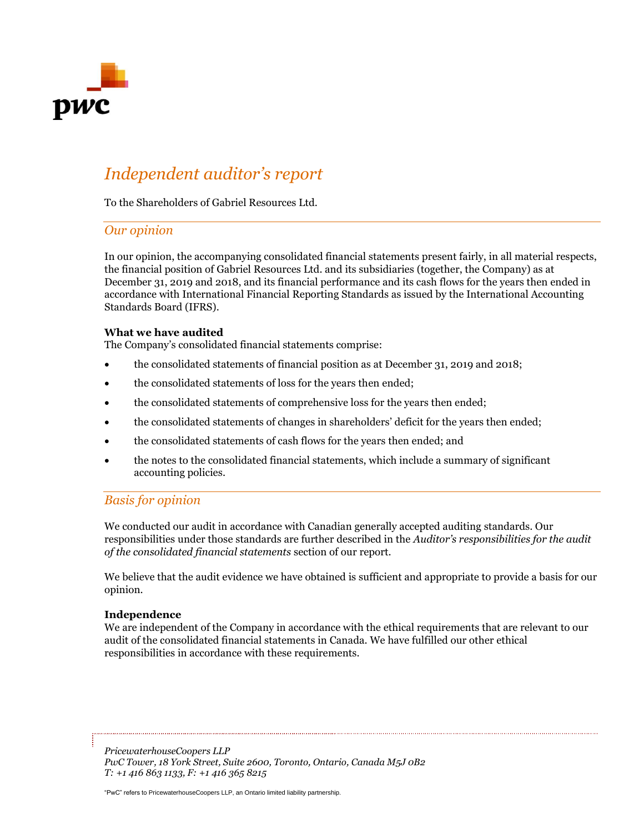

# *Independent auditor's report*

To the Shareholders of Gabriel Resources Ltd.

#### *Our opinion*

In our opinion, the accompanying consolidated financial statements present fairly, in all material respects, the financial position of Gabriel Resources Ltd. and its subsidiaries (together, the Company) as at December 31, 2019 and 2018, and its financial performance and its cash flows for the years then ended in accordance with International Financial Reporting Standards as issued by the International Accounting Standards Board (IFRS).

#### **What we have audited**

The Company's consolidated financial statements comprise:

- the consolidated statements of financial position as at December 31, 2019 and 2018;
- the consolidated statements of loss for the years then ended;
- the consolidated statements of comprehensive loss for the years then ended;
- the consolidated statements of changes in shareholders' deficit for the years then ended;
- the consolidated statements of cash flows for the years then ended; and
- the notes to the consolidated financial statements, which include a summary of significant accounting policies.

### *Basis for opinion*

We conducted our audit in accordance with Canadian generally accepted auditing standards. Our responsibilities under those standards are further described in the *Auditor's responsibilities for the audit of the consolidated financial statements* section of our report.

We believe that the audit evidence we have obtained is sufficient and appropriate to provide a basis for our opinion.

#### **Independence**

We are independent of the Company in accordance with the ethical requirements that are relevant to our audit of the consolidated financial statements in Canada. We have fulfilled our other ethical responsibilities in accordance with these requirements.

*PricewaterhouseCoopers LLP PwC Tower, 18 York Street, Suite 2600, Toronto, Ontario, Canada M5J 0B2 T: +1 416 863 1133, F: +1 416 365 8215*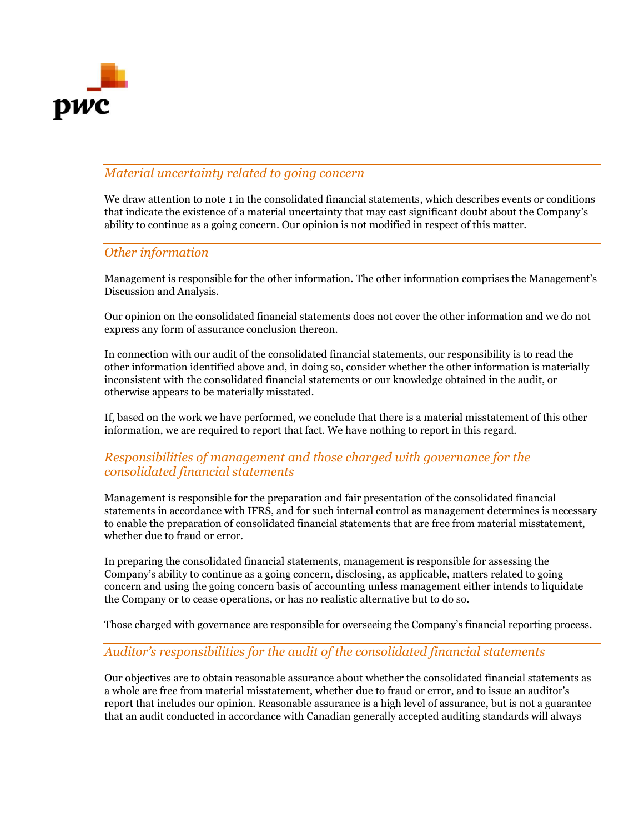

### *Material uncertainty related to going concern*

We draw attention to note 1 in the consolidated financial statements, which describes events or conditions that indicate the existence of a material uncertainty that may cast significant doubt about the Company's ability to continue as a going concern. Our opinion is not modified in respect of this matter.

### *Other information*

Management is responsible for the other information. The other information comprises the Management's Discussion and Analysis.

Our opinion on the consolidated financial statements does not cover the other information and we do not express any form of assurance conclusion thereon.

In connection with our audit of the consolidated financial statements, our responsibility is to read the other information identified above and, in doing so, consider whether the other information is materially inconsistent with the consolidated financial statements or our knowledge obtained in the audit, or otherwise appears to be materially misstated.

If, based on the work we have performed, we conclude that there is a material misstatement of this other information, we are required to report that fact. We have nothing to report in this regard.

### *Responsibilities of management and those charged with governance for the consolidated financial statements*

Management is responsible for the preparation and fair presentation of the consolidated financial statements in accordance with IFRS, and for such internal control as management determines is necessary to enable the preparation of consolidated financial statements that are free from material misstatement, whether due to fraud or error.

In preparing the consolidated financial statements, management is responsible for assessing the Company's ability to continue as a going concern, disclosing, as applicable, matters related to going concern and using the going concern basis of accounting unless management either intends to liquidate the Company or to cease operations, or has no realistic alternative but to do so.

Those charged with governance are responsible for overseeing the Company's financial reporting process.

# *Auditor's responsibilities for the audit of the consolidated financial statements*

Our objectives are to obtain reasonable assurance about whether the consolidated financial statements as a whole are free from material misstatement, whether due to fraud or error, and to issue an auditor's report that includes our opinion. Reasonable assurance is a high level of assurance, but is not a guarantee that an audit conducted in accordance with Canadian generally accepted auditing standards will always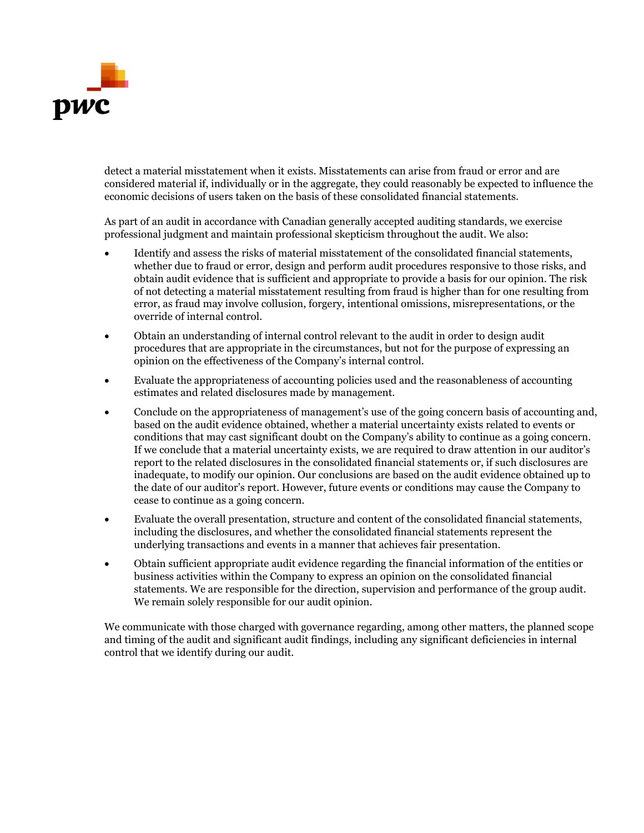

detect a material misstatement when it exists. Misstatements can arise from fraud or error and are considered material if, individually or in the aggregate, they could reasonably be expected to influence the economic decisions of users taken on the basis of these consolidated financial statements.

As part of an audit in accordance with Canadian generally accepted auditing standards, we exercise professional judgment and maintain professional skepticism throughout the audit. We also:

- Identify and assess the risks of material misstatement of the consolidated financial statements, whether due to fraud or error, design and perform audit procedures responsive to those risks, and obtain audit evidence that is sufficient and appropriate to provide a basis for our opinion. The risk of not detecting a material misstatement resulting from fraud is higher than for one resulting from error, as fraud may involve collusion, forgery, intentional omissions, misrepresentations, or the override of internal control.
- Obtain an understanding of internal control relevant to the audit in order to design audit procedures that are appropriate in the circumstances, but not for the purpose of expressing an opinion on the effectiveness of the Company's internal control.
- Evaluate the appropriateness of accounting policies used and the reasonableness of accounting estimates and related disclosures made by management.
- Conclude on the appropriateness of management's use of the going concern basis of accounting and, based on the audit evidence obtained, whether a material uncertainty exists related to events or conditions that may cast significant doubt on the Company's ability to continue as a going concern. If we conclude that a material uncertainty exists, we are required to draw attention in our auditor's report to the related disclosures in the consolidated financial statements or, if such disclosures are inadequate, to modify our opinion. Our conclusions are based on the audit evidence obtained up to the date of our auditor's report. However, future events or conditions may cause the Company to cease to continue as a going concern.
- Evaluate the overall presentation, structure and content of the consolidated financial statements, including the disclosures, and whether the consolidated financial statements represent the underlying transactions and events in a manner that achieves fair presentation.
- Obtain sufficient appropriate audit evidence regarding the financial information of the entities or business activities within the Company to express an opinion on the consolidated financial statements. We are responsible for the direction, supervision and performance of the group audit. We remain solely responsible for our audit opinion.

We communicate with those charged with governance regarding, among other matters, the planned scope and timing of the audit and significant audit findings, including any significant deficiencies in internal control that we identify during our audit.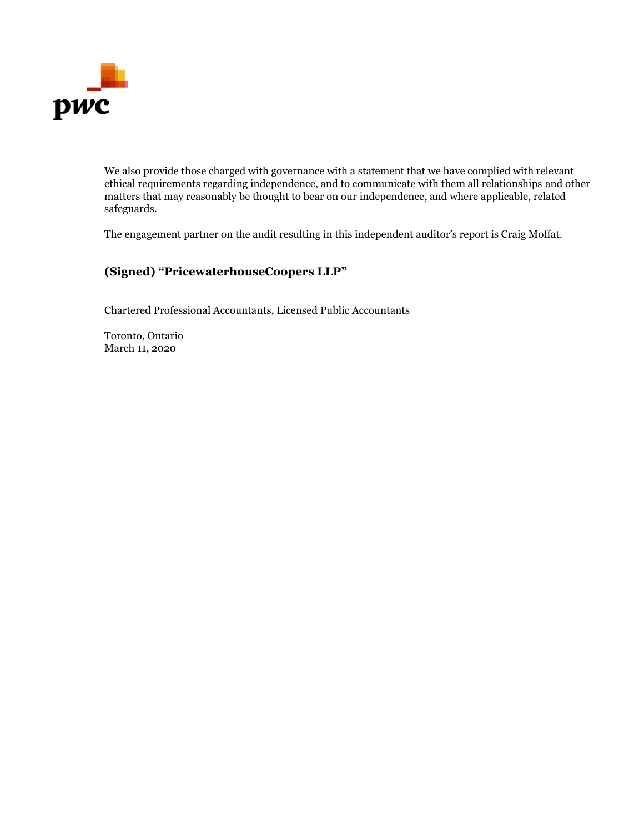

We also provide those charged with governance with a statement that we have complied with relevant ethical requirements regarding independence, and to communicate with them all relationships and other matters that may reasonably be thought to bear on our independence, and where applicable, related safeguards.

The engagement partner on the audit resulting in this independent auditor's report is Craig Moffat.

## **(Signed) "PricewaterhouseCoopers LLP"**

Chartered Professional Accountants, Licensed Public Accountants

Toronto, Ontario March 11, 2020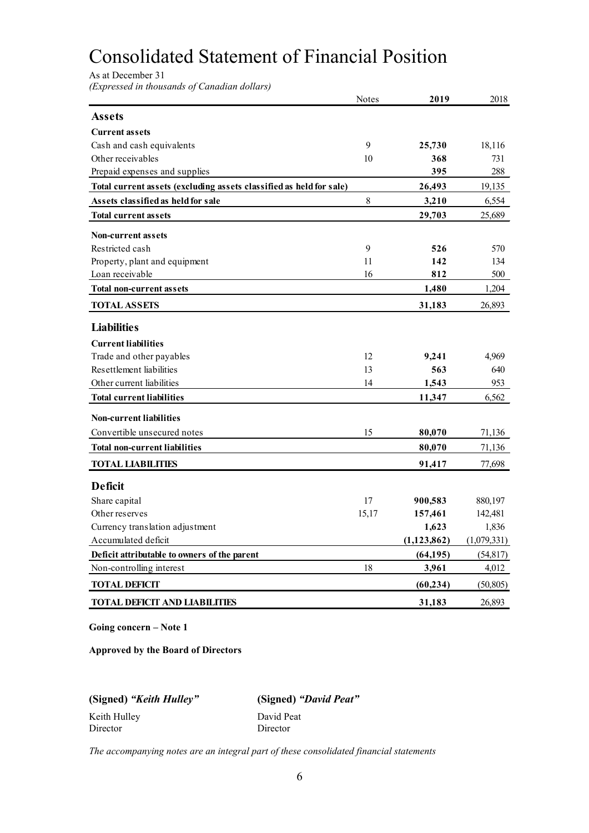# Consolidated Statement of Financial Position

As at December 31 *(Expressed in thousands of Canadian dollars)*

|                                                                     | Notes | 2019          | 2018        |
|---------------------------------------------------------------------|-------|---------------|-------------|
| <b>Assets</b>                                                       |       |               |             |
| <b>Current assets</b>                                               |       |               |             |
| Cash and cash equivalents                                           | 9     | 25,730        | 18,116      |
| Other receivables                                                   | 10    | 368           | 731         |
| Prepaid expenses and supplies                                       |       | 395           | 288         |
| Total current assets (excluding assets classified as held for sale) |       | 26,493        | 19,135      |
| Assets classified as held for sale                                  | 8     | 3,210         | 6,554       |
| <b>Total current assets</b>                                         |       | 29,703        | 25,689      |
| <b>Non-current assets</b>                                           |       |               |             |
| Restricted cash                                                     | 9     | 526           | 570         |
| Property, plant and equipment                                       | 11    | 142           | 134         |
| Loan receivable                                                     | 16    | 812           | 500         |
| <b>Total non-current assets</b>                                     |       | 1,480         | 1,204       |
| <b>TOTAL ASSETS</b>                                                 |       | 31,183        | 26,893      |
| <b>Liabilities</b>                                                  |       |               |             |
| <b>Current liabilities</b>                                          |       |               |             |
| Trade and other payables                                            | 12    | 9,241         | 4,969       |
| Resettlement liabilities                                            | 13    | 563           | 640         |
| Other current liabilities                                           | 14    | 1,543         | 953         |
| <b>Total current liabilities</b>                                    |       | 11,347        | 6,562       |
| <b>Non-current liabilities</b>                                      |       |               |             |
| Convertible unsecured notes                                         | 15    | 80,070        | 71,136      |
| <b>Total non-current liabilities</b>                                |       | 80,070        | 71,136      |
| <b>TOTAL LIABILITIES</b>                                            |       | 91,417        | 77,698      |
| <b>Deficit</b>                                                      |       |               |             |
| Share capital                                                       | 17    | 900,583       | 880,197     |
| Other reserves                                                      | 15,17 | 157,461       | 142,481     |
| Currency translation adjustment                                     |       | 1,623         | 1,836       |
| Accumulated deficit                                                 |       | (1, 123, 862) | (1,079,331) |
| Deficit attributable to owners of the parent                        |       | (64, 195)     | (54, 817)   |
| Non-controlling interest                                            | 18    | 3,961         | 4,012       |
| <b>TOTAL DEFICIT</b>                                                |       | (60, 234)     | (50, 805)   |
| <b>TOTAL DEFICIT AND LIABILITIES</b>                                |       | 31,183        | 26,893      |

**Going concern – Note 1**

**Approved by the Board of Directors**

Keith Hulley David Peat Director Director

**(Signed)** *"Keith Hulley"* **(Signed)** *"David Peat"*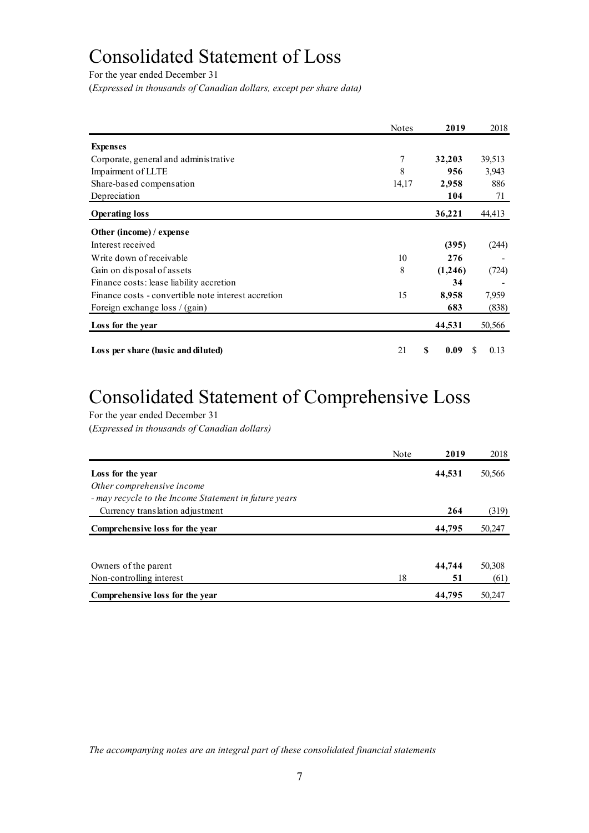# Consolidated Statement of Loss

For the year ended December 31

(*Expressed in thousands of Canadian dollars, except per share data)*

|                                                     | <b>Notes</b> | 2019      | 2018      |
|-----------------------------------------------------|--------------|-----------|-----------|
| <b>Expenses</b>                                     |              |           |           |
| Corporate, general and administrative               | 7            | 32,203    | 39,513    |
| Impairment of LLTE                                  | 8            | 956       | 3,943     |
| Share-based compensation                            | 14,17        | 2,958     | 886       |
| Depreciation                                        |              | 104       | 71        |
| <b>Operating loss</b>                               |              | 36,221    | 44,413    |
| Other (income) / expense                            |              |           |           |
| Interest received                                   |              | (395)     | (244)     |
| Write down of receivable                            | 10           | 276       |           |
| Gain on disposal of assets                          | 8            | (1,246)   | (724)     |
| Finance costs: lease liability accretion            |              | 34        |           |
| Finance costs - convertible note interest accretion | 15           | 8,958     | 7,959     |
| Foreign exchange loss / (gain)                      |              | 683       | (838)     |
| Loss for the year                                   |              | 44,531    | 50,566    |
| Loss per share (basic and diluted)                  | 21           | S<br>0.09 | S<br>0.13 |

# Consolidated Statement of Comprehensive Loss

For the year ended December 31 (*Expressed in thousands of Canadian dollars)*

|                                                       | Note | 2019   | 2018   |
|-------------------------------------------------------|------|--------|--------|
| Loss for the year                                     |      | 44,531 | 50,566 |
| Other comprehensive income                            |      |        |        |
| - may recycle to the Income Statement in future years |      |        |        |
| Currency translation adjustment                       |      | 264    | (319)  |
| Comprehensive loss for the year                       |      | 44,795 | 50,247 |
|                                                       |      |        |        |
| Owners of the parent                                  |      | 44,744 | 50,308 |
| Non-controlling interest                              | 18   | 51     | (61)   |
| Comprehensive loss for the year                       |      | 44,795 | 50,247 |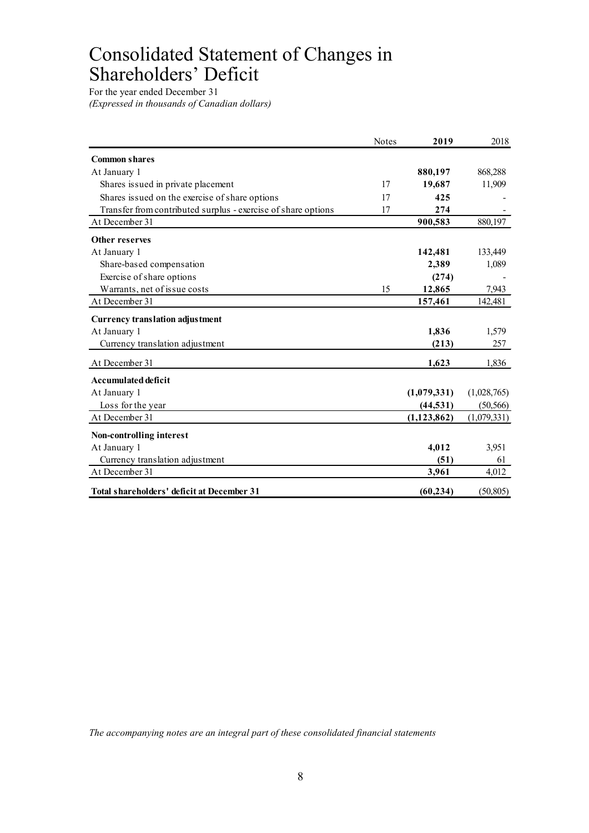# Consolidated Statement of Changes in Shareholders' Deficit

For the year ended December 31 *(Expressed in thousands of Canadian dollars)*

|                                                               | <b>Notes</b> | 2019          | 2018        |
|---------------------------------------------------------------|--------------|---------------|-------------|
| <b>Common shares</b>                                          |              |               |             |
| At January 1                                                  |              | 880,197       | 868,288     |
| Shares issued in private placement                            | 17           | 19,687        | 11,909      |
| Shares issued on the exercise of share options                | 17           | 425           |             |
| Transfer from contributed surplus - exercise of share options | 17           | 274           |             |
| At December 31                                                |              | 900,583       | 880,197     |
| <b>Other reserves</b>                                         |              |               |             |
| At January 1                                                  |              | 142,481       | 133,449     |
| Share-based compensation                                      |              | 2,389         | 1,089       |
| Exercise of share options                                     |              | (274)         |             |
| Warrants, net of issue costs                                  | 15           | 12,865        | 7,943       |
| At December 31                                                |              | 157,461       | 142,481     |
| <b>Currency translation adjustment</b>                        |              |               |             |
| At January 1                                                  |              | 1,836         | 1,579       |
| Currency translation adjustment                               |              | (213)         | 257         |
| At December 31                                                |              | 1,623         | 1,836       |
| <b>Accumulated deficit</b>                                    |              |               |             |
| At January 1                                                  |              | (1,079,331)   | (1,028,765) |
| Loss for the year                                             |              | (44, 531)     | (50, 566)   |
| At December 31                                                |              | (1, 123, 862) | (1,079,331) |
| Non-controlling interest                                      |              |               |             |
| At January 1                                                  |              | 4,012         | 3,951       |
| Currency translation adjustment                               |              | (51)          | 61          |
| At December 31                                                |              | 3,961         | 4,012       |
| Total shareholders' deficit at December 31                    |              | (60, 234)     | (50, 805)   |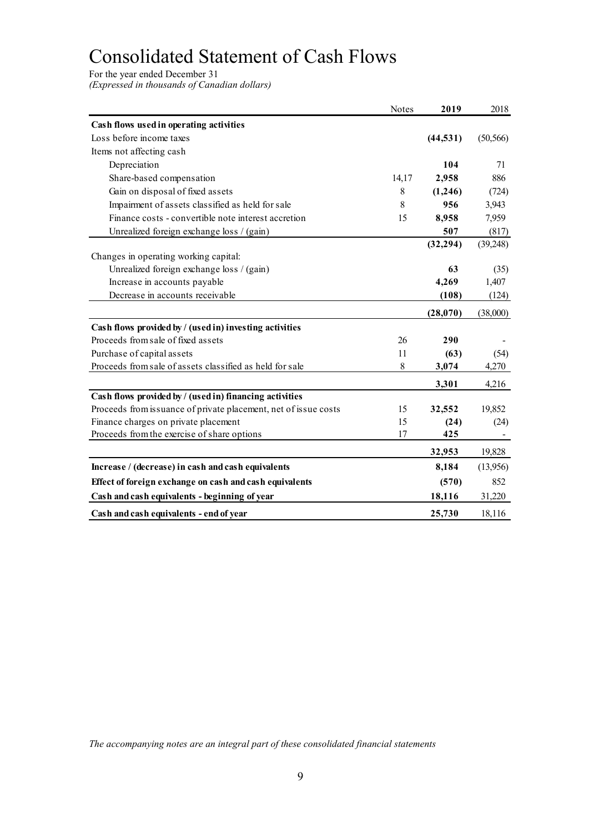# Consolidated Statement of Cash Flows

For the year ended December 31

*(Expressed in thousands of Canadian dollars)*

|                                                                 | Notes | 2019      | 2018      |
|-----------------------------------------------------------------|-------|-----------|-----------|
| Cash flows used in operating activities                         |       |           |           |
| Loss before income taxes                                        |       | (44, 531) | (50, 566) |
| Items not affecting cash                                        |       |           |           |
| Depreciation                                                    |       | 104       | 71        |
| Share-based compensation                                        | 14,17 | 2,958     | 886       |
| Gain on disposal of fixed assets                                | 8     | (1,246)   | (724)     |
| Impairment of assets classified as held for sale                | 8     | 956       | 3,943     |
| Finance costs - convertible note interest accretion             | 15    | 8,958     | 7,959     |
| Unrealized foreign exchange loss / (gain)                       |       | 507       | (817)     |
|                                                                 |       | (32, 294) | (39, 248) |
| Changes in operating working capital:                           |       |           |           |
| Unrealized foreign exchange loss / (gain)                       |       | 63        | (35)      |
| Increase in accounts payable                                    |       | 4,269     | 1,407     |
| Decrease in accounts receivable                                 |       | (108)     | (124)     |
|                                                                 |       | (28,070)  | (38,000)  |
| Cash flows provided by / (used in) investing activities         |       |           |           |
| Proceeds from sale of fixed assets                              | 26    | 290       |           |
| Purchase of capital assets                                      | 11    | (63)      | (54)      |
| Proceeds from sale of assets classified as held for sale        | 8     | 3,074     | 4,270     |
|                                                                 |       | 3,301     | 4,216     |
| Cash flows provided by / (used in) financing activities         |       |           |           |
| Proceeds from issuance of private placement, net of issue costs | 15    | 32,552    | 19,852    |
| Finance charges on private placement                            | 15    | (24)      | (24)      |
| Proceeds from the exercise of share options                     | 17    | 425       |           |
|                                                                 |       | 32,953    | 19,828    |
| Increase / (decrease) in cash and cash equivalents              |       | 8,184     | (13,956)  |
| Effect of foreign exchange on cash and cash equivalents         |       | (570)     | 852       |
| Cash and cash equivalents - beginning of year                   |       | 18,116    | 31,220    |
| Cash and cash equivalents - end of year                         |       | 25,730    | 18,116    |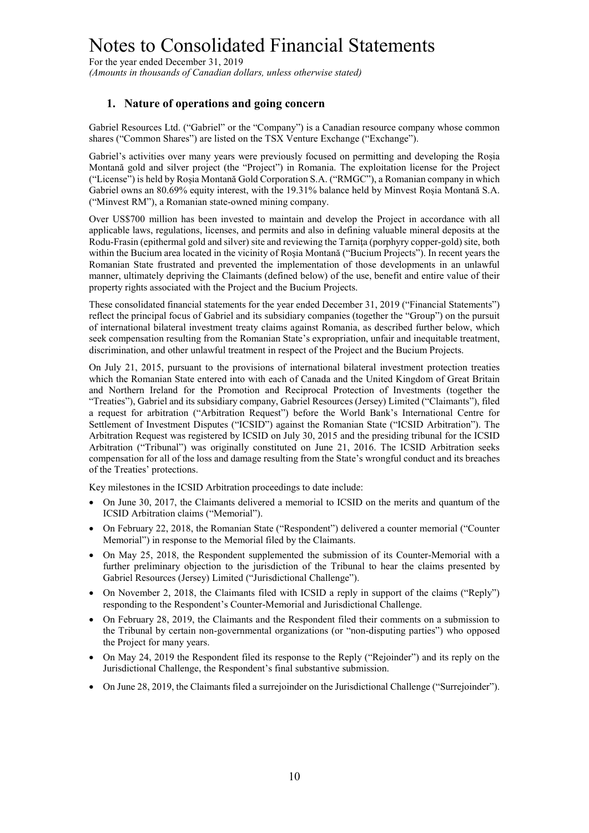For the year ended December 31, 2019 *(Amounts in thousands of Canadian dollars, unless otherwise stated)*

### **1. Nature of operations and going concern**

Gabriel Resources Ltd. ("Gabriel" or the "Company") is a Canadian resource company whose common shares ("Common Shares") are listed on the TSX Venture Exchange ("Exchange").

Gabriel's activities over many years were previously focused on permitting and developing the Roșia Montană gold and silver project (the "Project") in Romania. The exploitation license for the Project ("License") is held by Roșia Montană Gold Corporation S.A. ("RMGC"), a Romanian company in which Gabriel owns an 80.69% equity interest, with the 19.31% balance held by Minvest Roșia Montană S.A. ("Minvest RM"), a Romanian state-owned mining company.

Over US\$700 million has been invested to maintain and develop the Project in accordance with all applicable laws, regulations, licenses, and permits and also in defining valuable mineral deposits at the Rodu-Frasin (epithermal gold and silver) site and reviewing the Tarnita (porphyry copper-gold) site, both within the Bucium area located in the vicinity of Roşia Montană ("Bucium Projects"). In recent years the Romanian State frustrated and prevented the implementation of those developments in an unlawful manner, ultimately depriving the Claimants (defined below) of the use, benefit and entire value of their property rights associated with the Project and the Bucium Projects.

These consolidated financial statements for the year ended December 31, 2019 ("Financial Statements") reflect the principal focus of Gabriel and its subsidiary companies (together the "Group") on the pursuit of international bilateral investment treaty claims against Romania, as described further below, which seek compensation resulting from the Romanian State's expropriation, unfair and inequitable treatment, discrimination, and other unlawful treatment in respect of the Project and the Bucium Projects.

On July 21, 2015, pursuant to the provisions of international bilateral investment protection treaties which the Romanian State entered into with each of Canada and the United Kingdom of Great Britain and Northern Ireland for the Promotion and Reciprocal Protection of Investments (together the "Treaties"), Gabriel and its subsidiary company, Gabriel Resources (Jersey) Limited ("Claimants"), filed a request for arbitration ("Arbitration Request") before the World Bank's International Centre for Settlement of Investment Disputes ("ICSID") against the Romanian State ("ICSID Arbitration"). The Arbitration Request was registered by ICSID on July 30, 2015 and the presiding tribunal for the ICSID Arbitration ("Tribunal") was originally constituted on June 21, 2016. The ICSID Arbitration seeks compensation for all of the loss and damage resulting from the State's wrongful conduct and its breaches of the Treaties' protections.

Key milestones in the ICSID Arbitration proceedings to date include:

- On June 30, 2017, the Claimants delivered a memorial to ICSID on the merits and quantum of the ICSID Arbitration claims ("Memorial").
- On February 22, 2018, the Romanian State ("Respondent") delivered a counter memorial ("Counter Memorial") in response to the Memorial filed by the Claimants.
- On May 25, 2018, the Respondent supplemented the submission of its Counter-Memorial with a further preliminary objection to the jurisdiction of the Tribunal to hear the claims presented by Gabriel Resources (Jersey) Limited ("Jurisdictional Challenge").
- On November 2, 2018, the Claimants filed with ICSID a reply in support of the claims ("Reply") responding to the Respondent's Counter-Memorial and Jurisdictional Challenge.
- On February 28, 2019, the Claimants and the Respondent filed their comments on a submission to the Tribunal by certain non-governmental organizations (or "non-disputing parties") who opposed the Project for many years.
- On May 24, 2019 the Respondent filed its response to the Reply ("Rejoinder") and its reply on the Jurisdictional Challenge, the Respondent's final substantive submission.
- On June 28, 2019, the Claimants filed a surrejoinder on the Jurisdictional Challenge ("Surrejoinder").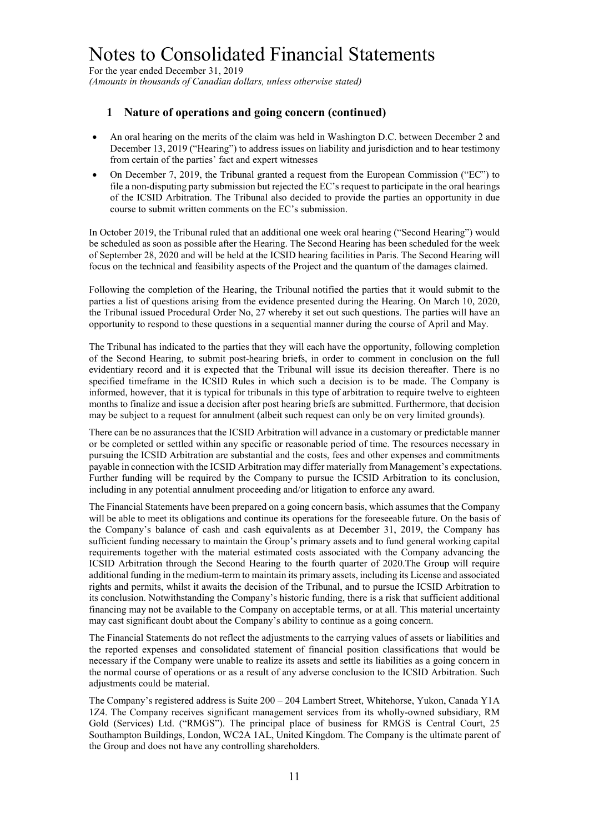For the year ended December 31, 2019 *(Amounts in thousands of Canadian dollars, unless otherwise stated)*

#### **1 Nature of operations and going concern (continued)**

- An oral hearing on the merits of the claim was held in Washington D.C. between December 2 and December 13, 2019 ("Hearing") to address issues on liability and jurisdiction and to hear testimony from certain of the parties' fact and expert witnesses
- On December 7, 2019, the Tribunal granted a request from the European Commission ("EC") to file a non-disputing party submission but rejected the EC's request to participate in the oral hearings of the ICSID Arbitration. The Tribunal also decided to provide the parties an opportunity in due course to submit written comments on the EC's submission.

In October 2019, the Tribunal ruled that an additional one week oral hearing ("Second Hearing") would be scheduled as soon as possible after the Hearing. The Second Hearing has been scheduled for the week of September 28, 2020 and will be held at the ICSID hearing facilities in Paris. The Second Hearing will focus on the technical and feasibility aspects of the Project and the quantum of the damages claimed.

Following the completion of the Hearing, the Tribunal notified the parties that it would submit to the parties a list of questions arising from the evidence presented during the Hearing. On March 10, 2020, the Tribunal issued Procedural Order No, 27 whereby it set out such questions. The parties will have an opportunity to respond to these questions in a sequential manner during the course of April and May.

The Tribunal has indicated to the parties that they will each have the opportunity, following completion of the Second Hearing, to submit post-hearing briefs, in order to comment in conclusion on the full evidentiary record and it is expected that the Tribunal will issue its decision thereafter. There is no specified timeframe in the ICSID Rules in which such a decision is to be made. The Company is informed, however, that it is typical for tribunals in this type of arbitration to require twelve to eighteen months to finalize and issue a decision after post hearing briefs are submitted. Furthermore, that decision may be subject to a request for annulment (albeit such request can only be on very limited grounds).

There can be no assurances that the ICSID Arbitration will advance in a customary or predictable manner or be completed or settled within any specific or reasonable period of time. The resources necessary in pursuing the ICSID Arbitration are substantial and the costs, fees and other expenses and commitments payable in connection with the ICSID Arbitration may differ materially from Management's expectations. Further funding will be required by the Company to pursue the ICSID Arbitration to its conclusion, including in any potential annulment proceeding and/or litigation to enforce any award.

The Financial Statements have been prepared on a going concern basis, which assumes that the Company will be able to meet its obligations and continue its operations for the foreseeable future. On the basis of the Company's balance of cash and cash equivalents as at December 31, 2019, the Company has sufficient funding necessary to maintain the Group's primary assets and to fund general working capital requirements together with the material estimated costs associated with the Company advancing the ICSID Arbitration through the Second Hearing to the fourth quarter of 2020.The Group will require additional funding in the medium-term to maintain its primary assets, including its License and associated rights and permits, whilst it awaits the decision of the Tribunal, and to pursue the ICSID Arbitration to its conclusion. Notwithstanding the Company's historic funding, there is a risk that sufficient additional financing may not be available to the Company on acceptable terms, or at all. This material uncertainty may cast significant doubt about the Company's ability to continue as a going concern.

The Financial Statements do not reflect the adjustments to the carrying values of assets or liabilities and the reported expenses and consolidated statement of financial position classifications that would be necessary if the Company were unable to realize its assets and settle its liabilities as a going concern in the normal course of operations or as a result of any adverse conclusion to the ICSID Arbitration. Such adjustments could be material.

The Company's registered address is Suite 200 – 204 Lambert Street, Whitehorse, Yukon, Canada Y1A 1Z4. The Company receives significant management services from its wholly-owned subsidiary, RM Gold (Services) Ltd. ("RMGS"). The principal place of business for RMGS is Central Court, 25 Southampton Buildings, London, WC2A 1AL, United Kingdom. The Company is the ultimate parent of the Group and does not have any controlling shareholders.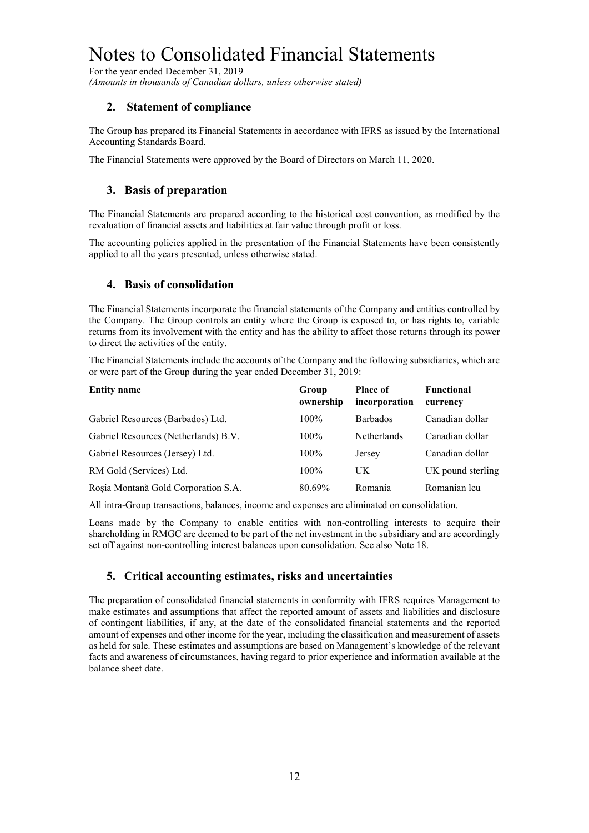For the year ended December 31, 2019 *(Amounts in thousands of Canadian dollars, unless otherwise stated)*

### **2. Statement of compliance**

The Group has prepared its Financial Statements in accordance with IFRS as issued by the International Accounting Standards Board.

The Financial Statements were approved by the Board of Directors on March 11, 2020.

## **3. Basis of preparation**

The Financial Statements are prepared according to the historical cost convention, as modified by the revaluation of financial assets and liabilities at fair value through profit or loss.

The accounting policies applied in the presentation of the Financial Statements have been consistently applied to all the years presented, unless otherwise stated.

### **4. Basis of consolidation**

The Financial Statements incorporate the financial statements of the Company and entities controlled by the Company. The Group controls an entity where the Group is exposed to, or has rights to, variable returns from its involvement with the entity and has the ability to affect those returns through its power to direct the activities of the entity.

The Financial Statements include the accounts of the Company and the following subsidiaries, which are or were part of the Group during the year ended December 31, 2019:

| <b>Entity name</b>                   | Group<br>ownership | <b>Place of</b><br>incorporation | <b>Functional</b><br>currency |
|--------------------------------------|--------------------|----------------------------------|-------------------------------|
| Gabriel Resources (Barbados) Ltd.    | $100\%$            | <b>Barbados</b>                  | Canadian dollar               |
| Gabriel Resources (Netherlands) B.V. | 100%               | <b>Netherlands</b>               | Canadian dollar               |
| Gabriel Resources (Jersey) Ltd.      | 100%               | Jersey                           | Canadian dollar               |
| RM Gold (Services) Ltd.              | $100\%$            | UK                               | UK pound sterling             |
| Roșia Montană Gold Corporation S.A.  | 80.69%             | Romania                          | Romanian leu                  |

All intra-Group transactions, balances, income and expenses are eliminated on consolidation.

Loans made by the Company to enable entities with non-controlling interests to acquire their shareholding in RMGC are deemed to be part of the net investment in the subsidiary and are accordingly set off against non-controlling interest balances upon consolidation. See also Note 18.

### **5. Critical accounting estimates, risks and uncertainties**

The preparation of consolidated financial statements in conformity with IFRS requires Management to make estimates and assumptions that affect the reported amount of assets and liabilities and disclosure of contingent liabilities, if any, at the date of the consolidated financial statements and the reported amount of expenses and other income for the year, including the classification and measurement of assets as held for sale. These estimates and assumptions are based on Management's knowledge of the relevant facts and awareness of circumstances, having regard to prior experience and information available at the balance sheet date.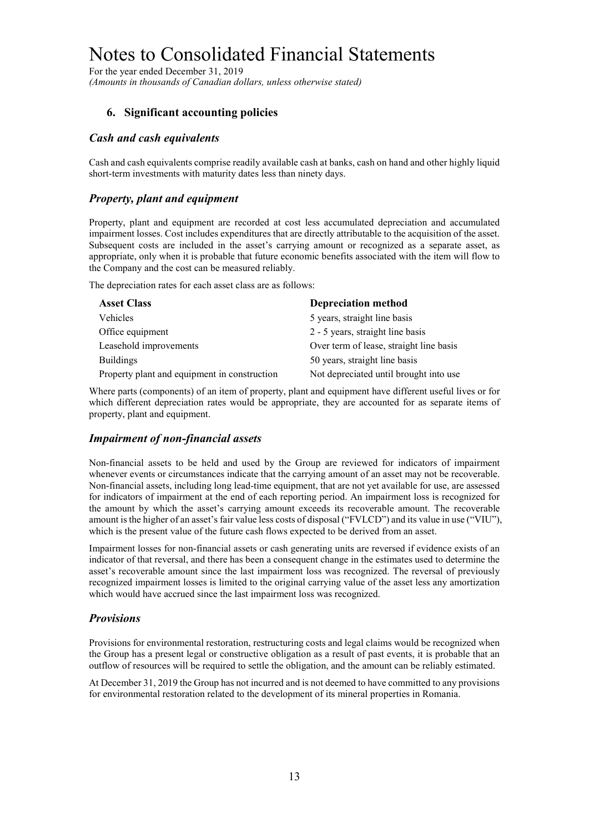For the year ended December 31, 2019 *(Amounts in thousands of Canadian dollars, unless otherwise stated)*

### **6. Significant accounting policies**

#### *Cash and cash equivalents*

Cash and cash equivalents comprise readily available cash at banks, cash on hand and other highly liquid short-term investments with maturity dates less than ninety days.

### *Property, plant and equipment*

Property, plant and equipment are recorded at cost less accumulated depreciation and accumulated impairment losses. Cost includes expenditures that are directly attributable to the acquisition of the asset. Subsequent costs are included in the asset's carrying amount or recognized as a separate asset, as appropriate, only when it is probable that future economic benefits associated with the item will flow to the Company and the cost can be measured reliably.

The depreciation rates for each asset class are as follows:

| <b>Asset Class</b>                           | <b>Depreciation method</b>              |
|----------------------------------------------|-----------------------------------------|
| Vehicles                                     | 5 years, straight line basis            |
| Office equipment                             | 2 - 5 years, straight line basis        |
| Leasehold improvements                       | Over term of lease, straight line basis |
| Buildings                                    | 50 years, straight line basis           |
| Property plant and equipment in construction | Not depreciated until brought into use  |

Where parts (components) of an item of property, plant and equipment have different useful lives or for which different depreciation rates would be appropriate, they are accounted for as separate items of property, plant and equipment.

### *Impairment of non-financial assets*

Non-financial assets to be held and used by the Group are reviewed for indicators of impairment whenever events or circumstances indicate that the carrying amount of an asset may not be recoverable. Non-financial assets, including long lead-time equipment, that are not yet available for use, are assessed for indicators of impairment at the end of each reporting period. An impairment loss is recognized for the amount by which the asset's carrying amount exceeds its recoverable amount. The recoverable amount is the higher of an asset's fair value less costs of disposal ("FVLCD") and its value in use ("VIU"), which is the present value of the future cash flows expected to be derived from an asset.

Impairment losses for non-financial assets or cash generating units are reversed if evidence exists of an indicator of that reversal, and there has been a consequent change in the estimates used to determine the asset's recoverable amount since the last impairment loss was recognized. The reversal of previously recognized impairment losses is limited to the original carrying value of the asset less any amortization which would have accrued since the last impairment loss was recognized.

### *Provisions*

Provisions for environmental restoration, restructuring costs and legal claims would be recognized when the Group has a present legal or constructive obligation as a result of past events, it is probable that an outflow of resources will be required to settle the obligation, and the amount can be reliably estimated.

At December 31, 2019 the Group has not incurred and is not deemed to have committed to any provisions for environmental restoration related to the development of its mineral properties in Romania.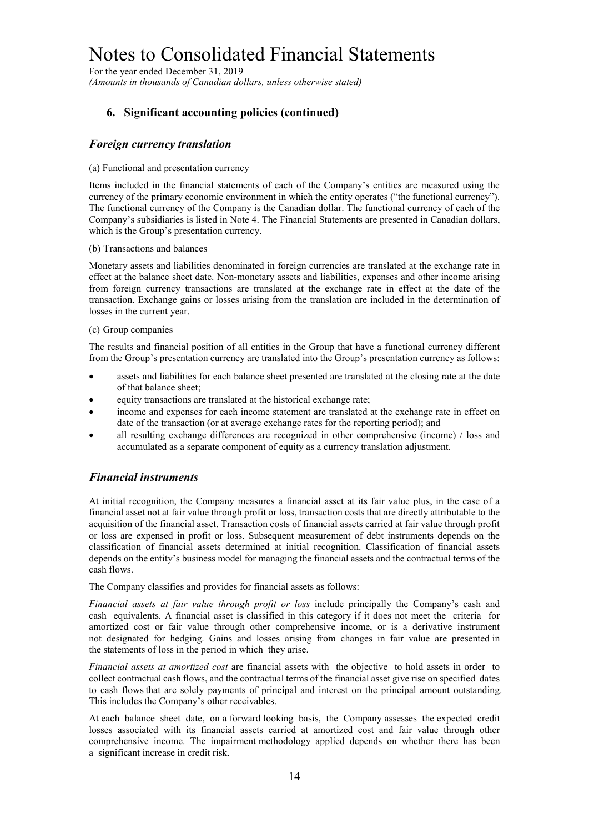For the year ended December 31, 2019 *(Amounts in thousands of Canadian dollars, unless otherwise stated)*

### **6. Significant accounting policies (continued)**

#### *Foreign currency translation*

#### (a) Functional and presentation currency

Items included in the financial statements of each of the Company's entities are measured using the currency of the primary economic environment in which the entity operates ("the functional currency"). The functional currency of the Company is the Canadian dollar. The functional currency of each of the Company's subsidiaries is listed in Note 4. The Financial Statements are presented in Canadian dollars, which is the Group's presentation currency.

#### (b) Transactions and balances

Monetary assets and liabilities denominated in foreign currencies are translated at the exchange rate in effect at the balance sheet date. Non-monetary assets and liabilities, expenses and other income arising from foreign currency transactions are translated at the exchange rate in effect at the date of the transaction. Exchange gains or losses arising from the translation are included in the determination of losses in the current year.

#### (c) Group companies

The results and financial position of all entities in the Group that have a functional currency different from the Group's presentation currency are translated into the Group's presentation currency as follows:

- assets and liabilities for each balance sheet presented are translated at the closing rate at the date of that balance sheet;
- equity transactions are translated at the historical exchange rate;
- income and expenses for each income statement are translated at the exchange rate in effect on date of the transaction (or at average exchange rates for the reporting period); and
- all resulting exchange differences are recognized in other comprehensive (income) / loss and accumulated as a separate component of equity as a currency translation adjustment.

### *Financial instruments*

At initial recognition, the Company measures a financial asset at its fair value plus, in the case of a financial asset not at fair value through profit or loss, transaction costs that are directly attributable to the acquisition of the financial asset. Transaction costs of financial assets carried at fair value through profit or loss are expensed in profit or loss. Subsequent measurement of debt instruments depends on the classification of financial assets determined at initial recognition. Classification of financial assets depends on the entity's business model for managing the financial assets and the contractual terms of the cash flows.

The Company classifies and provides for financial assets as follows:

*Financial assets at fair value through profit or loss* include principally the Company's cash and cash equivalents. A financial asset is classified in this category if it does not meet the criteria for amortized cost or fair value through other comprehensive income, or is a derivative instrument not designated for hedging. Gains and losses arising from changes in fair value are presented in the statements of loss in the period in which they arise.

*Financial assets at amortized cost* are financial assets with the objective to hold assets in order to collect contractual cash flows, and the contractual terms of the financial asset give rise on specified dates to cash flows that are solely payments of principal and interest on the principal amount outstanding. This includes the Company's other receivables.

At each balance sheet date, on a forward looking basis, the Company assesses the expected credit losses associated with its financial assets carried at amortized cost and fair value through other comprehensive income. The impairment methodology applied depends on whether there has been a significant increase in credit risk.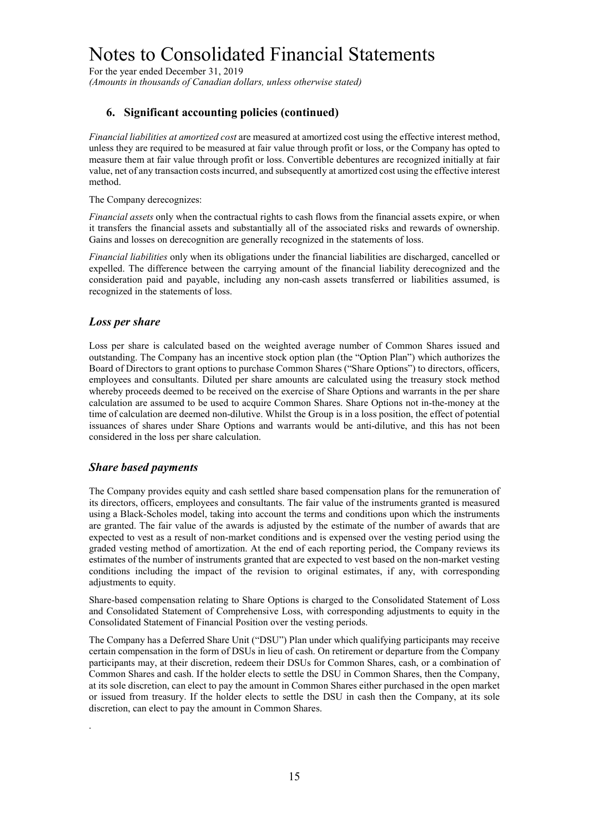For the year ended December 31, 2019 *(Amounts in thousands of Canadian dollars, unless otherwise stated)*

### **6. Significant accounting policies (continued)**

*Financial liabilities at amortized cost* are measured at amortized cost using the effective interest method, unless they are required to be measured at fair value through profit or loss, or the Company has opted to measure them at fair value through profit or loss. Convertible debentures are recognized initially at fair value, net of any transaction costs incurred, and subsequently at amortized cost using the effective interest method.

The Company derecognizes:

*Financial assets* only when the contractual rights to cash flows from the financial assets expire, or when it transfers the financial assets and substantially all of the associated risks and rewards of ownership. Gains and losses on derecognition are generally recognized in the statements of loss.

*Financial liabilities* only when its obligations under the financial liabilities are discharged, cancelled or expelled. The difference between the carrying amount of the financial liability derecognized and the consideration paid and payable, including any non-cash assets transferred or liabilities assumed, is recognized in the statements of loss.

#### *Loss per share*

Loss per share is calculated based on the weighted average number of Common Shares issued and outstanding. The Company has an incentive stock option plan (the "Option Plan") which authorizes the Board of Directors to grant options to purchase Common Shares ("Share Options") to directors, officers, employees and consultants. Diluted per share amounts are calculated using the treasury stock method whereby proceeds deemed to be received on the exercise of Share Options and warrants in the per share calculation are assumed to be used to acquire Common Shares. Share Options not in-the-money at the time of calculation are deemed non-dilutive. Whilst the Group is in a loss position, the effect of potential issuances of shares under Share Options and warrants would be anti-dilutive, and this has not been considered in the loss per share calculation.

### *Share based payments*

.

The Company provides equity and cash settled share based compensation plans for the remuneration of its directors, officers, employees and consultants. The fair value of the instruments granted is measured using a Black-Scholes model, taking into account the terms and conditions upon which the instruments are granted. The fair value of the awards is adjusted by the estimate of the number of awards that are expected to vest as a result of non-market conditions and is expensed over the vesting period using the graded vesting method of amortization. At the end of each reporting period, the Company reviews its estimates of the number of instruments granted that are expected to vest based on the non-market vesting conditions including the impact of the revision to original estimates, if any, with corresponding adjustments to equity.

Share-based compensation relating to Share Options is charged to the Consolidated Statement of Loss and Consolidated Statement of Comprehensive Loss, with corresponding adjustments to equity in the Consolidated Statement of Financial Position over the vesting periods.

The Company has a Deferred Share Unit ("DSU") Plan under which qualifying participants may receive certain compensation in the form of DSUs in lieu of cash. On retirement or departure from the Company participants may, at their discretion, redeem their DSUs for Common Shares, cash, or a combination of Common Shares and cash. If the holder elects to settle the DSU in Common Shares, then the Company, at its sole discretion, can elect to pay the amount in Common Shares either purchased in the open market or issued from treasury. If the holder elects to settle the DSU in cash then the Company, at its sole discretion, can elect to pay the amount in Common Shares.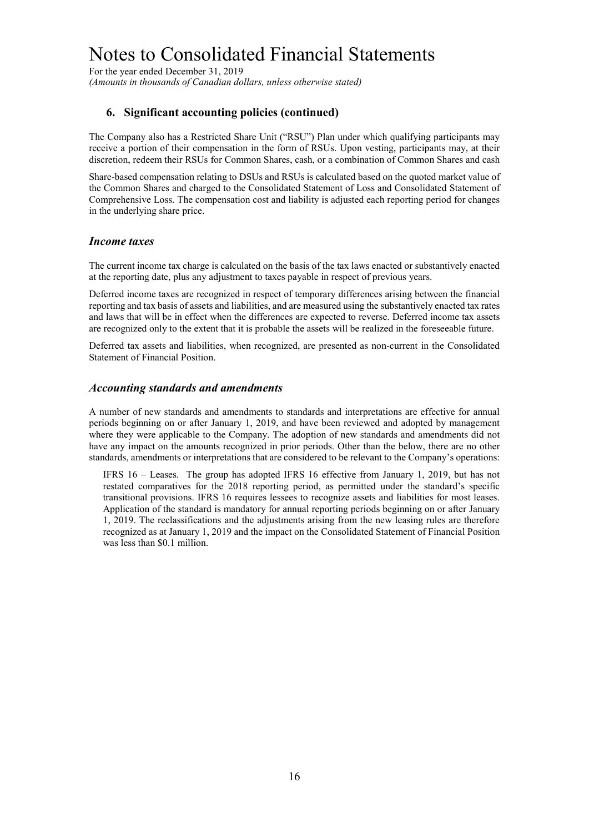For the year ended December 31, 2019 *(Amounts in thousands of Canadian dollars, unless otherwise stated)*

### **6. Significant accounting policies (continued)**

The Company also has a Restricted Share Unit ("RSU") Plan under which qualifying participants may receive a portion of their compensation in the form of RSUs. Upon vesting, participants may, at their discretion, redeem their RSUs for Common Shares, cash, or a combination of Common Shares and cash

Share-based compensation relating to DSUs and RSUs is calculated based on the quoted market value of the Common Shares and charged to the Consolidated Statement of Loss and Consolidated Statement of Comprehensive Loss. The compensation cost and liability is adjusted each reporting period for changes in the underlying share price.

#### *Income taxes*

The current income tax charge is calculated on the basis of the tax laws enacted or substantively enacted at the reporting date, plus any adjustment to taxes payable in respect of previous years.

Deferred income taxes are recognized in respect of temporary differences arising between the financial reporting and tax basis of assets and liabilities, and are measured using the substantively enacted tax rates and laws that will be in effect when the differences are expected to reverse. Deferred income tax assets are recognized only to the extent that it is probable the assets will be realized in the foreseeable future.

Deferred tax assets and liabilities, when recognized, are presented as non-current in the Consolidated Statement of Financial Position.

#### *Accounting standards and amendments*

A number of new standards and amendments to standards and interpretations are effective for annual periods beginning on or after January 1, 2019, and have been reviewed and adopted by management where they were applicable to the Company. The adoption of new standards and amendments did not have any impact on the amounts recognized in prior periods. Other than the below, there are no other standards, amendments or interpretations that are considered to be relevant to the Company's operations:

IFRS 16 – Leases. The group has adopted IFRS 16 effective from January 1, 2019, but has not restated comparatives for the 2018 reporting period, as permitted under the standard's specific transitional provisions. IFRS 16 requires lessees to recognize assets and liabilities for most leases. Application of the standard is mandatory for annual reporting periods beginning on or after January 1, 2019. The reclassifications and the adjustments arising from the new leasing rules are therefore recognized as at January 1, 2019 and the impact on the Consolidated Statement of Financial Position was less than \$0.1 million.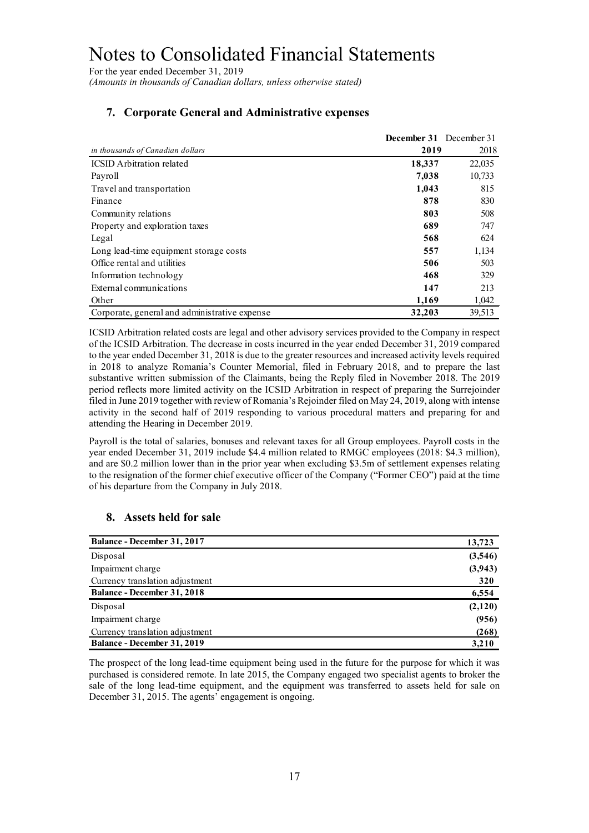For the year ended December 31, 2019 *(Amounts in thousands of Canadian dollars, unless otherwise stated)*

|                                               | <b>December 31</b> December 31 |        |
|-----------------------------------------------|--------------------------------|--------|
| in thousands of Canadian dollars              | 2019                           | 2018   |
| <b>ICSID</b> Arbitration related              | 18,337                         | 22,035 |
| Payroll                                       | 7,038                          | 10,733 |
| Travel and transportation                     | 1,043                          | 815    |
| Finance                                       | 878                            | 830    |
| Community relations                           | 803                            | 508    |
| Property and exploration taxes                | 689                            | 747    |
| Legal                                         | 568                            | 624    |
| Long lead-time equipment storage costs        | 557                            | 1,134  |
| Office rental and utilities                   | 506                            | 503    |
| Information technology                        | 468                            | 329    |
| External communications                       | 147                            | 213    |
| Other                                         | 1,169                          | 1,042  |
| Corporate, general and administrative expense | 32,203                         | 39,513 |

### **7. Corporate General and Administrative expenses**

ICSID Arbitration related costs are legal and other advisory services provided to the Company in respect of the ICSID Arbitration. The decrease in costs incurred in the year ended December 31, 2019 compared to the year ended December 31, 2018 is due to the greater resources and increased activity levels required in 2018 to analyze Romania's Counter Memorial, filed in February 2018, and to prepare the last substantive written submission of the Claimants, being the Reply filed in November 2018. The 2019 period reflects more limited activity on the ICSID Arbitration in respect of preparing the Surrejoinder filed in June 2019 together with review of Romania's Rejoinder filed on May 24, 2019, along with intense activity in the second half of 2019 responding to various procedural matters and preparing for and attending the Hearing in December 2019.

Payroll is the total of salaries, bonuses and relevant taxes for all Group employees. Payroll costs in the year ended December 31, 2019 include \$4.4 million related to RMGC employees (2018: \$4.3 million), and are \$0.2 million lower than in the prior year when excluding \$3.5m of settlement expenses relating to the resignation of the former chief executive officer of the Company ("Former CEO") paid at the time of his departure from the Company in July 2018.

### **8. Assets held for sale**

| <b>Balance - December 31, 2017</b> | 13,723  |
|------------------------------------|---------|
| Disposal                           | (3,546) |
| Impairment charge                  | (3,943) |
| Currency translation adjustment    | 320     |
| Balance - December 31, 2018        | 6,554   |
| Disposal                           | (2,120) |
| Impairment charge                  | (956)   |
| Currency translation adjustment    | (268)   |
| <b>Balance - December 31, 2019</b> | 3,210   |

The prospect of the long lead-time equipment being used in the future for the purpose for which it was purchased is considered remote. In late 2015, the Company engaged two specialist agents to broker the sale of the long lead-time equipment, and the equipment was transferred to assets held for sale on December 31, 2015. The agents' engagement is ongoing.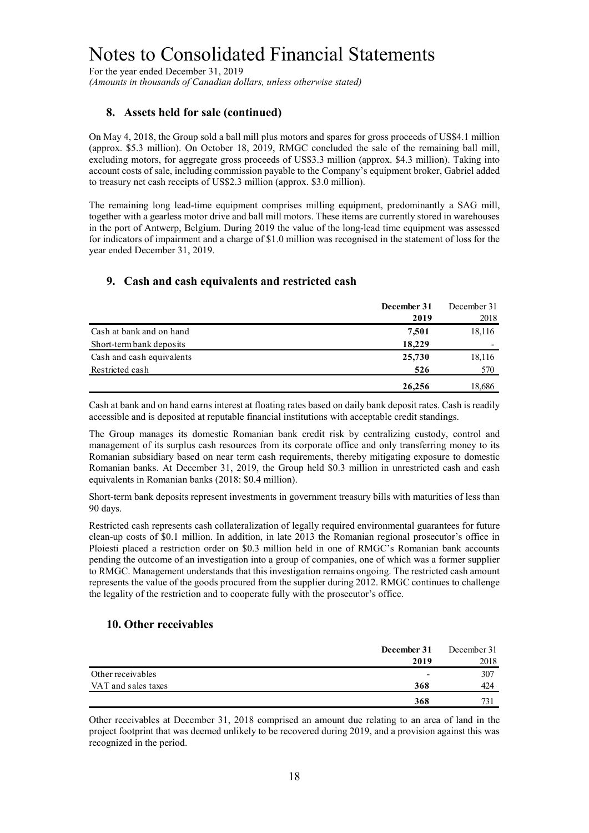For the year ended December 31, 2019

*(Amounts in thousands of Canadian dollars, unless otherwise stated)*

### **8. Assets held for sale (continued)**

On May 4, 2018, the Group sold a ball mill plus motors and spares for gross proceeds of US\$4.1 million (approx. \$5.3 million). On October 18, 2019, RMGC concluded the sale of the remaining ball mill, excluding motors, for aggregate gross proceeds of US\$3.3 million (approx. \$4.3 million). Taking into account costs of sale, including commission payable to the Company's equipment broker, Gabriel added to treasury net cash receipts of US\$2.3 million (approx. \$3.0 million).

The remaining long lead-time equipment comprises milling equipment, predominantly a SAG mill, together with a gearless motor drive and ball mill motors. These items are currently stored in warehouses in the port of Antwerp, Belgium. During 2019 the value of the long-lead time equipment was assessed for indicators of impairment and a charge of \$1.0 million was recognised in the statement of loss for the year ended December 31, 2019.

### **9. Cash and cash equivalents and restricted cash**

|                           | December 31 | December 31 |
|---------------------------|-------------|-------------|
|                           | 2019        | 2018        |
| Cash at bank and on hand  | 7,501       | 18,116      |
| Short-term bank deposits  | 18,229      |             |
| Cash and cash equivalents | 25,730      | 18,116      |
| Restricted cash           | 526         | 570         |
|                           | 26,256      | 18,686      |

Cash at bank and on hand earns interest at floating rates based on daily bank deposit rates. Cash is readily accessible and is deposited at reputable financial institutions with acceptable credit standings.

The Group manages its domestic Romanian bank credit risk by centralizing custody, control and management of its surplus cash resources from its corporate office and only transferring money to its Romanian subsidiary based on near term cash requirements, thereby mitigating exposure to domestic Romanian banks. At December 31, 2019, the Group held \$0.3 million in unrestricted cash and cash equivalents in Romanian banks (2018: \$0.4 million).

Short-term bank deposits represent investments in government treasury bills with maturities of less than 90 days.

Restricted cash represents cash collateralization of legally required environmental guarantees for future clean-up costs of \$0.1 million. In addition, in late 2013 the Romanian regional prosecutor's office in Ploiesti placed a restriction order on \$0.3 million held in one of RMGC's Romanian bank accounts pending the outcome of an investigation into a group of companies, one of which was a former supplier to RMGC. Management understands that this investigation remains ongoing. The restricted cash amount represents the value of the goods procured from the supplier during 2012. RMGC continues to challenge the legality of the restriction and to cooperate fully with the prosecutor's office.

#### **10. Other receivables**

|                     | December 31 | December 31 |
|---------------------|-------------|-------------|
|                     | 2019        | 2018        |
| Other receivables   | -           | 307         |
| VAT and sales taxes | 368         | 424         |
|                     | 368         | 731         |

Other receivables at December 31, 2018 comprised an amount due relating to an area of land in the project footprint that was deemed unlikely to be recovered during 2019, and a provision against this was recognized in the period.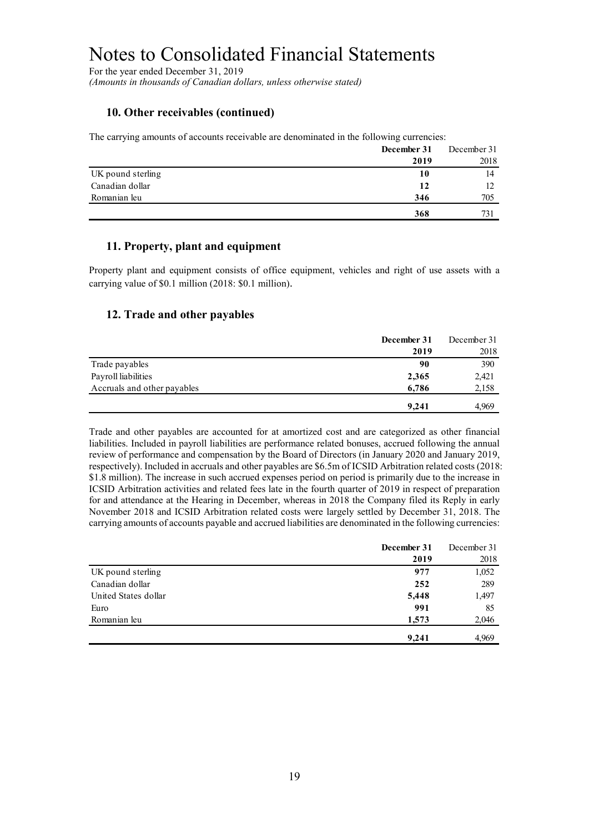For the year ended December 31, 2019 *(Amounts in thousands of Canadian dollars, unless otherwise stated)*

### **10. Other receivables (continued)**

The carrying amounts of accounts receivable are denominated in the following currencies:

|                   | December 31 | December 31 |
|-------------------|-------------|-------------|
|                   | 2019        | 2018        |
| UK pound sterling | 10          | 14          |
| Canadian dollar   | 12          |             |
| Romanian leu      | 346         | 705         |
|                   | 368         | 731         |

### **11. Property, plant and equipment**

Property plant and equipment consists of office equipment, vehicles and right of use assets with a carrying value of \$0.1 million (2018: \$0.1 million).

#### **12. Trade and other payables**

|                             | December 31 | December 31 |
|-----------------------------|-------------|-------------|
|                             | 2019        | 2018        |
| Trade payables              | 90          | 390         |
| Payroll liabilities         | 2,365       | 2,421       |
| Accruals and other payables | 6,786       | 2,158       |
|                             | 9.241       | 4.969       |

Trade and other payables are accounted for at amortized cost and are categorized as other financial liabilities. Included in payroll liabilities are performance related bonuses, accrued following the annual review of performance and compensation by the Board of Directors (in January 2020 and January 2019, respectively). Included in accruals and other payables are \$6.5m of ICSID Arbitration related costs (2018: \$1.8 million). The increase in such accrued expenses period on period is primarily due to the increase in ICSID Arbitration activities and related fees late in the fourth quarter of 2019 in respect of preparation for and attendance at the Hearing in December, whereas in 2018 the Company filed its Reply in early November 2018 and ICSID Arbitration related costs were largely settled by December 31, 2018. The carrying amounts of accounts payable and accrued liabilities are denominated in the following currencies:

|                      | December 31 | December 31 |
|----------------------|-------------|-------------|
|                      | 2019        | 2018        |
| UK pound sterling    | 977         | 1,052       |
| Canadian dollar      | 252         | 289         |
| United States dollar | 5,448       | 1,497       |
| Euro                 | 991         | 85          |
| Romanian leu         | 1,573       | 2,046       |
|                      | 9.241       | 4,969       |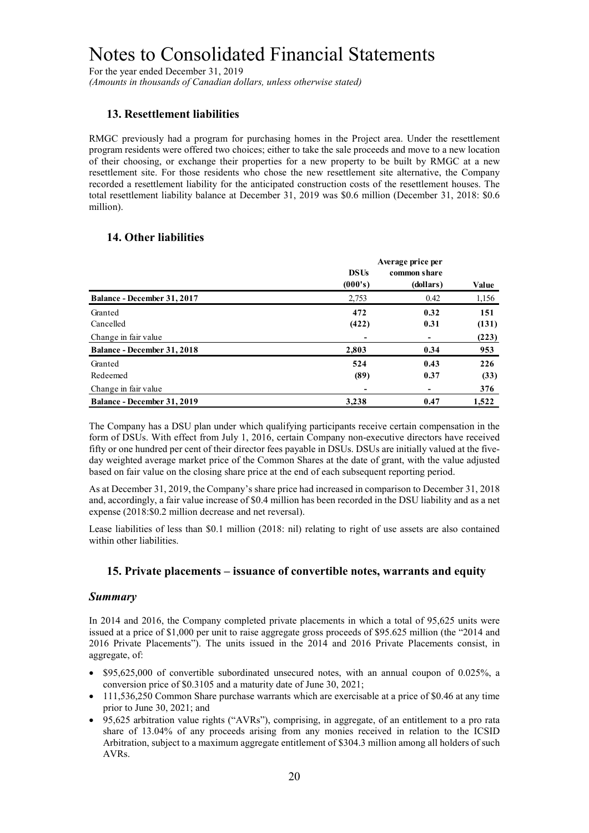For the year ended December 31, 2019

*(Amounts in thousands of Canadian dollars, unless otherwise stated)*

### **13. Resettlement liabilities**

RMGC previously had a program for purchasing homes in the Project area. Under the resettlement program residents were offered two choices; either to take the sale proceeds and move to a new location of their choosing, or exchange their properties for a new property to be built by RMGC at a new resettlement site. For those residents who chose the new resettlement site alternative, the Company recorded a resettlement liability for the anticipated construction costs of the resettlement houses. The total resettlement liability balance at December 31, 2019 was \$0.6 million (December 31, 2018: \$0.6 million).

#### **14. Other liabilities**

|                                    | Average price per      |                           |              |
|------------------------------------|------------------------|---------------------------|--------------|
|                                    | <b>DSUs</b><br>(000's) | common share<br>(dollars) | Value        |
| <b>Balance - December 31, 2017</b> | 2,753                  | 0.42                      | 1,156        |
| Granted<br>Cancelled               | 472<br>(422)           | 0.32<br>0.31              | 151<br>(131) |
| Change in fair value               | -                      |                           | (223)        |
| <b>Balance - December 31, 2018</b> | 2,803                  | 0.34                      | 953          |
| Granted<br>Redeemed                | 524<br>(89)            | 0.43<br>0.37              | 226<br>(33)  |
| Change in fair value               |                        |                           | 376          |
| Balance - December 31, 2019        | 3,238                  | 0.47                      | 1,522        |

The Company has a DSU plan under which qualifying participants receive certain compensation in the form of DSUs. With effect from July 1, 2016, certain Company non-executive directors have received fifty or one hundred per cent of their director fees payable in DSUs. DSUs are initially valued at the fiveday weighted average market price of the Common Shares at the date of grant, with the value adjusted based on fair value on the closing share price at the end of each subsequent reporting period.

As at December 31, 2019, the Company's share price had increased in comparison to December 31, 2018 and, accordingly, a fair value increase of \$0.4 million has been recorded in the DSU liability and as a net expense (2018:\$0.2 million decrease and net reversal).

Lease liabilities of less than \$0.1 million (2018: nil) relating to right of use assets are also contained within other liabilities.

### **15. Private placements – issuance of convertible notes, warrants and equity**

#### *Summary*

In 2014 and 2016, the Company completed private placements in which a total of 95,625 units were issued at a price of \$1,000 per unit to raise aggregate gross proceeds of \$95.625 million (the "2014 and 2016 Private Placements"). The units issued in the 2014 and 2016 Private Placements consist, in aggregate, of:

- \$95,625,000 of convertible subordinated unsecured notes, with an annual coupon of 0.025%, a conversion price of \$0.3105 and a maturity date of June 30, 2021;
- 111,536,250 Common Share purchase warrants which are exercisable at a price of \$0.46 at any time prior to June 30, 2021; and
- 95,625 arbitration value rights ("AVRs"), comprising, in aggregate, of an entitlement to a pro rata share of 13.04% of any proceeds arising from any monies received in relation to the ICSID Arbitration, subject to a maximum aggregate entitlement of \$304.3 million among all holders of such AVRs.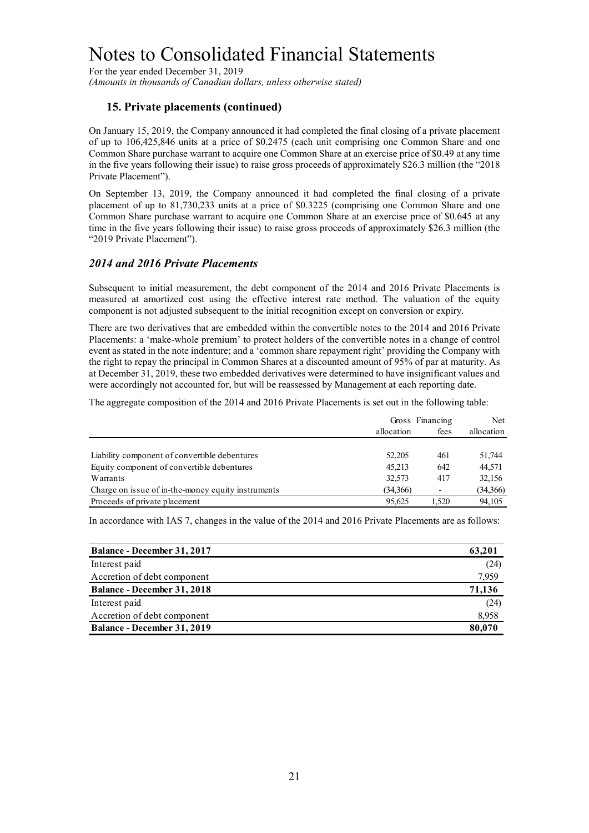For the year ended December 31, 2019 *(Amounts in thousands of Canadian dollars, unless otherwise stated)*

## **15. Private placements (continued)**

On January 15, 2019, the Company announced it had completed the final closing of a private placement of up to 106,425,846 units at a price of \$0.2475 (each unit comprising one Common Share and one Common Share purchase warrant to acquire one Common Share at an exercise price of \$0.49 at any time in the five years following their issue) to raise gross proceeds of approximately \$26.3 million (the "2018 Private Placement").

On September 13, 2019, the Company announced it had completed the final closing of a private placement of up to 81,730,233 units at a price of \$0.3225 (comprising one Common Share and one Common Share purchase warrant to acquire one Common Share at an exercise price of \$0.645 at any time in the five years following their issue) to raise gross proceeds of approximately \$26.3 million (the "2019 Private Placement").

### *2014 and 2016 Private Placements*

Subsequent to initial measurement, the debt component of the 2014 and 2016 Private Placements is measured at amortized cost using the effective interest rate method. The valuation of the equity component is not adjusted subsequent to the initial recognition except on conversion or expiry.

There are two derivatives that are embedded within the convertible notes to the 2014 and 2016 Private Placements: a 'make-whole premium' to protect holders of the convertible notes in a change of control event as stated in the note indenture; and a 'common share repayment right' providing the Company with the right to repay the principal in Common Shares at a discounted amount of 95% of par at maturity. As at December 31, 2019, these two embedded derivatives were determined to have insignificant values and were accordingly not accounted for, but will be reassessed by Management at each reporting date.

The aggregate composition of the 2014 and 2016 Private Placements is set out in the following table:

|                                                    | Gross Financing |       | Net.       |  |
|----------------------------------------------------|-----------------|-------|------------|--|
|                                                    | allocation      | fees  | allocation |  |
|                                                    |                 |       |            |  |
| Liability component of convertible debentures      | 52,205          | 461   | 51,744     |  |
| Equity component of convertible debentures         | 45.213          | 642   | 44,571     |  |
| Warrants                                           | 32.573          | 417   | 32,156     |  |
| Charge on issue of in-the-money equity instruments | (34,366)        |       | (34,366)   |  |
| Proceeds of private placement                      | 95.625          | 1.520 | 94,105     |  |

In accordance with IAS 7, changes in the value of the 2014 and 2016 Private Placements are as follows:

| <b>Balance - December 31, 2017</b> | 63,201 |
|------------------------------------|--------|
| Interest paid                      | (24)   |
| Accretion of debt component        | 7,959  |
| <b>Balance - December 31, 2018</b> | 71,136 |
| Interest paid                      | (24)   |
| Accretion of debt component        | 8,958  |
| <b>Balance - December 31, 2019</b> | 80,070 |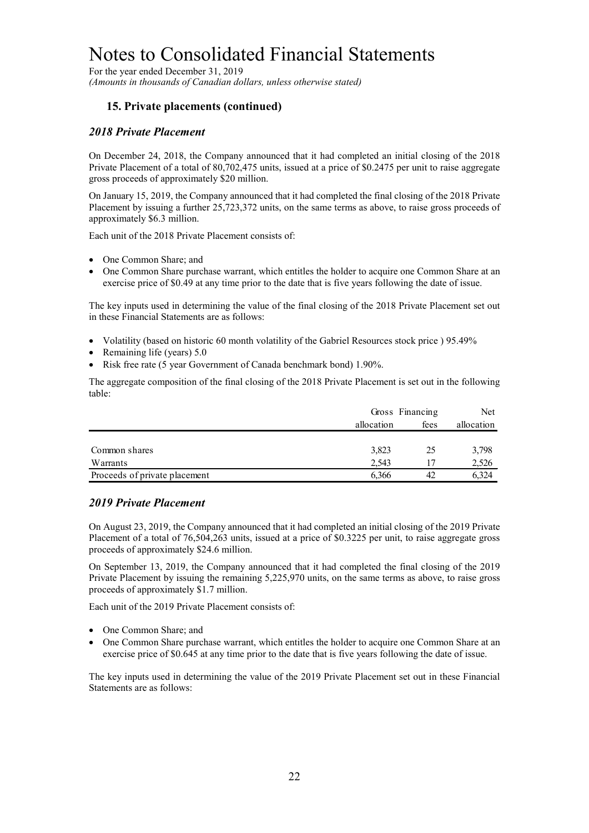For the year ended December 31, 2019 *(Amounts in thousands of Canadian dollars, unless otherwise stated)*

### **15. Private placements (continued)**

#### *2018 Private Placement*

On December 24, 2018, the Company announced that it had completed an initial closing of the 2018 Private Placement of a total of 80,702,475 units, issued at a price of \$0.2475 per unit to raise aggregate gross proceeds of approximately \$20 million.

On January 15, 2019, the Company announced that it had completed the final closing of the 2018 Private Placement by issuing a further 25,723,372 units, on the same terms as above, to raise gross proceeds of approximately \$6.3 million.

Each unit of the 2018 Private Placement consists of:

- One Common Share; and
- One Common Share purchase warrant, which entitles the holder to acquire one Common Share at an exercise price of \$0.49 at any time prior to the date that is five years following the date of issue.

The key inputs used in determining the value of the final closing of the 2018 Private Placement set out in these Financial Statements are as follows:

- Volatility (based on historic 60 month volatility of the Gabriel Resources stock price ) 95.49%
- Remaining life (years) 5.0
- Risk free rate (5 year Government of Canada benchmark bond) 1.90%.

The aggregate composition of the final closing of the 2018 Private Placement is set out in the following table:

|                               |            | Gross Financing | Net.       |
|-------------------------------|------------|-----------------|------------|
|                               | allocation | fees            | allocation |
|                               |            |                 |            |
| Common shares                 | 3,823      | 25              | 3,798      |
| Warrants                      | 2.543      |                 | 2,526      |
| Proceeds of private placement | 6,366      | 42              | 6.324      |

#### *2019 Private Placement*

On August 23, 2019, the Company announced that it had completed an initial closing of the 2019 Private Placement of a total of 76,504,263 units, issued at a price of \$0.3225 per unit, to raise aggregate gross proceeds of approximately \$24.6 million.

On September 13, 2019, the Company announced that it had completed the final closing of the 2019 Private Placement by issuing the remaining 5,225,970 units, on the same terms as above, to raise gross proceeds of approximately \$1.7 million.

Each unit of the 2019 Private Placement consists of:

- One Common Share; and
- One Common Share purchase warrant, which entitles the holder to acquire one Common Share at an exercise price of \$0.645 at any time prior to the date that is five years following the date of issue.

The key inputs used in determining the value of the 2019 Private Placement set out in these Financial Statements are as follows: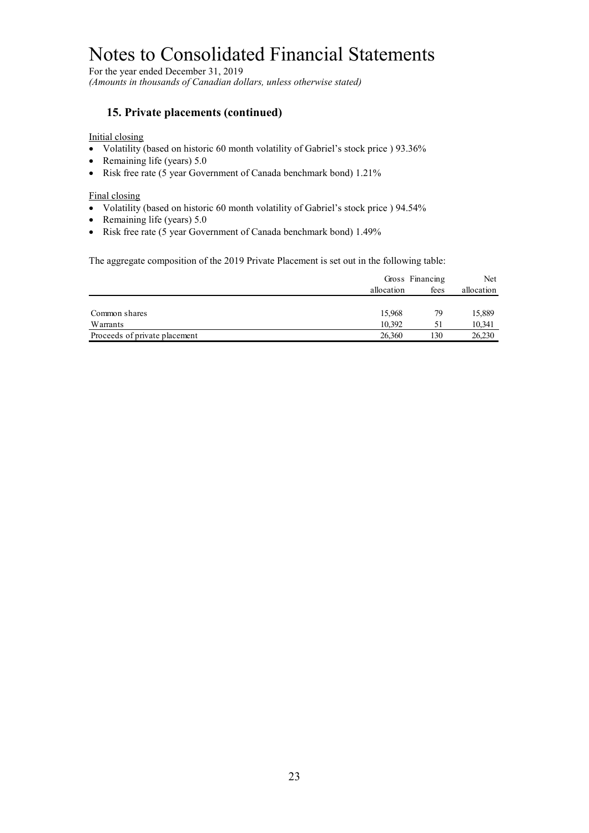For the year ended December 31, 2019 *(Amounts in thousands of Canadian dollars, unless otherwise stated)*

### **15. Private placements (continued)**

#### Initial closing

- Volatility (based on historic 60 month volatility of Gabriel's stock price ) 93.36%
- Remaining life (years) 5.0
- Risk free rate (5 year Government of Canada benchmark bond) 1.21%

#### Final closing

- Volatility (based on historic 60 month volatility of Gabriel's stock price ) 94.54%
- Remaining life (years) 5.0
- Risk free rate (5 year Government of Canada benchmark bond) 1.49%

The aggregate composition of the 2019 Private Placement is set out in the following table:

|                               |            | Gross Financing |            |
|-------------------------------|------------|-----------------|------------|
|                               | allocation | fees            | allocation |
|                               |            |                 |            |
| Common shares                 | 15.968     | 79              | 15,889     |
| Warrants                      | 10.392     | 51              | 10,341     |
| Proceeds of private placement | 26,360     | 130             | 26,230     |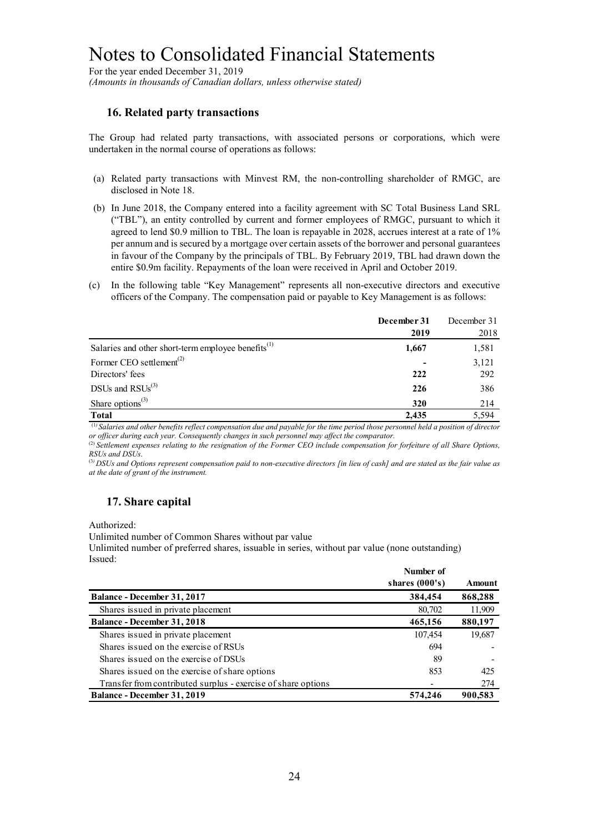For the year ended December 31, 2019

*(Amounts in thousands of Canadian dollars, unless otherwise stated)*

#### **16. Related party transactions**

The Group had related party transactions, with associated persons or corporations, which were undertaken in the normal course of operations as follows:

- (a) Related party transactions with Minvest RM, the non-controlling shareholder of RMGC, are disclosed in Note 18.
- (b) In June 2018, the Company entered into a facility agreement with SC Total Business Land SRL ("TBL"), an entity controlled by current and former employees of RMGC, pursuant to which it agreed to lend \$0.9 million to TBL. The loan is repayable in 2028, accrues interest at a rate of 1% per annum and is secured by a mortgage over certain assets of the borrower and personal guarantees in favour of the Company by the principals of TBL. By February 2019, TBL had drawn down the entire \$0.9m facility. Repayments of the loan were received in April and October 2019.
- (c) In the following table "Key Management" represents all non-executive directors and executive officers of the Company. The compensation paid or payable to Key Management is as follows:

|                                                                | December 31 | December 31 |
|----------------------------------------------------------------|-------------|-------------|
|                                                                | 2019        | 2018        |
| Salaries and other short-term employee benefits <sup>(1)</sup> | 1,667       | 1,581       |
| Former CEO settlement <sup>(2)</sup>                           |             | 3,121       |
| Directors' fees                                                | 222         | 292         |
| DSUs and $RSUs^{(3)}$                                          | 226         | 386         |
| Share options <sup>(3)</sup>                                   | 320         | 214         |
| <b>Total</b>                                                   | 2,435       | 5,594       |

(1*) Salaries and other benefits reflect compensation due and payable for the time period those personnel held a position of director or officer during each year. Consequently changes in such personnel may affect the comparator.*

(2) *Settlement expenses relating to the resignation of the Former CEO include compensation for forfeiture of all Share Options, RSUs and DSUs*.

(3*) DSUs and Options represent compensation paid to non-executive directors [in lieu of cash] and are stated as the fair value as at the date of grant of the instrument.*

## **17. Share capital**

Authorized:

Unlimited number of Common Shares without par value

Unlimited number of preferred shares, issuable in series, without par value (none outstanding) Issued:

|                                                               | Number of                |               |
|---------------------------------------------------------------|--------------------------|---------------|
|                                                               | shares $(000's)$         | <b>Amount</b> |
| <b>Balance - December 31, 2017</b>                            | 384,454                  | 868,288       |
| Shares issued in private placement                            | 80,702                   | 11,909        |
| <b>Balance - December 31, 2018</b>                            | 465,156                  | 880,197       |
| Shares issued in private placement                            | 107,454                  | 19,687        |
| Shares issued on the exercise of RSUs                         | 694                      |               |
| Shares issued on the exercise of DSUs                         | 89                       |               |
| Shares issued on the exercise of share options                | 853                      | 425           |
| Transfer from contributed surplus - exercise of share options | $\overline{\phantom{0}}$ | 274           |
| <b>Balance - December 31, 2019</b>                            | 574,246                  | 900,583       |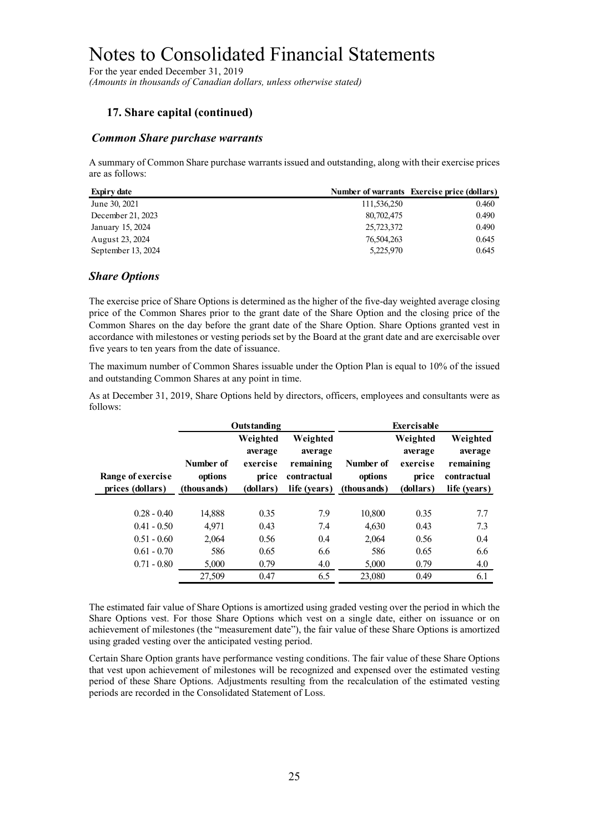For the year ended December 31, 2019 *(Amounts in thousands of Canadian dollars, unless otherwise stated)*

## **17. Share capital (continued)**

#### *Common Share purchase warrants*

A summary of Common Share purchase warrants issued and outstanding, along with their exercise prices are as follows:

| <b>Expiry date</b> |             | Number of warrants Exercise price (dollars) |
|--------------------|-------------|---------------------------------------------|
| June 30, 2021      | 111,536,250 | 0.460                                       |
| December 21, 2023  | 80,702,475  | 0.490                                       |
| January 15, 2024   | 25,723,372  | 0.490                                       |
| August 23, 2024    | 76,504,263  | 0.645                                       |
| September 13, 2024 | 5,225,970   | 0.645                                       |

#### *Share Options*

The exercise price of Share Options is determined as the higher of the five-day weighted average closing price of the Common Shares prior to the grant date of the Share Option and the closing price of the Common Shares on the day before the grant date of the Share Option. Share Options granted vest in accordance with milestones or vesting periods set by the Board at the grant date and are exercisable over five years to ten years from the date of issuance.

The maximum number of Common Shares issuable under the Option Plan is equal to 10% of the issued and outstanding Common Shares at any point in time.

As at December 31, 2019, Share Options held by directors, officers, employees and consultants were as follows:

| <b>Outstanding</b> |                      |                                          | <b>Exercisable</b>                              |                      |                                          |                                                 |
|--------------------|----------------------|------------------------------------------|-------------------------------------------------|----------------------|------------------------------------------|-------------------------------------------------|
| Range of exercise  | Number of<br>options | Weighted<br>average<br>exercise<br>price | Weighted<br>average<br>remaining<br>contractual | Number of<br>options | Weighted<br>average<br>exercise<br>price | Weighted<br>average<br>remaining<br>contractual |
| prices (dollars)   | (thous ands)         | (dollars)                                | life (years)                                    | (thous ands)         | (dollars)                                | life (years)                                    |
|                    |                      |                                          |                                                 |                      |                                          |                                                 |
| $0.28 - 0.40$      | 14,888               | 0.35                                     | 7.9                                             | 10,800               | 0.35                                     | 7.7                                             |
| $0.41 - 0.50$      | 4.971                | 0.43                                     | 7.4                                             | 4,630                | 0.43                                     | 7.3                                             |
| $0.51 - 0.60$      | 2,064                | 0.56                                     | 0.4                                             | 2,064                | 0.56                                     | 0.4                                             |
| $0.61 - 0.70$      | 586                  | 0.65                                     | 6.6                                             | 586                  | 0.65                                     | 6.6                                             |
| $0.71 - 0.80$      | 5,000                | 0.79                                     | 4.0                                             | 5,000                | 0.79                                     | 4.0                                             |
|                    | 27,509               | 0.47                                     | 6.5                                             | 23,080               | 0.49                                     | 6.1                                             |

The estimated fair value of Share Options is amortized using graded vesting over the period in which the Share Options vest. For those Share Options which vest on a single date, either on issuance or on achievement of milestones (the "measurement date"), the fair value of these Share Options is amortized using graded vesting over the anticipated vesting period.

Certain Share Option grants have performance vesting conditions. The fair value of these Share Options that vest upon achievement of milestones will be recognized and expensed over the estimated vesting period of these Share Options. Adjustments resulting from the recalculation of the estimated vesting periods are recorded in the Consolidated Statement of Loss.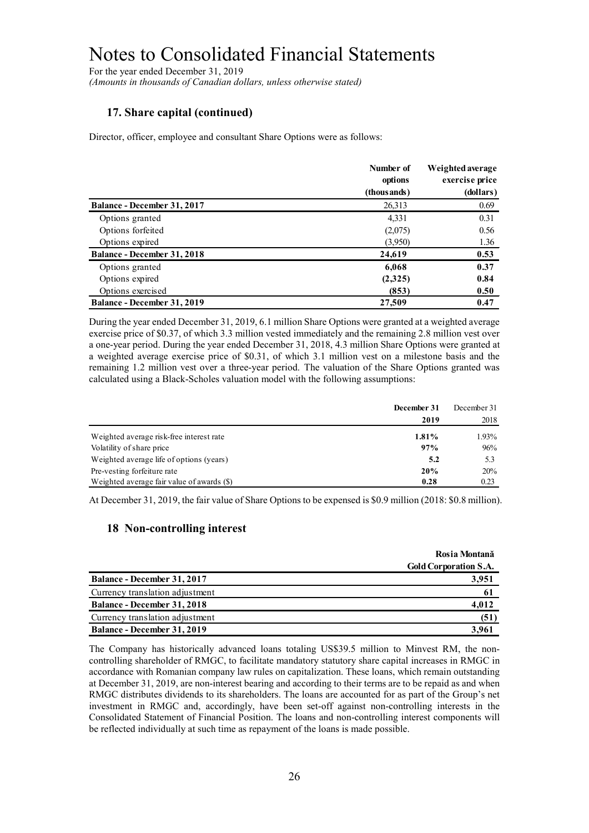For the year ended December 31, 2019 *(Amounts in thousands of Canadian dollars, unless otherwise stated)*

### **17. Share capital (continued)**

Director, officer, employee and consultant Share Options were as follows:

|                                    | Number of<br>options<br>(thous ands) | Weighted average<br>exercise price<br>(dollars) |
|------------------------------------|--------------------------------------|-------------------------------------------------|
| <b>Balance - December 31, 2017</b> | 26,313                               | 0.69                                            |
| Options granted                    | 4,331                                | 0.31                                            |
| Options forfeited                  | (2,075)                              | 0.56                                            |
| Options expired                    | (3,950)                              | 1.36                                            |
| <b>Balance - December 31, 2018</b> | 24,619                               | 0.53                                            |
| Options granted                    | 6,068                                | 0.37                                            |
| Options expired                    | (2,325)                              | 0.84                                            |
| Options exercised                  | (853)                                | 0.50                                            |
| Balance - December 31, 2019        | 27,509                               | 0.47                                            |

During the year ended December 31, 2019, 6.1 million Share Options were granted at a weighted average exercise price of \$0.37, of which 3.3 million vested immediately and the remaining 2.8 million vest over a one-year period. During the year ended December 31, 2018, 4.3 million Share Options were granted at a weighted average exercise price of \$0.31, of which 3.1 million vest on a milestone basis and the remaining 1.2 million vest over a three-year period. The valuation of the Share Options granted was calculated using a Black-Scholes valuation model with the following assumptions:

|                                            | December 31 | December 31 |
|--------------------------------------------|-------------|-------------|
|                                            | 2019        | 2018        |
| Weighted average risk-free interest rate   | $1.81\%$    | 1.93%       |
| Volatility of share price                  | 97%         | 96%         |
| Weighted average life of options (years)   | 5.2         | 5.3         |
| Pre-vesting forfeiture rate                | 20%         | 20%         |
| Weighted average fair value of awards (\$) | 0.28        | 0.23        |

At December 31, 2019, the fair value of Share Options to be expensed is \$0.9 million (2018: \$0.8 million).

### **18 Non-controlling interest**

|                                    | Rosia Montană                |
|------------------------------------|------------------------------|
|                                    | <b>Gold Corporation S.A.</b> |
| <b>Balance - December 31, 2017</b> | 3,951                        |
| Currency translation adjustment    | -61                          |
| <b>Balance - December 31, 2018</b> | 4.012                        |
| Currency translation adjustment    | (51)                         |
| <b>Balance - December 31, 2019</b> | 3.961                        |

The Company has historically advanced loans totaling US\$39.5 million to Minvest RM, the noncontrolling shareholder of RMGC, to facilitate mandatory statutory share capital increases in RMGC in accordance with Romanian company law rules on capitalization. These loans, which remain outstanding at December 31, 2019, are non-interest bearing and according to their terms are to be repaid as and when RMGC distributes dividends to its shareholders. The loans are accounted for as part of the Group's net investment in RMGC and, accordingly, have been set-off against non-controlling interests in the Consolidated Statement of Financial Position. The loans and non-controlling interest components will be reflected individually at such time as repayment of the loans is made possible.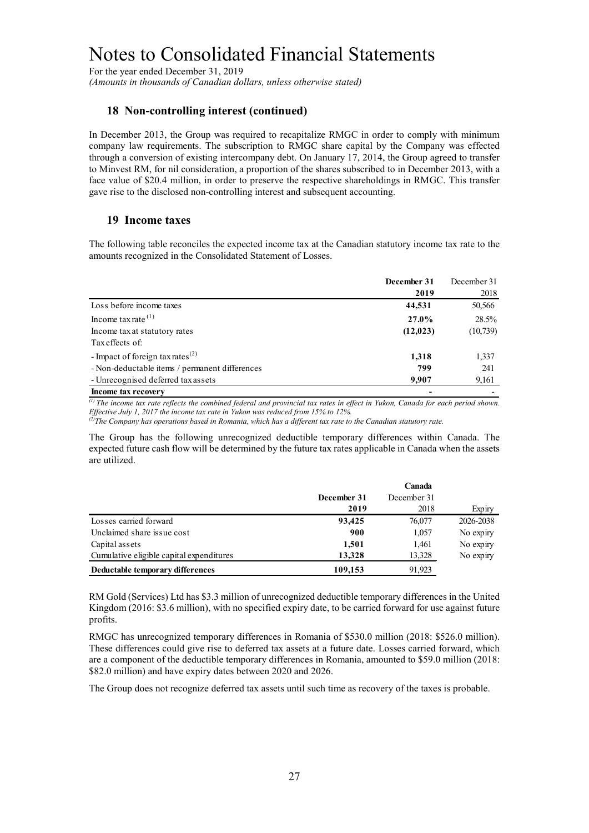For the year ended December 31, 2019

*(Amounts in thousands of Canadian dollars, unless otherwise stated)*

### **18 Non-controlling interest (continued)**

In December 2013, the Group was required to recapitalize RMGC in order to comply with minimum company law requirements. The subscription to RMGC share capital by the Company was effected through a conversion of existing intercompany debt. On January 17, 2014, the Group agreed to transfer to Minvest RM, for nil consideration, a proportion of the shares subscribed to in December 2013, with a face value of \$20.4 million, in order to preserve the respective shareholdings in RMGC. This transfer gave rise to the disclosed non-controlling interest and subsequent accounting.

### **19 Income taxes**

The following table reconciles the expected income tax at the Canadian statutory income tax rate to the amounts recognized in the Consolidated Statement of Losses.

|                                                | December 31 | December 31 |
|------------------------------------------------|-------------|-------------|
|                                                | 2019        | 2018        |
| Loss before income taxes                       | 44,531      | 50,566      |
| Income tax rate $(1)$                          | 27.0%       | 28.5%       |
| Income tax at statutory rates                  | (12, 023)   | (10,739)    |
| Tax effects of:                                |             |             |
| - Impact of foreign tax rates <sup>(2)</sup>   | 1,318       | 1,337       |
| - Non-deductable items / permanent differences | 799         | 241         |
| - Unrecognised deferred taxassets              | 9,907       | 9,161       |
| Income tax recovery                            |             |             |

*(1) The income tax rate reflects the combined federal and provincial tax rates in effect in Yukon, Canada for each period shown. Effective July 1, 2017 the income tax rate in Yukon was reduced from 15% to 12%.*

*(2)The Company has operations based in Romania, which has a different tax rate to the Canadian statutory rate.*

The Group has the following unrecognized deductible temporary differences within Canada. The expected future cash flow will be determined by the future tax rates applicable in Canada when the assets are utilized.

|                                          |             | Canada      |           |
|------------------------------------------|-------------|-------------|-----------|
|                                          | December 31 | December 31 |           |
|                                          | 2019        | 2018        | Expiry    |
| Losses carried forward                   | 93,425      | 76,077      | 2026-2038 |
| Unclaimed share issue cost               | 900         | 1,057       | No expiry |
| Capital assets                           | 1,501       | 1,461       | No expiry |
| Cumulative eligible capital expenditures | 13,328      | 13,328      | No expiry |
| Deductable temporary differences         | 109,153     | 91,923      |           |

RM Gold (Services) Ltd has \$3.3 million of unrecognized deductible temporary differences in the United Kingdom (2016: \$3.6 million), with no specified expiry date, to be carried forward for use against future profits.

RMGC has unrecognized temporary differences in Romania of \$530.0 million (2018: \$526.0 million). These differences could give rise to deferred tax assets at a future date. Losses carried forward, which are a component of the deductible temporary differences in Romania, amounted to \$59.0 million (2018: \$82.0 million) and have expiry dates between 2020 and 2026.

The Group does not recognize deferred tax assets until such time as recovery of the taxes is probable.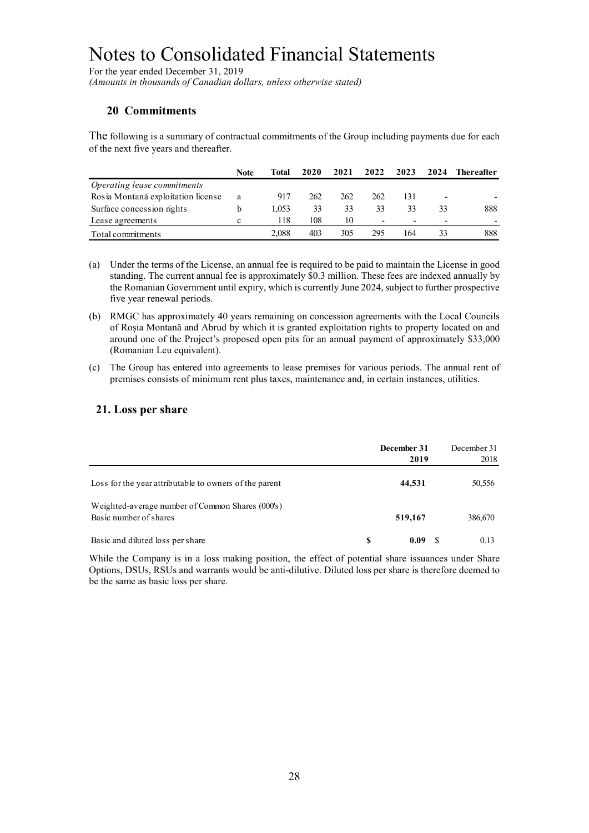For the year ended December 31, 2019

*(Amounts in thousands of Canadian dollars, unless otherwise stated)*

## **20 Commitments**

The following is a summary of contractual commitments of the Group including payments due for each of the next five years and thereafter.

|                                    | Note | Total | 2020 | 2021 | 2022 | 2023 | 2024 | Thereafter |
|------------------------------------|------|-------|------|------|------|------|------|------------|
| Operating lease commitments        |      |       |      |      |      |      |      |            |
| Rosia Montană exploitation license | a    | 917   | 262  | 262  | 262  | 131  |      |            |
| Surface concession rights          |      | 1.053 | 33   | 33   | 33   | 33   | 33   | 888        |
| Lease agreements                   | с    | 118   | 108  | 10   | -    |      |      |            |
| Total commitments                  |      | 2.088 | 403  | 305  | 295  | 164  | 33   | 888        |

- (a) Under the terms of the License, an annual fee is required to be paid to maintain the License in good standing. The current annual fee is approximately \$0.3 million. These fees are indexed annually by the Romanian Government until expiry, which is currently June 2024, subject to further prospective five year renewal periods.
- (b) RMGC has approximately 40 years remaining on concession agreements with the Local Councils of Roșia Montană and Abrud by which it is granted exploitation rights to property located on and around one of the Project's proposed open pits for an annual payment of approximately \$33,000 (Romanian Leu equivalent).
- (c) The Group has entered into agreements to lease premises for various periods. The annual rent of premises consists of minimum rent plus taxes, maintenance and, in certain instances, utilities.

### **21. Loss per share**

|                                                                            | December 31<br>2019 | December 31<br>2018 |
|----------------------------------------------------------------------------|---------------------|---------------------|
| Loss for the year attributable to owners of the parent                     | 44,531              | 50,556              |
| Weighted-average number of Common Shares (000's)<br>Basic number of shares | 519,167             | 386,670             |
| Basic and diluted loss per share                                           | 0.09                | 0.13                |

While the Company is in a loss making position, the effect of potential share issuances under Share Options, DSUs, RSUs and warrants would be anti-dilutive. Diluted loss per share is therefore deemed to be the same as basic loss per share.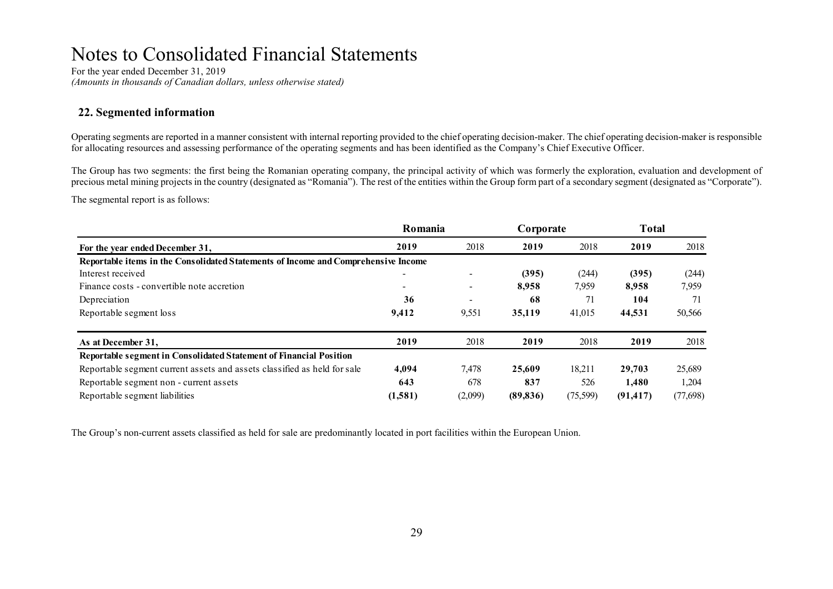For the year ended December 31, 2019 *(Amounts in thousands of Canadian dollars, unless otherwise stated)*

## **22. Segmented information**

Operating segments are reported in a manner consistent with internal reporting provided to the chief operating decision-maker. The chief operating decision-maker is responsible for allocating resources and assessing performance of the operating segments and has been identified as the Company's Chief Executive Officer.

The Group has two segments: the first being the Romanian operating company, the principal activity of which was formerly the exploration, evaluation and development of precious metal mining projects in the country (designated as "Romania"). The rest of the entities within the Group form part of a secondary segment (designated as "Corporate").

The segmental report is as follows:

|                                                                                    | Romania |                          | Corporate |           | <b>Total</b> |          |
|------------------------------------------------------------------------------------|---------|--------------------------|-----------|-----------|--------------|----------|
| For the year ended December 31,                                                    | 2019    | 2018                     | 2019      | 2018      | 2019         | 2018     |
| Reportable items in the Consolidated Statements of Income and Comprehensive Income |         |                          |           |           |              |          |
| Interest received                                                                  |         |                          | (395)     | (244)     | (395)        | (244)    |
| Finance costs - convertible note accretion                                         | -       |                          | 8,958     | 7,959     | 8,958        | 7,959    |
| Depreciation                                                                       | 36      | $\overline{\phantom{0}}$ | 68        | 71        | 104          | 71       |
| Reportable segment loss                                                            | 9,412   | 9,551                    | 35,119    | 41,015    | 44,531       | 50,566   |
| As at December 31,                                                                 | 2019    | 2018                     | 2019      | 2018      | 2019         | 2018     |
| Reportable segment in Consolidated Statement of Financial Position                 |         |                          |           |           |              |          |
| Reportable segment current assets and assets classified as held for sale           | 4,094   | 7,478                    | 25,609    | 18,211    | 29,703       | 25,689   |
| Reportable segment non - current assets                                            | 643     | 678                      | 837       | 526       | 1,480        | 1,204    |
| Reportable segment liabilities                                                     | (1,581) | (2,099)                  | (89, 836) | (75, 599) | (91, 417)    | (77,698) |

The Group's non-current assets classified as held for sale are predominantly located in port facilities within the European Union.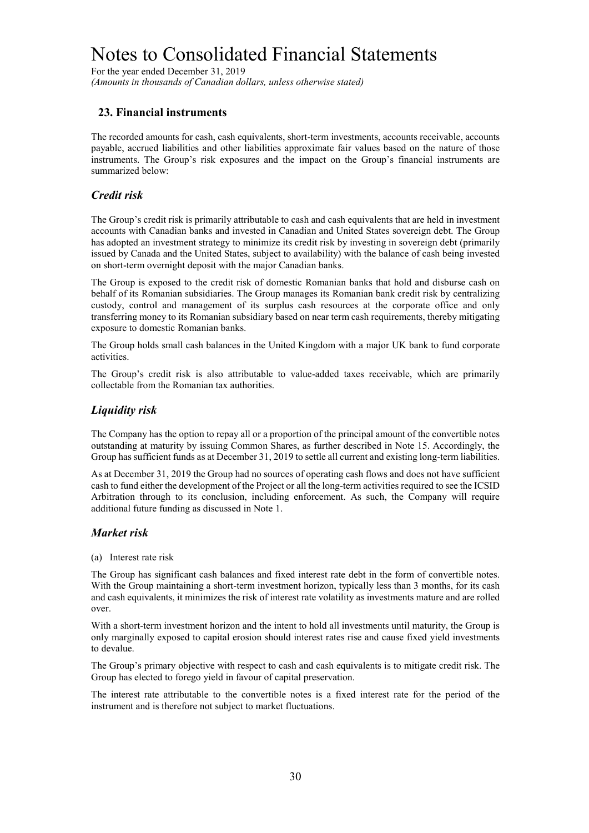For the year ended December 31, 2019 *(Amounts in thousands of Canadian dollars, unless otherwise stated)*

#### **23. Financial instruments**

The recorded amounts for cash, cash equivalents, short-term investments, accounts receivable, accounts payable, accrued liabilities and other liabilities approximate fair values based on the nature of those instruments. The Group's risk exposures and the impact on the Group's financial instruments are summarized below:

#### *Credit risk*

The Group's credit risk is primarily attributable to cash and cash equivalents that are held in investment accounts with Canadian banks and invested in Canadian and United States sovereign debt. The Group has adopted an investment strategy to minimize its credit risk by investing in sovereign debt (primarily issued by Canada and the United States, subject to availability) with the balance of cash being invested on short-term overnight deposit with the major Canadian banks.

The Group is exposed to the credit risk of domestic Romanian banks that hold and disburse cash on behalf of its Romanian subsidiaries. The Group manages its Romanian bank credit risk by centralizing custody, control and management of its surplus cash resources at the corporate office and only transferring money to its Romanian subsidiary based on near term cash requirements, thereby mitigating exposure to domestic Romanian banks.

The Group holds small cash balances in the United Kingdom with a major UK bank to fund corporate activities.

The Group's credit risk is also attributable to value-added taxes receivable, which are primarily collectable from the Romanian tax authorities.

#### *Liquidity risk*

The Company has the option to repay all or a proportion of the principal amount of the convertible notes outstanding at maturity by issuing Common Shares, as further described in Note 15. Accordingly, the Group has sufficient funds as at December 31, 2019 to settle all current and existing long-term liabilities.

As at December 31, 2019 the Group had no sources of operating cash flows and does not have sufficient cash to fund either the development of the Project or all the long-term activities required to see the ICSID Arbitration through to its conclusion, including enforcement. As such, the Company will require additional future funding as discussed in Note 1.

#### *Market risk*

(a) Interest rate risk

The Group has significant cash balances and fixed interest rate debt in the form of convertible notes. With the Group maintaining a short-term investment horizon, typically less than 3 months, for its cash and cash equivalents, it minimizes the risk of interest rate volatility as investments mature and are rolled over.

With a short-term investment horizon and the intent to hold all investments until maturity, the Group is only marginally exposed to capital erosion should interest rates rise and cause fixed yield investments to devalue.

The Group's primary objective with respect to cash and cash equivalents is to mitigate credit risk. The Group has elected to forego yield in favour of capital preservation.

The interest rate attributable to the convertible notes is a fixed interest rate for the period of the instrument and is therefore not subject to market fluctuations.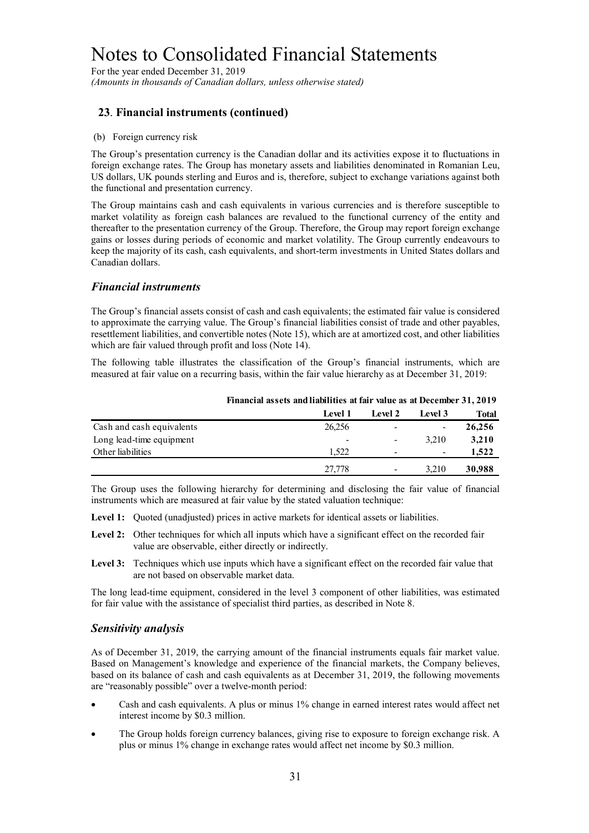For the year ended December 31, 2019 *(Amounts in thousands of Canadian dollars, unless otherwise stated)*

#### **23**. **Financial instruments (continued)**

#### (b) Foreign currency risk

The Group's presentation currency is the Canadian dollar and its activities expose it to fluctuations in foreign exchange rates. The Group has monetary assets and liabilities denominated in Romanian Leu, US dollars, UK pounds sterling and Euros and is, therefore, subject to exchange variations against both the functional and presentation currency.

The Group maintains cash and cash equivalents in various currencies and is therefore susceptible to market volatility as foreign cash balances are revalued to the functional currency of the entity and thereafter to the presentation currency of the Group. Therefore, the Group may report foreign exchange gains or losses during periods of economic and market volatility. The Group currently endeavours to keep the majority of its cash, cash equivalents, and short-term investments in United States dollars and Canadian dollars.

#### *Financial instruments*

The Group's financial assets consist of cash and cash equivalents; the estimated fair value is considered to approximate the carrying value. The Group's financial liabilities consist of trade and other payables, resettlement liabilities, and convertible notes (Note 15), which are at amortized cost, and other liabilities which are fair valued through profit and loss (Note 14).

The following table illustrates the classification of the Group's financial instruments, which are measured at fair value on a recurring basis, within the fair value hierarchy as at December 31, 2019:

|                           | Level 1                  | Level 2                  | Level 3                  | Total  |
|---------------------------|--------------------------|--------------------------|--------------------------|--------|
| Cash and cash equivalents | 26,256                   | $\overline{\phantom{0}}$ | $\overline{\phantom{a}}$ | 26,256 |
| Long lead-time equipment  | $\overline{\phantom{0}}$ | $\overline{\phantom{a}}$ | 3,210                    | 3,210  |
| Other liabilities         | 1.522                    | $\overline{\phantom{0}}$ | $\overline{\phantom{a}}$ | 1,522  |
|                           | 27,778                   | $\overline{\phantom{a}}$ | 3.210                    | 30,988 |

# **Financial assets and liabilities at fair value as at December 31, 2019**

The Group uses the following hierarchy for determining and disclosing the fair value of financial instruments which are measured at fair value by the stated valuation technique:

- **Level 1:** Quoted (unadjusted) prices in active markets for identical assets or liabilities.
- Level 2: Other techniques for which all inputs which have a significant effect on the recorded fair value are observable, either directly or indirectly.
- Level 3: Techniques which use inputs which have a significant effect on the recorded fair value that are not based on observable market data.

The long lead-time equipment, considered in the level 3 component of other liabilities, was estimated for fair value with the assistance of specialist third parties, as described in Note 8.

#### *Sensitivity analysis*

As of December 31, 2019, the carrying amount of the financial instruments equals fair market value. Based on Management's knowledge and experience of the financial markets, the Company believes, based on its balance of cash and cash equivalents as at December 31, 2019, the following movements are "reasonably possible" over a twelve-month period:

- Cash and cash equivalents. A plus or minus 1% change in earned interest rates would affect net interest income by \$0.3 million.
- The Group holds foreign currency balances, giving rise to exposure to foreign exchange risk. A plus or minus 1% change in exchange rates would affect net income by \$0.3 million.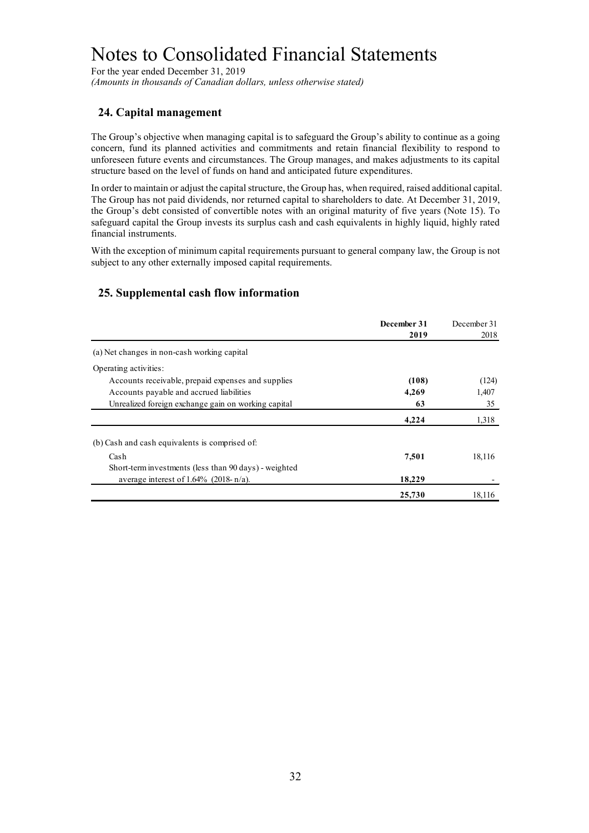For the year ended December 31, 2019 *(Amounts in thousands of Canadian dollars, unless otherwise stated)*

### **24. Capital management**

The Group's objective when managing capital is to safeguard the Group's ability to continue as a going concern, fund its planned activities and commitments and retain financial flexibility to respond to unforeseen future events and circumstances. The Group manages, and makes adjustments to its capital structure based on the level of funds on hand and anticipated future expenditures.

In order to maintain or adjust the capital structure, the Group has, when required, raised additional capital. The Group has not paid dividends, nor returned capital to shareholders to date. At December 31, 2019, the Group's debt consisted of convertible notes with an original maturity of five years (Note 15). To safeguard capital the Group invests its surplus cash and cash equivalents in highly liquid, highly rated financial instruments.

With the exception of minimum capital requirements pursuant to general company law, the Group is not subject to any other externally imposed capital requirements.

## **25. Supplemental cash flow information**

|                                                       | December 31<br>2019 | December 31<br>2018 |
|-------------------------------------------------------|---------------------|---------------------|
| (a) Net changes in non-cash working capital           |                     |                     |
| Operating activities:                                 |                     |                     |
| Accounts receivable, prepaid expenses and supplies    | (108)               | (124)               |
| Accounts payable and accrued liabilities              | 4,269               | 1,407               |
| Unrealized foreign exchange gain on working capital   | 63                  | 35                  |
|                                                       | 4,224               | 1,318               |
| (b) Cash and cash equivalents is comprised of:        |                     |                     |
| Cash                                                  | 7,501               | 18,116              |
| Short-term investments (less than 90 days) - weighted |                     |                     |
| average interest of 1.64% (2018- $n/a$ ).             | 18,229              |                     |
|                                                       | 25,730              | 18.116              |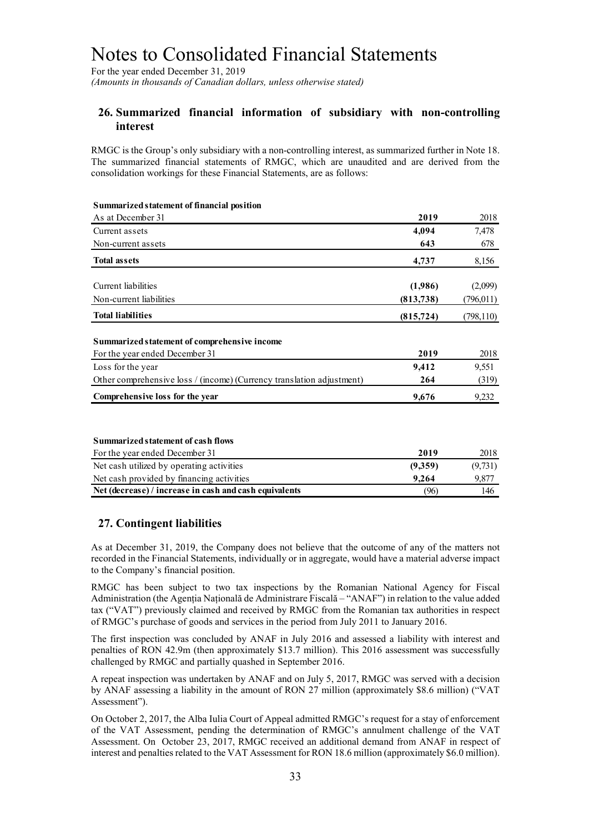For the year ended December 31, 2019 *(Amounts in thousands of Canadian dollars, unless otherwise stated)*

#### **26. Summarized financial information of subsidiary with non-controlling interest**

RMGC is the Group's only subsidiary with a non-controlling interest, as summarized further in Note 18. The summarized financial statements of RMGC, which are unaudited and are derived from the consolidation workings for these Financial Statements, are as follows:

| Summarized statement of financial position                            |            |            |
|-----------------------------------------------------------------------|------------|------------|
| As at December 31                                                     | 2019       | 2018       |
| Current assets                                                        | 4,094      | 7,478      |
| Non-current assets                                                    | 643        | 678        |
| <b>Total assets</b>                                                   | 4,737      | 8,156      |
| Current liabilities                                                   | (1,986)    | (2,099)    |
| Non-current liabilities                                               | (813, 738) | (796,011)  |
| <b>Total liabilities</b>                                              | (815, 724) | (798, 110) |
| Summarized statement of comprehensive income                          |            |            |
| For the year ended December 31                                        | 2019       | 2018       |
| Loss for the year                                                     | 9,412      | 9,551      |
| Other comprehensive loss / (income) (Currency translation adjustment) | 264        | (319)      |
| Comprehensive loss for the year                                       | 9,676      | 9,232      |

| Summarized statement of cash flows                     |         |         |
|--------------------------------------------------------|---------|---------|
| For the year ended December 31                         | 2019    | 2018    |
| Net cash utilized by operating activities              | (9,359) | (9,731) |
| Net cash provided by financing activities              | 9.264   | 9,877   |
| Net (decrease) / increase in cash and cash equivalents | (96)    | 146     |

### **27. Contingent liabilities**

As at December 31, 2019, the Company does not believe that the outcome of any of the matters not recorded in the Financial Statements, individually or in aggregate, would have a material adverse impact to the Company's financial position.

RMGC has been subject to two tax inspections by the Romanian National Agency for Fiscal Administration (the Agenția Națională de Administrare Fiscală – "ANAF") in relation to the value added tax ("VAT") previously claimed and received by RMGC from the Romanian tax authorities in respect of RMGC's purchase of goods and services in the period from July 2011 to January 2016.

The first inspection was concluded by ANAF in July 2016 and assessed a liability with interest and penalties of RON 42.9m (then approximately \$13.7 million). This 2016 assessment was successfully challenged by RMGC and partially quashed in September 2016.

A repeat inspection was undertaken by ANAF and on July 5, 2017, RMGC was served with a decision by ANAF assessing a liability in the amount of RON 27 million (approximately \$8.6 million) ("VAT Assessment").

On October 2, 2017, the Alba Iulia Court of Appeal admitted RMGC's request for a stay of enforcement of the VAT Assessment, pending the determination of RMGC's annulment challenge of the VAT Assessment. On October 23, 2017, RMGC received an additional demand from ANAF in respect of interest and penalties related to the VAT Assessment for RON 18.6 million (approximately \$6.0 million).